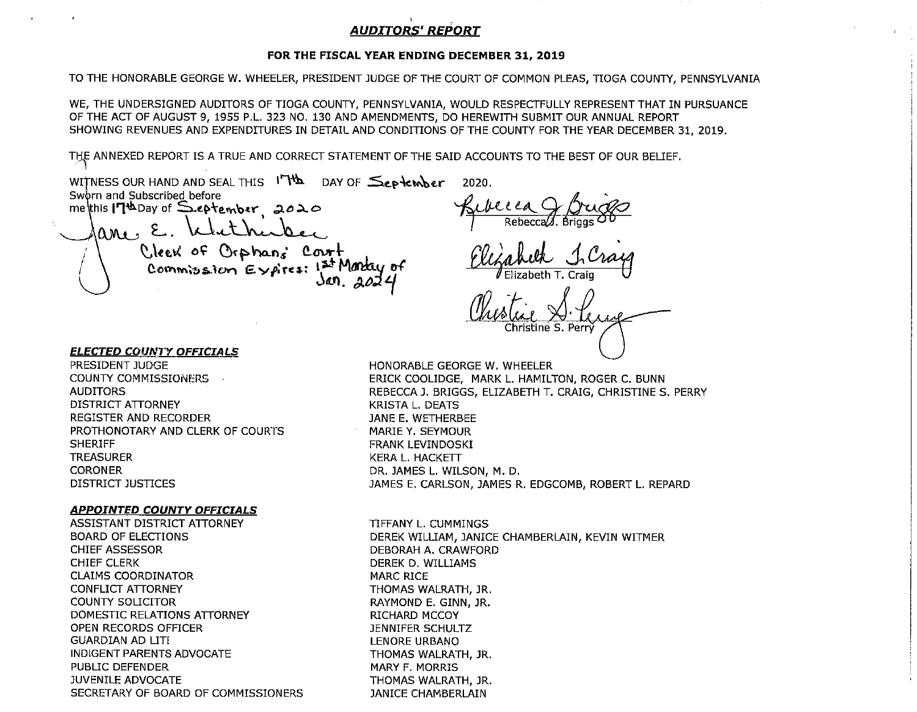# **AUDITORS' REPORT**

#### FOR THE FISCAL YEAR ENDING DECEMBER 31, 2019

TO THE HONORABLE GEORGE W. WHEELER, PRESIDENT JUDGE OF THE COURT OF COMMON PLEAS, TIOGA COUNTY, PENNSYLVANIA

WE, THE UNDERSIGNED AUDITORS OF TIOGA COUNTY, PENNSYLVANIA, WOULD RESPECTFULLY REPRESENT THAT IN PURSUANCE OF THE ACT OF AUGUST 9, 1955 P.L. 323 NO. 130 AND AMENDMENTS. DO HEREWITH SUBMIT OUR ANNUAL REPORT SHOWING REVENUES AND EXPENDITURES IN DETAIL AND CONDITIONS OF THE COUNTY FOR THE YEAR DECEMBER 31, 2019.

THE ANNEXED REPORT IS A TRUE AND CORRECT STATEMENT OF THE SAID ACCOUNTS TO THE BEST OF OUR BELIEF.

WITNESS OUR HAND AND SEAL THIS  $17Hb$  DAY OF September Sworn and Subscribed before methis ITthDay of September 2020  $an: \mathcal{E}$ Cleek of Orphans Cort Commission Expires: 1st Monday of

2020.

Christine S. Perry

#### **ELECTED COUNTY OFFICIALS**

PRESIDENT JUDGE **COUNTY COMMISSIONERS AUDITORS** DISTRICT ATTORNEY REGISTER AND RECORDER PROTHONOTARY AND CLERK OF COURTS **SHERIFF TREASURER CORONER DISTRICT JUSTICES** 

## **APPOINTED COUNTY OFFICIALS**

ASSISTANT DISTRICT ATTORNEY **BOARD OF ELECTIONS CHIEF ASSESSOR CHIEF CLERK CLAIMS COORDINATOR CONFLICT ATTORNEY COUNTY SOLICITOR** DOMESTIC RELATIONS ATTORNEY **OPEN RECORDS OFFICER GUARDIAN AD LITI INDIGENT PARENTS ADVOCATE** PUBLIC DEFENDER **JUVENILE ADVOCATE** SECRETARY OF BOARD OF COMMISSIONERS

HONORABLE GEORGE W. WHEELER ERICK COOLIDGE, MARK L. HAMILTON, ROGER C. BUNN REBECCA J. BRIGGS, ELIZABETH T. CRAIG, CHRISTINE S. PERRY **KRISTA L. DEATS** JANE E. WETHERBEE **MARIE Y. SEYMOUR FRANK LEVINDOSKI KERA L. HACKETT** DR. JAMES L. WILSON, M. D. JAMES E. CARLSON, JAMES R. EDGCOMB, ROBERT L. REPARD

TIFFANY L. CUMMINGS DEREK WILLIAM, JANICE CHAMBERLAIN, KEVIN WITMER DEBORAH A. CRAWFORD DEREK D. WILLIAMS **MARC RICE** THOMAS WALRATH, JR. RAYMOND E. GINN, JR. **RICHARD MCCOY** JENNIFER SCHULTZ **LENORE URBANO** THOMAS WALRATH, JR. **MARY F. MORRIS** THOMAS WALRATH, JR. **JANICE CHAMBERLAIN**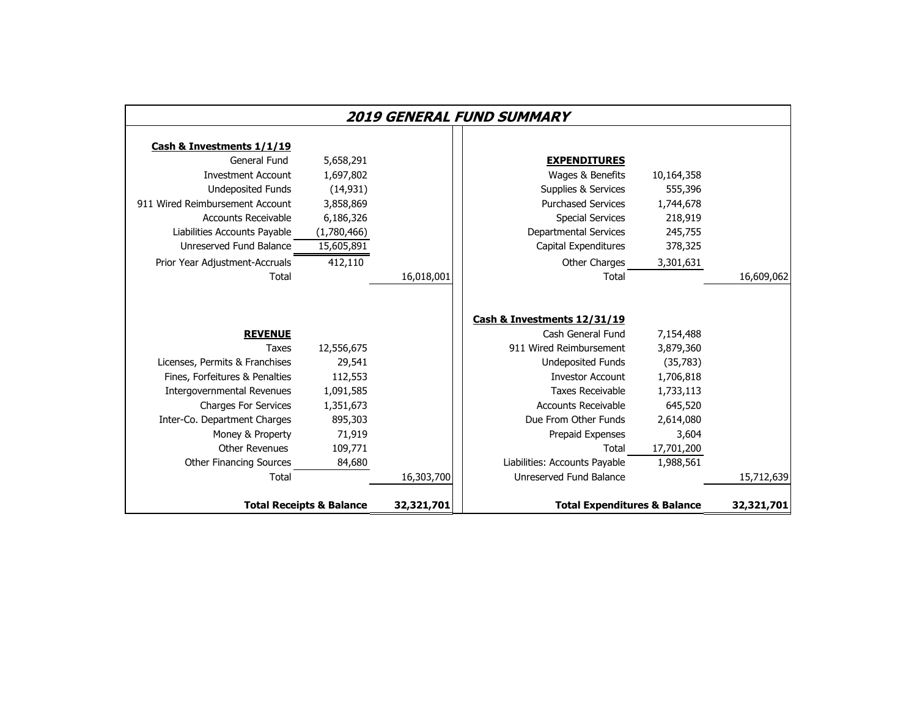|                                   |                                     |            | 2019 GENERAL FUND SUMMARY               |            |            |
|-----------------------------------|-------------------------------------|------------|-----------------------------------------|------------|------------|
| Cash & Investments 1/1/19         |                                     |            |                                         |            |            |
| General Fund                      | 5,658,291                           |            | <b>EXPENDITURES</b>                     |            |            |
| <b>Investment Account</b>         | 1,697,802                           |            | Wages & Benefits                        | 10,164,358 |            |
| <b>Undeposited Funds</b>          | (14, 931)                           |            | Supplies & Services                     | 555,396    |            |
| 911 Wired Reimbursement Account   | 3,858,869                           |            | <b>Purchased Services</b>               | 1,744,678  |            |
| <b>Accounts Receivable</b>        | 6,186,326                           |            | <b>Special Services</b>                 | 218,919    |            |
| Liabilities Accounts Payable      | (1,780,466)                         |            | Departmental Services                   | 245,755    |            |
| Unreserved Fund Balance           | 15,605,891                          |            | Capital Expenditures                    | 378,325    |            |
| Prior Year Adjustment-Accruals    | 412,110                             |            | Other Charges                           | 3,301,631  |            |
| Total                             |                                     | 16,018,001 | Total                                   |            | 16,609,062 |
|                                   |                                     |            |                                         |            |            |
|                                   |                                     |            |                                         |            |            |
|                                   |                                     |            | Cash & Investments 12/31/19             |            |            |
| <b>REVENUE</b>                    |                                     |            | Cash General Fund                       | 7,154,488  |            |
| Taxes                             | 12,556,675                          |            | 911 Wired Reimbursement                 | 3,879,360  |            |
| Licenses, Permits & Franchises    | 29,541                              |            | <b>Undeposited Funds</b>                | (35, 783)  |            |
| Fines, Forfeitures & Penalties    | 112,553                             |            | <b>Investor Account</b>                 | 1,706,818  |            |
| <b>Intergovernmental Revenues</b> | 1,091,585                           |            | <b>Taxes Receivable</b>                 | 1,733,113  |            |
| <b>Charges For Services</b>       | 1,351,673                           |            | <b>Accounts Receivable</b>              | 645,520    |            |
| Inter-Co. Department Charges      | 895,303                             |            | Due From Other Funds                    | 2,614,080  |            |
| Money & Property                  | 71,919                              |            | Prepaid Expenses                        | 3,604      |            |
| <b>Other Revenues</b>             | 109,771                             |            | Total                                   | 17,701,200 |            |
| <b>Other Financing Sources</b>    | 84,680                              |            | Liabilities: Accounts Payable           | 1,988,561  |            |
| Total                             |                                     | 16,303,700 | Unreserved Fund Balance                 |            | 15,712,639 |
|                                   |                                     |            |                                         |            |            |
|                                   | <b>Total Receipts &amp; Balance</b> | 32,321,701 | <b>Total Expenditures &amp; Balance</b> |            | 32,321,701 |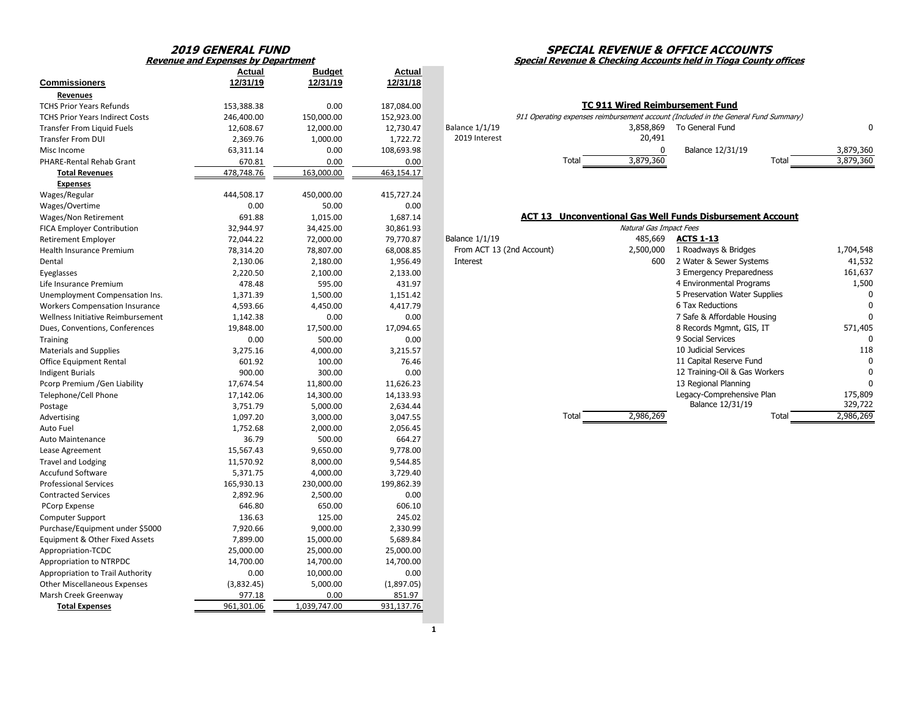# **Revenue and Expenses by Department**

|                                        |            | ,,,,,,,,      |            |                           |                                        |                                                                                     |           |
|----------------------------------------|------------|---------------|------------|---------------------------|----------------------------------------|-------------------------------------------------------------------------------------|-----------|
|                                        | Actual     | <b>Budget</b> | Actual     |                           |                                        |                                                                                     |           |
| <b>Commissioners</b>                   | 12/31/19   | 12/31/19      | 12/31/18   |                           |                                        |                                                                                     |           |
| Revenues                               |            |               |            |                           |                                        |                                                                                     |           |
| <b>TCHS Prior Years Refunds</b>        | 153,388.38 | 0.00          | 187,084.00 |                           | <b>TC 911 Wired Reimbursement Fund</b> |                                                                                     |           |
| <b>TCHS Prior Years Indirect Costs</b> | 246,400.00 | 150,000.00    | 152,923.00 |                           |                                        | 911 Operating expenses reimbursement account (Included in the General Fund Summary) |           |
| <b>Transfer From Liquid Fuels</b>      | 12,608.67  | 12,000.00     | 12,730.47  | <b>Balance 1/1/19</b>     | 3,858,869                              | To General Fund                                                                     |           |
| <b>Transfer From DUI</b>               | 2,369.76   | 1,000.00      | 1,722.72   | 2019 Interest             | 20,491                                 |                                                                                     |           |
| Misc Income                            | 63,311.14  | 0.00          | 108,693.98 |                           | 0                                      | Balance 12/31/19                                                                    | 3,879,360 |
| PHARE-Rental Rehab Grant               | 670.81     | 0.00          | 0.00       | Total                     | 3,879,360                              | Total                                                                               | 3,879,360 |
| <b>Total Revenues</b>                  | 478,748.76 | 163,000.00    | 463.154.17 |                           |                                        |                                                                                     |           |
| <b>Expenses</b>                        |            |               |            |                           |                                        |                                                                                     |           |
| Wages/Regular                          | 444,508.17 | 450,000.00    | 415,727.24 |                           |                                        |                                                                                     |           |
| Wages/Overtime                         | 0.00       | 50.00         | 0.00       |                           |                                        |                                                                                     |           |
| Wages/Non Retirement                   | 691.88     | 1,015.00      | 1,687.14   |                           |                                        | <b>ACT 13 Unconventional Gas Well Funds Disbursement Account</b>                    |           |
| <b>FICA Employer Contribution</b>      | 32,944.97  | 34,425.00     | 30,861.93  |                           | Natural Gas Impact Fees                |                                                                                     |           |
| <b>Retirement Employer</b>             | 72,044.22  | 72,000.00     | 79,770.87  | <b>Balance 1/1/19</b>     | 485,669                                | <b>ACTS 1-13</b>                                                                    |           |
| Health Insurance Premium               | 78,314.20  | 78,807.00     | 68,008.85  | From ACT 13 (2nd Account) | 2,500,000                              | 1 Roadways & Bridges                                                                | 1,704,548 |
| Dental                                 | 2,130.06   | 2,180.00      | 1,956.49   | Interest                  | 600                                    | 2 Water & Sewer Systems                                                             | 41,532    |
| Eyeglasses                             | 2,220.50   | 2,100.00      | 2,133.00   |                           |                                        | 3 Emergency Preparedness                                                            | 161,637   |
| Life Insurance Premium                 | 478.48     | 595.00        | 431.97     |                           |                                        | 4 Environmental Programs                                                            | 1,500     |
| Unemployment Compensation Ins.         | 1,371.39   | 1,500.00      | 1,151.42   |                           |                                        | 5 Preservation Water Supplies                                                       |           |
| <b>Workers Compensation Insurance</b>  | 4,593.66   | 4,450.00      | 4,417.79   |                           |                                        | 6 Tax Reductions                                                                    |           |
| Wellness Initiative Reimbursement      | 1,142.38   | 0.00          | 0.00       |                           |                                        | 7 Safe & Affordable Housing                                                         |           |
| Dues, Conventions, Conferences         | 19,848.00  | 17,500.00     | 17,094.65  |                           |                                        | 8 Records Mgmnt, GIS, IT                                                            | 571,405   |
| <b>Training</b>                        | 0.00       | 500.00        | 0.00       |                           |                                        | 9 Social Services                                                                   |           |
| Materials and Supplies                 | 3,275.16   | 4,000.00      | 3,215.57   |                           |                                        | 10 Judicial Services                                                                | 118       |
| <b>Office Equipment Rental</b>         | 601.92     | 100.00        | 76.46      |                           |                                        | 11 Capital Reserve Fund                                                             |           |
| <b>Indigent Burials</b>                | 900.00     | 300.00        | 0.00       |                           |                                        | 12 Training-Oil & Gas Workers                                                       |           |
| Pcorp Premium / Gen Liability          | 17,674.54  | 11,800.00     | 11,626.23  |                           |                                        | 13 Regional Planning                                                                |           |
| Telephone/Cell Phone                   | 17,142.06  | 14,300.00     | 14,133.93  |                           |                                        | Legacy-Comprehensive Plan                                                           | 175,809   |
| Postage                                | 3,751.79   | 5,000.00      | 2,634.44   |                           |                                        | Balance 12/31/19                                                                    | 329,722   |
| Advertising                            | 1,097.20   | 3,000.00      | 3,047.55   | Total                     | 2,986,269                              | Total                                                                               | 2,986,269 |
| Auto Fuel                              | 1,752.68   | 2,000.00      | 2,056.45   |                           |                                        |                                                                                     |           |
| Auto Maintenance                       | 36.79      | 500.00        | 664.27     |                           |                                        |                                                                                     |           |
| Lease Agreement                        | 15,567.43  | 9,650.00      | 9,778.00   |                           |                                        |                                                                                     |           |
| <b>Travel and Lodging</b>              | 11,570.92  | 8,000.00      | 9,544.85   |                           |                                        |                                                                                     |           |
| <b>Accufund Software</b>               | 5,371.75   | 4,000.00      | 3,729.40   |                           |                                        |                                                                                     |           |
| <b>Professional Services</b>           | 165,930.13 | 230,000.00    | 199,862.39 |                           |                                        |                                                                                     |           |
| <b>Contracted Services</b>             | 2,892.96   | 2,500.00      | 0.00       |                           |                                        |                                                                                     |           |
| PCorp Expense                          | 646.80     | 650.00        | 606.10     |                           |                                        |                                                                                     |           |
| <b>Computer Support</b>                | 136.63     | 125.00        | 245.02     |                           |                                        |                                                                                     |           |
| Purchase/Equipment under \$5000        | 7,920.66   | 9,000.00      | 2,330.99   |                           |                                        |                                                                                     |           |
| Equipment & Other Fixed Assets         | 7,899.00   | 15,000.00     | 5,689.84   |                           |                                        |                                                                                     |           |
| Appropriation-TCDC                     | 25,000.00  | 25,000.00     | 25,000.00  |                           |                                        |                                                                                     |           |
| Appropriation to NTRPDC                | 14,700.00  | 14,700.00     | 14,700.00  |                           |                                        |                                                                                     |           |
| Appropriation to Trail Authority       | 0.00       | 10,000.00     | 0.00       |                           |                                        |                                                                                     |           |
| <b>Other Miscellaneous Expenses</b>    | (3,832.45) | 5,000.00      | (1,897.05) |                           |                                        |                                                                                     |           |
| Marsh Creek Greenway                   | 977.18     | 0.00          | 851.97     |                           |                                        |                                                                                     |           |
| <b>Total Expenses</b>                  | 961,301.06 | 1,039,747.00  | 931,137.76 |                           |                                        |                                                                                     |           |

#### **2019 GENERAL FUND SPECIAL REVENUE & OFFICE ACCOUNTS Special Revenue & Checking Accounts held in Tioga County offices**

|  | <b>TC 911 Wired Reimbursement Fund</b> |  |
|--|----------------------------------------|--|
|  |                                        |  |

|       |       |           | 911 Operating expenses reimbursement account (Included in the General Fund Summary) |           |
|-------|-------|-----------|-------------------------------------------------------------------------------------|-----------|
| 1/19  |       | 3,858,869 | To General Fund                                                                     |           |
| erest |       | 20,491    |                                                                                     |           |
|       |       |           | Balance 12/31/19                                                                    | 3,879,360 |
|       | Total | 3,879,360 | Total                                                                               | 3,879,360 |

| Wages/Non Retirement                  | 691.88    | 1,015.00  | 1,687.14  |                           |                         | <b>ACT 13 Unconventional Gas Well Funds Disbursement Account</b> |           |
|---------------------------------------|-----------|-----------|-----------|---------------------------|-------------------------|------------------------------------------------------------------|-----------|
| <b>FICA Employer Contribution</b>     | 32,944.97 | 34,425.00 | 30,861.93 |                           | Natural Gas Impact Fees |                                                                  |           |
| Retirement Employer                   | 72,044.22 | 72,000.00 | 79,770.87 | <b>Balance 1/1/19</b>     | 485,669                 | <b>ACTS 1-13</b>                                                 |           |
| Health Insurance Premium              | 78,314.20 | 78,807.00 | 68,008.85 | From ACT 13 (2nd Account) | 2,500,000               | 1 Roadways & Bridges                                             | 1,704,548 |
| Dental                                | 2,130.06  | 2,180.00  | 1,956.49  | Interest                  | 600                     | 2 Water & Sewer Systems                                          | 41,532    |
| Eyeglasses                            | 2,220.50  | 2,100.00  | 2,133.00  |                           |                         | 3 Emergency Preparedness                                         | 161,637   |
| Life Insurance Premium                | 478.48    | 595.00    | 431.97    |                           |                         | 4 Environmental Programs                                         | 1,500     |
| Unemployment Compensation Ins.        | 1,371.39  | 1,500.00  | 1,151.42  |                           |                         | 5 Preservation Water Supplies                                    | 0         |
| <b>Workers Compensation Insurance</b> | 4,593.66  | 4,450.00  | 4,417.79  |                           |                         | 6 Tax Reductions                                                 | 0         |
| Wellness Initiative Reimbursement     | 1,142.38  | 0.00      | 0.00      |                           |                         | 7 Safe & Affordable Housing                                      | 0         |
| Dues, Conventions, Conferences        | 19,848.00 | 17,500.00 | 17,094.65 |                           |                         | 8 Records Mgmnt, GIS, IT                                         | 571,405   |
| Training                              | 0.00      | 500.00    | 0.00      |                           |                         | 9 Social Services                                                |           |
| Materials and Supplies                | 3,275.16  | 4,000.00  | 3,215.57  |                           |                         | 10 Judicial Services                                             | 118       |
| Office Equipment Rental               | 601.92    | 100.00    | 76.46     |                           |                         | 11 Capital Reserve Fund                                          | O         |
| Indigent Burials                      | 900.00    | 300.00    | 0.00      |                           |                         | 12 Training-Oil & Gas Workers                                    | 0         |
| Pcorp Premium /Gen Liability          | 17,674.54 | 11,800.00 | 11,626.23 |                           |                         | 13 Regional Planning                                             | O         |
| Telephone/Cell Phone                  | 17,142.06 | 14,300.00 | 14,133.93 |                           |                         | Legacy-Comprehensive Plan                                        | 175,809   |
| Postage                               | 3,751.79  | 5,000.00  | 2,634.44  |                           |                         | Balance 12/31/19                                                 | 329,722   |
| Advertising                           | 1,097.20  | 3,000.00  | 3,047.55  |                           | 2,986,269<br>Total      | Total                                                            | 2,986,269 |
|                                       |           |           |           |                           |                         |                                                                  |           |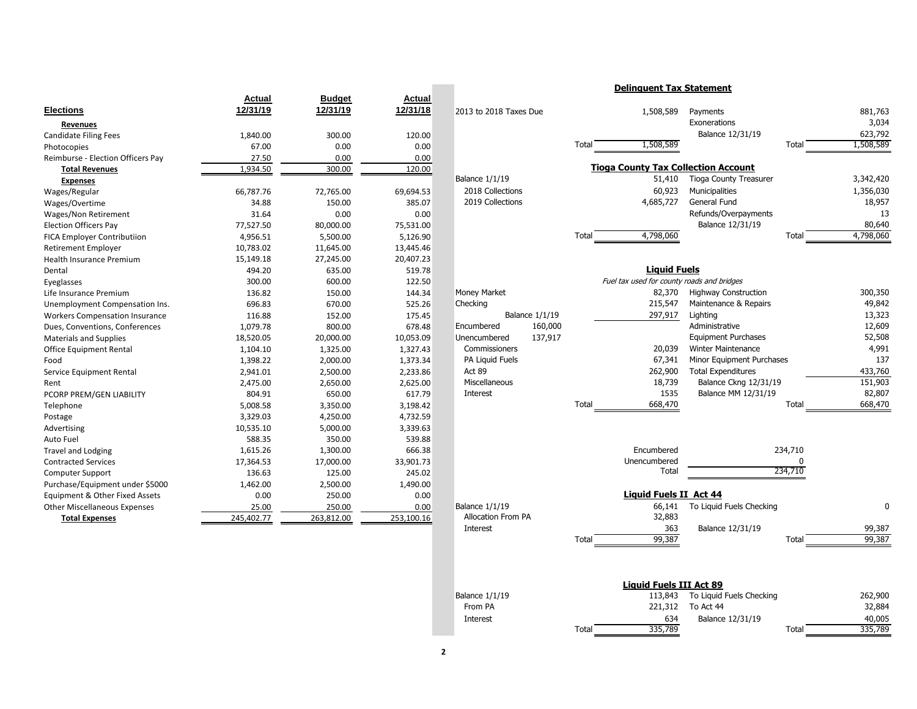| <b>Elections</b>                         | <b>Actual</b><br>12/31/19 | <b>Budget</b><br>12/31/19 | <b>Actual</b><br>12/31/18 | 2013 to 2018 Taxes Due |                       |       | 1,508,589                                  | Payments                      |          | 881,763   |
|------------------------------------------|---------------------------|---------------------------|---------------------------|------------------------|-----------------------|-------|--------------------------------------------|-------------------------------|----------|-----------|
|                                          |                           |                           |                           |                        |                       |       |                                            | Exonerations                  |          | 3,034     |
| Revenues<br><b>Candidate Filing Fees</b> | 1,840.00                  | 300.00                    | 120.00                    |                        |                       |       |                                            | Balance 12/31/19              |          | 623,792   |
|                                          | 67.00                     | 0.00                      | 0.00                      |                        |                       | Total | 1,508,589                                  |                               | Total    | 1,508,589 |
| Photocopies                              |                           | 0.00                      | 0.00                      |                        |                       |       |                                            |                               |          |           |
| Reimburse - Election Officers Pay        | 27.50<br>1,934.50         | 300.00                    | 120.00                    |                        |                       |       | <b>Tioga County Tax Collection Account</b> |                               |          |           |
| <b>Total Revenues</b>                    |                           |                           |                           | Balance 1/1/19         |                       |       | 51,410                                     | <b>Tioga County Treasurer</b> |          | 3,342,420 |
| <b>Expenses</b><br>Wages/Regular         | 66,787.76                 | 72,765.00                 | 69,694.53                 | 2018 Collections       |                       |       | 60,923                                     | Municipalities                |          | 1,356,030 |
|                                          | 34.88                     | 150.00                    | 385.07                    | 2019 Collections       |                       |       | 4,685,727                                  | <b>General Fund</b>           |          | 18,957    |
| Wages/Overtime                           | 31.64                     | 0.00                      | 0.00                      |                        |                       |       |                                            | Refunds/Overpayments          |          | 13        |
| <b>Wages/Non Retirement</b>              |                           |                           |                           |                        |                       |       |                                            | Balance 12/31/19              |          | 80,640    |
| <b>Election Officers Pay</b>             | 77,527.50                 | 80,000.00                 | 75,531.00                 |                        |                       | Total | 4,798,060                                  |                               | Total    | 4,798,060 |
| <b>FICA Employer Contributiion</b>       | 4,956.51                  | 5,500.00                  | 5,126.90                  |                        |                       |       |                                            |                               |          |           |
| <b>Retirement Employer</b>               | 10,783.02                 | 11,645.00                 | 13,445.46                 |                        |                       |       |                                            |                               |          |           |
| Health Insurance Premium                 | 15,149.18                 | 27,245.00                 | 20,407.23                 |                        |                       |       | <b>Liquid Fuels</b>                        |                               |          |           |
| Dental                                   | 494.20                    | 635.00                    | 519.78                    |                        |                       |       | Fuel tax used for county roads and bridges |                               |          |           |
| Eyeglasses                               | 300.00                    | 600.00                    | 122.50                    | <b>Money Market</b>    |                       |       | 82,370                                     | <b>Highway Construction</b>   |          | 300,350   |
| Life Insurance Premium                   | 136.82                    | 150.00                    | 144.34                    | Checking               |                       |       | 215,547                                    | Maintenance & Repairs         |          | 49,842    |
| Unemployment Compensation Ins.           | 696.83                    | 670.00                    | 525.26                    |                        |                       |       |                                            | Lighting                      |          | 13,323    |
| <b>Workers Compensation Insurance</b>    | 116.88                    | 152.00                    | 175.45                    |                        | <b>Balance 1/1/19</b> |       | 297,917                                    | Administrative                |          |           |
| Dues, Conventions, Conferences           | 1,079.78                  | 800.00                    | 678.48                    | Encumbered             | 160,000               |       |                                            |                               |          | 12,609    |
| <b>Materials and Supplies</b>            | 18,520.05                 | 20,000.00                 | 10,053.09                 | Unencumbered           | 137,917               |       |                                            | <b>Equipment Purchases</b>    |          | 52,508    |
| <b>Office Equipment Rental</b>           | 1,104.10                  | 1,325.00                  | 1,327.43                  | Commissioners          |                       |       | 20,039                                     | <b>Winter Maintenance</b>     |          | 4,991     |
| Food                                     | 1,398.22                  | 2,000.00                  | 1,373.34                  | PA Liquid Fuels        |                       |       | 67,341                                     | Minor Equipment Purchases     |          | 137       |
| Service Equipment Rental                 | 2,941.01                  | 2,500.00                  | 2,233.86                  | Act 89                 |                       |       | 262,900                                    | <b>Total Expenditures</b>     |          | 433,760   |
| Rent                                     | 2,475.00                  | 2,650.00                  | 2,625.00                  | Miscellaneous          |                       |       | 18,739                                     | Balance Ckng 12/31/19         |          | 151,903   |
| PCORP PREM/GEN LIABILITY                 | 804.91                    | 650.00                    | 617.79                    | Interest               |                       |       | 1535                                       | Balance MM 12/31/19           |          | 82,807    |
| Telephone                                | 5,008.58                  | 3,350.00                  | 3,198.42                  |                        |                       | Total | 668,470                                    |                               | Total    | 668,470   |
| Postage                                  | 3,329.03                  | 4,250.00                  | 4,732.59                  |                        |                       |       |                                            |                               |          |           |
| Advertising                              | 10,535.10                 | 5,000.00                  | 3,339.63                  |                        |                       |       |                                            |                               |          |           |
| Auto Fuel                                | 588.35                    | 350.00                    | 539.88                    |                        |                       |       |                                            |                               |          |           |
| <b>Travel and Lodging</b>                | 1,615.26                  | 1,300.00                  | 666.38                    |                        |                       |       | Encumbered                                 |                               | 234,710  |           |
| <b>Contracted Services</b>               | 17,364.53                 | 17,000.00                 | 33,901.73                 |                        |                       |       | Unencumbered                               |                               | $\Omega$ |           |
| <b>Computer Support</b>                  | 136.63                    | 125.00                    | 245.02                    |                        |                       |       | Total                                      |                               | 234,710  |           |
| Purchase/Equipment under \$5000          | 1,462.00                  | 2,500.00                  | 1,490.00                  |                        |                       |       |                                            |                               |          |           |
| Equipment & Other Fixed Assets           | 0.00                      | 250.00                    | 0.00                      |                        |                       |       | <b>Liquid Fuels II Act 44</b>              |                               |          |           |
| <b>Other Miscellaneous Expenses</b>      | 25.00                     | 250.00                    | 0.00                      | <b>Balance 1/1/19</b>  |                       |       | 66,141                                     | To Liguid Fuels Checking      |          |           |
| <b>Total Expenses</b>                    | 245,402.77                | 263,812.00                | 253,100.16                | Allocation From PA     |                       |       | 32,883                                     |                               |          |           |

| <b>Delinguent Tax Statement</b> |  |  |
|---------------------------------|--|--|
|                                 |  |  |

| 2013 to 2018 Taxes Due    |              | 1,508,589                                  | Payments<br>Exonerations                   |              | 881,763<br>3,034     |
|---------------------------|--------------|--------------------------------------------|--------------------------------------------|--------------|----------------------|
|                           | <b>Total</b> | 1,508,589                                  | Balance 12/31/19                           | Total        | 623,792<br>1,508,589 |
|                           |              |                                            | <b>Tioga County Tax Collection Account</b> |              |                      |
| <b>Balance 1/1/19</b>     |              | 51,410                                     | <b>Tioga County Treasurer</b>              |              | 3,342,420            |
| 2018 Collections          |              | 60,923                                     | Municipalities                             |              | 1,356,030            |
| 2019 Collections          |              | 4,685,727                                  | General Fund                               |              | 18,957               |
|                           |              |                                            | Refunds/Overpayments                       |              | 13                   |
|                           |              |                                            | Balance 12/31/19                           |              | 80,640               |
|                           | Total        | 4,798,060                                  |                                            | <b>Total</b> | 4,798,060            |
|                           |              | <b>Liguid Fuels</b>                        |                                            |              |                      |
|                           |              | Fuel tax used for county roads and bridges |                                            |              |                      |
| Money Market              |              | 82,370                                     | <b>Highway Construction</b>                |              | 300,350              |
| Checking                  |              | 215,547                                    | Maintenance & Repairs                      |              | 49,842               |
| <b>Balance 1/1/19</b>     |              | 297,917                                    | Lighting                                   |              | 13,323               |
| 160,000<br>Encumbered     |              |                                            | Administrative                             |              | 12,609               |
| 137,917<br>Unencumbered   |              |                                            | <b>Equipment Purchases</b>                 |              | 52,508               |
| Commissioners             |              | 20,039                                     | Winter Maintenance                         |              | 4,991                |
| PA Liquid Fuels           |              | 67,341                                     | Minor Equipment Purchases                  |              | 137                  |
| Act 89                    |              | 262,900                                    | <b>Total Expenditures</b>                  |              | 433,760              |
| Miscellaneous             |              | 18,739                                     | Balance Ckng 12/31/19                      |              | 151,903              |
| Interest                  |              | 1535                                       | Balance MM 12/31/19                        |              | 82,807               |
|                           | Total        | 668,470                                    |                                            | Total        | 668,470              |
|                           |              |                                            |                                            |              |                      |
|                           |              | Encumbered                                 |                                            | 234,710      |                      |
|                           |              | Unencumbered                               |                                            | 0            |                      |
|                           |              | Total                                      |                                            | 234,710      |                      |
|                           |              | <b>Liquid Fuels II Act 44</b>              |                                            |              |                      |
| <b>Balance 1/1/19</b>     |              | 66,141                                     | To Liquid Fuels Checking                   |              | $\mathbf{0}$         |
| <b>Allocation From PA</b> |              | 32,883                                     |                                            |              |                      |
| Interest                  |              | 363                                        | Balance 12/31/19                           |              | 99,387               |
|                           | <b>Total</b> | 99,387                                     |                                            | Total        | 99,387               |
|                           |              |                                            |                                            |              |                      |
|                           |              | Liquid Fuels III Act 89                    |                                            |              |                      |
| <b>Balance 1/1/19</b>     |              | 113,843                                    | To Liquid Fuels Checking                   |              | 262,900              |
| From PA                   |              | 221,312                                    | To Act 44                                  |              | 32,884               |
| Interest                  |              | 634                                        | Balance 12/31/19                           |              | 40,005               |
|                           | Total        | 335,789                                    |                                            | Total        | 335,789              |

**Contract**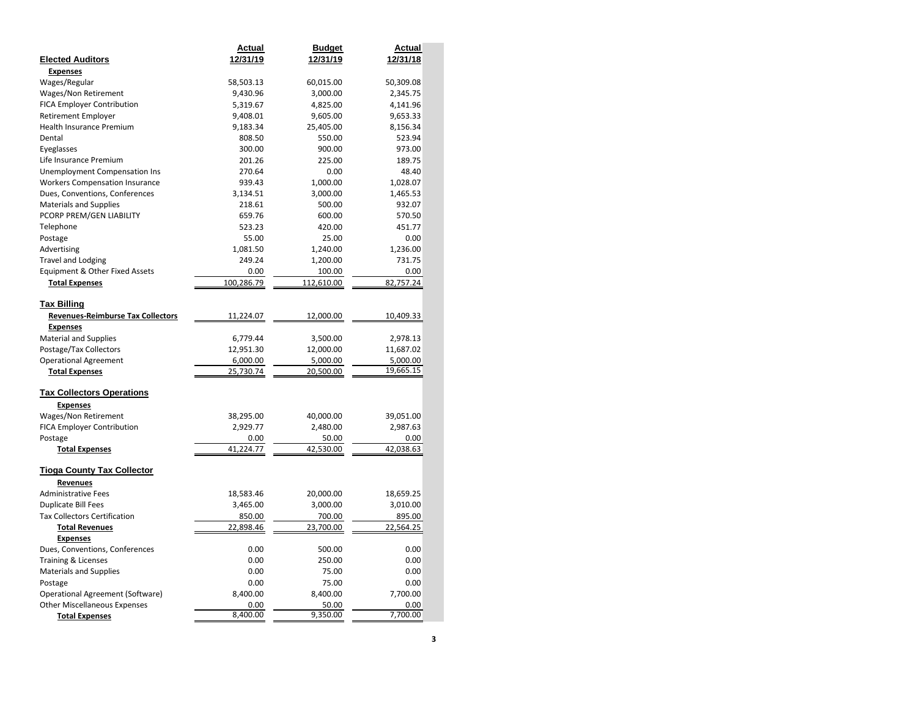|                                          | Actual     | <b>Budget</b> | Actual    |
|------------------------------------------|------------|---------------|-----------|
| <b>Elected Auditors</b>                  | 12/31/19   | 12/31/19      | 12/31/18  |
| <b>Expenses</b>                          |            |               |           |
| Wages/Regular                            | 58,503.13  | 60,015.00     | 50,309.08 |
| Wages/Non Retirement                     | 9,430.96   | 3,000.00      | 2,345.75  |
| <b>FICA Employer Contribution</b>        | 5,319.67   | 4,825.00      | 4,141.96  |
| Retirement Employer                      | 9,408.01   | 9,605.00      | 9,653.33  |
| Health Insurance Premium                 | 9,183.34   | 25,405.00     | 8,156.34  |
| Dental                                   | 808.50     | 550.00        | 523.94    |
| Eyeglasses                               | 300.00     | 900.00        | 973.00    |
| Life Insurance Premium                   | 201.26     | 225.00        | 189.75    |
| Unemployment Compensation Ins            | 270.64     | 0.00          | 48.40     |
| <b>Workers Compensation Insurance</b>    | 939.43     | 1,000.00      | 1,028.07  |
| Dues, Conventions, Conferences           | 3,134.51   | 3,000.00      | 1,465.53  |
| <b>Materials and Supplies</b>            | 218.61     | 500.00        | 932.07    |
| PCORP PREM/GEN LIABILITY                 | 659.76     | 600.00        | 570.50    |
| Telephone                                | 523.23     | 420.00        | 451.77    |
| Postage                                  | 55.00      | 25.00         | 0.00      |
| Advertising                              | 1,081.50   | 1,240.00      | 1,236.00  |
| <b>Travel and Lodging</b>                | 249.24     | 1,200.00      | 731.75    |
| Equipment & Other Fixed Assets           | 0.00       | 100.00        | 0.00      |
| <b>Total Expenses</b>                    | 100,286.79 | 112,610.00    | 82,757.24 |
| <b>Tax Billing</b>                       |            |               |           |
| <b>Revenues-Reimburse Tax Collectors</b> | 11,224.07  | 12,000.00     | 10,409.33 |
| <b>Expenses</b>                          |            |               |           |
| <b>Material and Supplies</b>             | 6,779.44   | 3,500.00      | 2,978.13  |
| Postage/Tax Collectors                   | 12,951.30  | 12,000.00     | 11,687.02 |
| <b>Operational Agreement</b>             | 6,000.00   | 5,000.00      | 5,000.00  |
| <b>Total Expenses</b>                    | 25,730.74  | 20,500.00     | 19,665.15 |
| <b>Tax Collectors Operations</b>         |            |               |           |
| <b>Expenses</b>                          |            |               |           |
| <b>Wages/Non Retirement</b>              | 38,295.00  | 40,000.00     | 39,051.00 |
| <b>FICA Employer Contribution</b>        | 2,929.77   | 2,480.00      | 2,987.63  |
| Postage                                  | 0.00       | 50.00         | 0.00      |
| <b>Total Expenses</b>                    | 41,224.77  | 42,530.00     | 42,038.63 |
| <b>Tioga County Tax Collector</b>        |            |               |           |
| Revenues                                 |            |               |           |
| <b>Administrative Fees</b>               | 18,583.46  | 20,000.00     | 18,659.25 |
| <b>Duplicate Bill Fees</b>               | 3,465.00   | 3,000.00      | 3,010.00  |
| <b>Tax Collectors Certification</b>      | 850.00     | 700.00        | 895.00    |
| <b>Total Revenues</b>                    | 22,898.46  | 23,700.00     | 22,564.25 |
| <b>Expenses</b>                          |            |               |           |
| Dues, Conventions, Conferences           | 0.00       | 500.00        | 0.00      |
| <b>Training &amp; Licenses</b>           | 0.00       | 250.00        | 0.00      |
| <b>Materials and Supplies</b>            | 0.00       | 75.00         | 0.00      |
| Postage                                  | 0.00       | 75.00         | 0.00      |
| Operational Agreement (Software)         | 8,400.00   | 8,400.00      | 7,700.00  |
| <b>Other Miscellaneous Expenses</b>      | 0.00       | 50.00         | 0.00      |
| <b>Total Expenses</b>                    | 8,400.00   | 9,350.00      | 7,700.00  |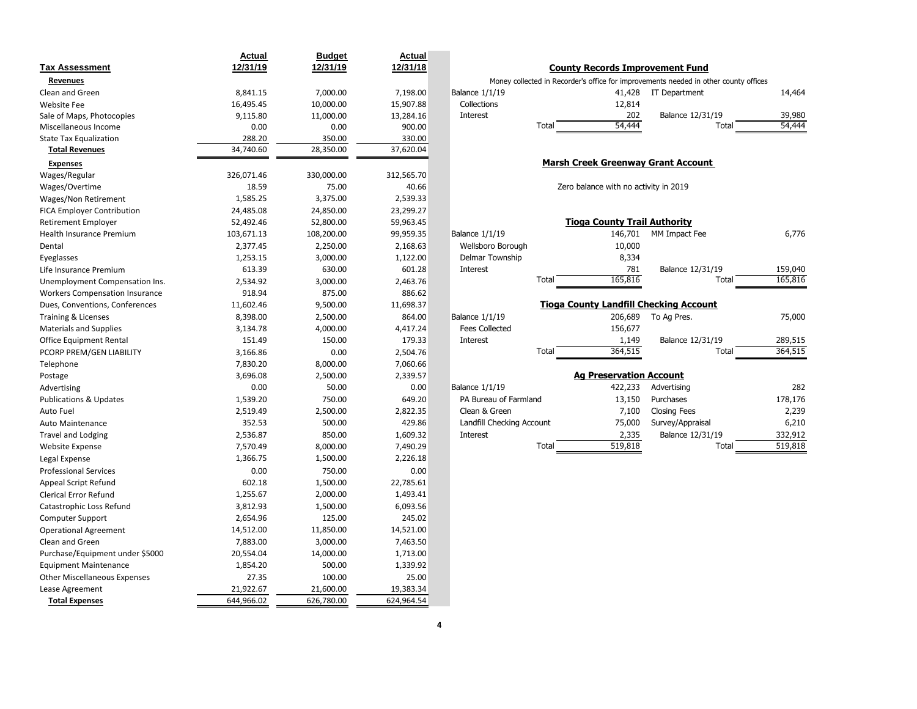| <b>Tax Assessment</b>                 | <b>Actual</b><br>12/31/19 | <b>Budget</b><br>12/31/19 | Actual<br>12/31/18 |                           | <b>County Records Improvement Fund</b>        |                                                                                      |         |
|---------------------------------------|---------------------------|---------------------------|--------------------|---------------------------|-----------------------------------------------|--------------------------------------------------------------------------------------|---------|
| <b>Revenues</b>                       |                           |                           |                    |                           |                                               | Money collected in Recorder's office for improvements needed in other county offices |         |
| Clean and Green                       | 8,841.15                  | 7,000.00                  | 7,198.00           | <b>Balance 1/1/19</b>     | 41,428                                        | IT Department                                                                        | 14,464  |
| <b>Website Fee</b>                    | 16,495.45                 | 10,000.00                 | 15,907.88          | Collections               | 12,814                                        |                                                                                      |         |
| Sale of Maps, Photocopies             | 9,115.80                  | 11,000.00                 | 13,284.16          | Interest                  | 202                                           | Balance 12/31/19                                                                     | 39,980  |
| Miscellaneous Income                  | 0.00                      | 0.00                      | 900.00             |                           | 54,444<br>Total                               | Total                                                                                | 54,444  |
| <b>State Tax Equalization</b>         | 288.20                    | 350.00                    | 330.00             |                           |                                               |                                                                                      |         |
| <b>Total Revenues</b>                 | 34,740.60                 | 28,350.00                 | 37,620.04          |                           |                                               |                                                                                      |         |
| <b>Expenses</b>                       |                           |                           |                    |                           | <b>Marsh Creek Greenway Grant Account</b>     |                                                                                      |         |
| Wages/Regular                         | 326,071.46                | 330,000.00                | 312,565.70         |                           |                                               |                                                                                      |         |
| Wages/Overtime                        | 18.59                     | 75.00                     | 40.66              |                           | Zero balance with no activity in 2019         |                                                                                      |         |
| Wages/Non Retirement                  | 1,585.25                  | 3,375.00                  | 2,539.33           |                           |                                               |                                                                                      |         |
| FICA Employer Contribution            | 24,485.08                 | 24,850.00                 | 23,299.27          |                           |                                               |                                                                                      |         |
| <b>Retirement Employer</b>            | 52,492.46                 | 52,800.00                 | 59,963.45          |                           | <b>Tioga County Trail Authority</b>           |                                                                                      |         |
| <b>Health Insurance Premium</b>       | 103,671.13                | 108,200.00                | 99,959.35          | <b>Balance 1/1/19</b>     | 146,701                                       | MM Impact Fee                                                                        | 6,776   |
| Dental                                | 2,377.45                  | 2,250.00                  | 2,168.63           | Wellsboro Borough         | 10,000                                        |                                                                                      |         |
| Eyeglasses                            | 1,253.15                  | 3,000.00                  | 1,122.00           | Delmar Township           | 8,334                                         |                                                                                      |         |
| Life Insurance Premium                | 613.39                    | 630.00                    | 601.28             | Interest                  | 781                                           | Balance 12/31/19                                                                     | 159,040 |
| Unemployment Compensation Ins.        | 2,534.92                  | 3,000.00                  | 2,463.76           |                           | 165,816<br>Total                              | Total                                                                                | 165,816 |
| <b>Workers Compensation Insurance</b> | 918.94                    | 875.00                    | 886.62             |                           |                                               |                                                                                      |         |
| Dues, Conventions, Conferences        | 11,602.46                 | 9,500.00                  | 11,698.37          |                           | <b>Tioga County Landfill Checking Account</b> |                                                                                      |         |
| Training & Licenses                   | 8,398.00                  | 2,500.00                  | 864.00             | <b>Balance 1/1/19</b>     | 206,689                                       | To Ag Pres.                                                                          | 75,000  |
| <b>Materials and Supplies</b>         | 3,134.78                  | 4,000.00                  | 4,417.24           | <b>Fees Collected</b>     | 156,677                                       |                                                                                      |         |
| <b>Office Equipment Rental</b>        | 151.49                    | 150.00                    | 179.33             | Interest                  | 1,149                                         | Balance 12/31/19                                                                     | 289,515 |
| PCORP PREM/GEN LIABILITY              | 3,166.86                  | 0.00                      | 2,504.76           |                           | 364,515<br>Total                              | Total                                                                                | 364,515 |
| Telephone                             | 7,830.20                  | 8,000.00                  | 7,060.66           |                           |                                               |                                                                                      |         |
| Postage                               | 3,696.08                  | 2,500.00                  | 2,339.57           |                           | <b>Ag Preservation Account</b>                |                                                                                      |         |
| Advertising                           | 0.00                      | 50.00                     | 0.00               | <b>Balance 1/1/19</b>     | 422,233                                       | Advertising                                                                          | 282     |
| <b>Publications &amp; Updates</b>     | 1,539.20                  | 750.00                    | 649.20             | PA Bureau of Farmland     | 13,150                                        | Purchases                                                                            | 178,176 |
| <b>Auto Fuel</b>                      | 2,519.49                  | 2,500.00                  | 2,822.35           | Clean & Green             | 7,100                                         | <b>Closing Fees</b>                                                                  | 2,239   |
| <b>Auto Maintenance</b>               | 352.53                    | 500.00                    | 429.86             | Landfill Checking Account | 75,000                                        | Survey/Appraisal                                                                     | 6,210   |
| <b>Travel and Lodging</b>             | 2,536.87                  | 850.00                    | 1,609.32           | Interest                  | 2,335                                         | Balance 12/31/19                                                                     | 332,912 |
| Website Expense                       | 7,570.49                  | 8,000.00                  | 7,490.29           |                           | 519,818<br>Total                              | Total                                                                                | 519,818 |
| Legal Expense                         | 1,366.75                  | 1,500.00                  | 2,226.18           |                           |                                               |                                                                                      |         |
| <b>Professional Services</b>          | 0.00                      | 750.00                    | 0.00               |                           |                                               |                                                                                      |         |
| Appeal Script Refund                  | 602.18                    | 1,500.00                  | 22,785.61          |                           |                                               |                                                                                      |         |
| <b>Clerical Error Refund</b>          | 1,255.67                  | 2,000.00                  | 1,493.41           |                           |                                               |                                                                                      |         |
| Catastrophic Loss Refund              | 3,812.93                  | 1,500.00                  | 6,093.56           |                           |                                               |                                                                                      |         |
| <b>Computer Support</b>               | 2,654.96                  | 125.00                    | 245.02             |                           |                                               |                                                                                      |         |
| <b>Operational Agreement</b>          | 14,512.00                 | 11,850.00                 | 14,521.00          |                           |                                               |                                                                                      |         |
| Clean and Green                       | 7,883.00                  | 3,000.00                  | 7,463.50           |                           |                                               |                                                                                      |         |
| Purchase/Equipment under \$5000       | 20,554.04                 | 14,000.00                 | 1,713.00           |                           |                                               |                                                                                      |         |
| <b>Equipment Maintenance</b>          | 1,854.20                  | 500.00                    | 1,339.92           |                           |                                               |                                                                                      |         |
| <b>Other Miscellaneous Expenses</b>   | 27.35                     | 100.00                    | 25.00              |                           |                                               |                                                                                      |         |
| Lease Agreement                       | 21,922.67                 | 21,600.00                 | 19,383.34          |                           |                                               |                                                                                      |         |
| <b>Total Expenses</b>                 | 644,966.02                | 626,780.00                | 624,964.54         |                           |                                               |                                                                                      |         |

|  |  | <b>County Records Improvement Fund</b> |  |
|--|--|----------------------------------------|--|
|--|--|----------------------------------------|--|

| lance 1/1/19 |       | 41,428 | IT Department    | 14,464 |
|--------------|-------|--------|------------------|--------|
| Collections  |       | 12,814 |                  |        |
| Interest     |       | 202    | Balance 12/31/19 | 39,980 |
|              | Total | 54,444 | Total            | 54,444 |

## **Marsh Creek Greenway Grant Account**

## **Tioga County Trail Authority**

| alance 1/1/19             |       | 146,701                                       | MM Impact Fee       | 6,776   |
|---------------------------|-------|-----------------------------------------------|---------------------|---------|
| Wellsboro Borough         |       | 10,000                                        |                     |         |
| Delmar Township           |       | 8,334                                         |                     |         |
| Interest                  |       | 781                                           | Balance 12/31/19    | 159,040 |
|                           | Total | 165,816                                       | Total               | 165,816 |
|                           |       |                                               |                     |         |
|                           |       | <b>Tioga County Landfill Checking Account</b> |                     |         |
| alance 1/1/19             |       | 206,689                                       | To Ag Pres.         | 75,000  |
| <b>Fees Collected</b>     |       | 156,677                                       |                     |         |
| Interest                  |       | 1,149                                         | Balance 12/31/19    | 289,515 |
|                           | Total | 364,515                                       | Total               | 364,515 |
|                           |       | <b>Ag Preservation Account</b>                |                     |         |
|                           |       |                                               |                     |         |
| alance 1/1/19             |       | 422,233                                       | Advertising         | 282     |
| PA Bureau of Farmland     |       | 13,150                                        | Purchases           | 178,176 |
| Clean & Green             |       | 7,100                                         | <b>Closing Fees</b> | 2,239   |
| Landfill Checking Account |       | 75,000                                        | Survey/Appraisal    | 6,210   |
| Interest                  |       | 2,335                                         | Balance 12/31/19    | 332,912 |

**4**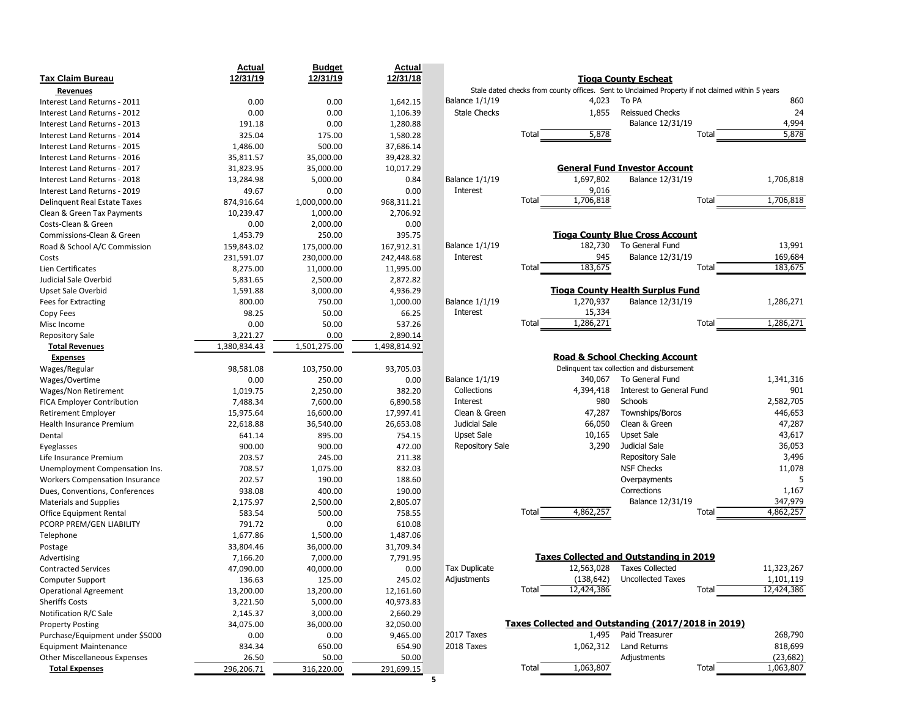|                                       | <b>Actual</b> | <b>Budget</b> | <b>Actual</b> |                        |                                                                                                  |                                                |            |
|---------------------------------------|---------------|---------------|---------------|------------------------|--------------------------------------------------------------------------------------------------|------------------------------------------------|------------|
| <b>Tax Claim Bureau</b>               | 12/31/19      | 12/31/19      | 12/31/18      |                        |                                                                                                  | <b>Tioga County Escheat</b>                    |            |
| Revenues                              |               |               |               |                        | Stale dated checks from county offices. Sent to Unclaimed Property if not claimed within 5 years |                                                |            |
| Interest Land Returns - 2011          | 0.00          | 0.00          | 1,642.15      | <b>Balance 1/1/19</b>  | 4,023                                                                                            | To PA                                          | 860        |
| Interest Land Returns - 2012          | 0.00          | 0.00          | 1,106.39      | <b>Stale Checks</b>    | 1,855                                                                                            | <b>Reissued Checks</b>                         | 24         |
| Interest Land Returns - 2013          | 191.18        | 0.00          | 1,280.88      |                        |                                                                                                  | Balance 12/31/19                               | 4,994      |
| Interest Land Returns - 2014          | 325.04        | 175.00        | 1,580.28      |                        | 5,878<br>Total                                                                                   | Total                                          | 5,878      |
| Interest Land Returns - 2015          | 1,486.00      | 500.00        | 37,686.14     |                        |                                                                                                  |                                                |            |
| Interest Land Returns - 2016          | 35,811.57     | 35,000.00     | 39,428.32     |                        |                                                                                                  |                                                |            |
| Interest Land Returns - 2017          | 31,823.95     | 35,000.00     | 10,017.29     |                        |                                                                                                  | <b>General Fund Investor Account</b>           |            |
| Interest Land Returns - 2018          | 13,284.98     | 5,000.00      | 0.84          | Balance 1/1/19         | 1,697,802                                                                                        | Balance 12/31/19                               | 1,706,818  |
| Interest Land Returns - 2019          | 49.67         | 0.00          | 0.00          | Interest               | 9,016                                                                                            |                                                |            |
| <b>Delinquent Real Estate Taxes</b>   | 874,916.64    | 1,000,000.00  | 968,311.21    |                        | 1,706,818<br>Total                                                                               | Total                                          | 1,706,818  |
| Clean & Green Tax Payments            | 10,239.47     | 1,000.00      | 2,706.92      |                        |                                                                                                  |                                                |            |
| Costs-Clean & Green                   | 0.00          | 2,000.00      | 0.00          |                        |                                                                                                  |                                                |            |
| Commissions-Clean & Green             | 1,453.79      | 250.00        | 395.75        |                        |                                                                                                  | <b>Tioga County Blue Cross Account</b>         |            |
| Road & School A/C Commission          | 159,843.02    | 175,000.00    | 167,912.31    | Balance 1/1/19         | 182,730                                                                                          | To General Fund                                | 13,991     |
| Costs                                 | 231,591.07    | 230,000.00    | 242,448.68    | Interest               | 945                                                                                              | Balance 12/31/19                               | 169,684    |
| Lien Certificates                     | 8,275.00      | 11,000.00     | 11,995.00     |                        | 183,675<br>Total                                                                                 | Total                                          | 183,675    |
| Judicial Sale Overbid                 | 5,831.65      | 2,500.00      | 2,872.82      |                        |                                                                                                  |                                                |            |
| <b>Upset Sale Overbid</b>             | 1,591.88      | 3,000.00      | 4,936.29      |                        |                                                                                                  | <b>Tioga County Health Surplus Fund</b>        |            |
| Fees for Extracting                   | 800.00        | 750.00        | 1,000.00      | <b>Balance 1/1/19</b>  | 1,270,937                                                                                        | Balance 12/31/19                               | 1,286,271  |
| Copy Fees                             | 98.25         | 50.00         | 66.25         | Interest               | 15,334                                                                                           |                                                |            |
| Misc Income                           | 0.00          | 50.00         | 537.26        |                        | 1,286,271<br>Total                                                                               | Total                                          | 1,286,271  |
| <b>Repository Sale</b>                | 3,221.27      | 0.00          | 2,890.14      |                        |                                                                                                  |                                                |            |
| <b>Total Revenues</b>                 | 1,380,834.43  | 1,501,275.00  | 1,498,814.92  |                        |                                                                                                  |                                                |            |
| <b>Expenses</b>                       |               |               |               |                        |                                                                                                  | <b>Road &amp; School Checking Account</b>      |            |
| Wages/Regular                         | 98,581.08     | 103,750.00    | 93,705.03     |                        |                                                                                                  | Delinquent tax collection and disbursement     |            |
| Wages/Overtime                        | 0.00          | 250.00        | 0.00          | Balance 1/1/19         | 340,067                                                                                          | To General Fund                                | 1,341,316  |
| Wages/Non Retirement                  | 1,019.75      | 2,250.00      | 382.20        | Collections            | 4,394,418                                                                                        | Interest to General Fund                       | 901        |
| <b>FICA Employer Contribution</b>     | 7,488.34      | 7,600.00      | 6,890.58      | Interest               | 980                                                                                              | Schools                                        | 2,582,705  |
| <b>Retirement Employer</b>            | 15,975.64     | 16,600.00     | 17,997.41     | Clean & Green          | 47,287                                                                                           | Townships/Boros                                | 446,653    |
| Health Insurance Premium              | 22,618.88     | 36,540.00     | 26,653.08     | Judicial Sale          | 66,050                                                                                           | Clean & Green                                  | 47,287     |
| Dental                                | 641.14        | 895.00        | 754.15        | <b>Upset Sale</b>      | 10,165                                                                                           | <b>Upset Sale</b>                              | 43,617     |
| Eyeglasses                            | 900.00        | 900.00        | 472.00        | <b>Repository Sale</b> | 3,290                                                                                            | Judicial Sale                                  | 36,053     |
| Life Insurance Premium                | 203.57        | 245.00        | 211.38        |                        |                                                                                                  | <b>Repository Sale</b>                         | 3,496      |
| Unemployment Compensation Ins.        | 708.57        | 1,075.00      | 832.03        |                        |                                                                                                  | <b>NSF Checks</b>                              | 11,078     |
| <b>Workers Compensation Insurance</b> | 202.57        | 190.00        | 188.60        |                        |                                                                                                  | Overpayments                                   |            |
| Dues, Conventions, Conferences        | 938.08        | 400.00        | 190.00        |                        |                                                                                                  | Corrections                                    | 1,167      |
| <b>Materials and Supplies</b>         | 2,175.97      | 2,500.00      | 2,805.07      |                        |                                                                                                  | Balance 12/31/19                               | 347,979    |
| <b>Office Equipment Rental</b>        | 583.54        | 500.00        | 758.55        |                        | 4,862,257<br>Total                                                                               | Total                                          | 4,862,257  |
| PCORP PREM/GEN LIABILITY              | 791.72        | 0.00          | 610.08        |                        |                                                                                                  |                                                |            |
| Telephone                             | 1,677.86      | 1,500.00      | 1,487.06      |                        |                                                                                                  |                                                |            |
| Postage                               | 33,804.46     | 36,000.00     | 31,709.34     |                        |                                                                                                  |                                                |            |
| Advertising                           | 7,166.20      | 7,000.00      | 7,791.95      |                        |                                                                                                  | <b>Taxes Collected and Outstanding in 2019</b> |            |
| <b>Contracted Services</b>            | 47,090.00     | 40,000.00     | 0.00          | <b>Tax Duplicate</b>   | 12,563,028                                                                                       | <b>Taxes Collected</b>                         | 11,323,267 |
| <b>Computer Support</b>               | 136.63        | 125.00        | 245.02        | Adjustments            | (138, 642)                                                                                       | <b>Uncollected Taxes</b>                       | 1,101,119  |
| <b>Operational Agreement</b>          | 13,200.00     | 13,200.00     | 12,161.60     |                        | Total<br>12,424,386                                                                              | Total                                          | 12,424,386 |
| <b>Sheriffs Costs</b>                 | 3,221.50      | 5,000.00      | 40,973.83     |                        |                                                                                                  |                                                |            |
| Notification R/C Sale                 | 2,145.37      | 3,000.00      | 2,660.29      |                        |                                                                                                  |                                                |            |
| <b>Property Posting</b>               | 34,075.00     | 36,000.00     | 32,050.00     |                        | Taxes Collected and Outstanding (2017/2018 in 2019)                                              |                                                |            |
| Purchase/Equipment under \$5000       | 0.00          | 0.00          | 9,465.00      | 2017 Taxes             | 1,495                                                                                            | Paid Treasurer                                 | 268,790    |
| <b>Equipment Maintenance</b>          | 834.34        | 650.00        | 654.90        | 2018 Taxes             | 1,062,312                                                                                        | Land Returns                                   | 818,699    |
| <b>Other Miscellaneous Expenses</b>   | 26.50         | 50.00         | 50.00         |                        |                                                                                                  | Adjustments                                    | (23, 682)  |
| <b>Total Expenses</b>                 | 296,206.71    | 316,220.00    | 291,699.15    |                        | 1,063,807<br>Total                                                                               | Total                                          | 1,063,807  |

|               |       |                | <b>Tioga County Escheat</b>                                                                      |              |                    |
|---------------|-------|----------------|--------------------------------------------------------------------------------------------------|--------------|--------------------|
|               |       |                | Stale dated checks from county offices. Sent to Unclaimed Property if not claimed within 5 years |              |                    |
| ce 1/1/19     |       | 4,023          | To PA                                                                                            |              | 860                |
| lle Checks    |       | 1,855          | <b>Reissued Checks</b>                                                                           |              | 24                 |
|               |       |                | Balance 12/31/19                                                                                 |              | 4,994              |
|               | Total | 5,878          |                                                                                                  | Total        | 5,878              |
|               |       |                |                                                                                                  |              |                    |
|               |       |                |                                                                                                  |              |                    |
|               |       |                | <b>General Fund Investor Account</b>                                                             |              |                    |
| ce 1/1/19     |       | 1,697,802      | Balance 12/31/19                                                                                 |              | 1,706,818          |
| erest         |       | 9,016          |                                                                                                  |              |                    |
|               | Total | 1,706,818      |                                                                                                  | <b>Total</b> | 1,706,818          |
|               |       |                |                                                                                                  |              |                    |
|               |       |                |                                                                                                  |              |                    |
|               |       |                | <b>Tioga County Blue Cross Account</b><br>To General Fund                                        |              |                    |
| ce 1/1/19     |       | 182,730<br>945 |                                                                                                  |              | 13,991             |
| erest         | Total | 183,675        | Balance 12/31/19                                                                                 | Total        | 169,684<br>183,675 |
|               |       |                |                                                                                                  |              |                    |
|               |       |                | <b>Tioga County Health Surplus Fund</b>                                                          |              |                    |
| ce 1/1/19     |       | 1,270,937      | Balance 12/31/19                                                                                 |              | 1,286,271          |
| erest         |       | 15,334         |                                                                                                  |              |                    |
|               | Total | 1,286,271      |                                                                                                  | Total        | 1,286,271          |
|               |       |                |                                                                                                  |              |                    |
|               |       |                |                                                                                                  |              |                    |
|               |       |                | <b>Road &amp; School Checking Account</b>                                                        |              |                    |
|               |       |                | Delinquent tax collection and disbursement                                                       |              |                    |
| ce 1/1/19     |       | 340,067        | To General Fund                                                                                  |              | 1,341,316          |
| lections      |       | 4,394,418      | Interest to General Fund                                                                         |              | 901                |
| erest         |       | 980            | Schools                                                                                          |              | 2,582,705          |
| an & Green    |       | 47,287         | Townships/Boros                                                                                  |              | 446,653            |
| dicial Sale   |       | 66,050         | Clean & Green                                                                                    |              | 47,287             |
| set Sale      |       | 10,165         | <b>Upset Sale</b>                                                                                |              | 43,617             |
| pository Sale |       | 3,290          | Judicial Sale                                                                                    |              | 36,053             |
|               |       |                | <b>Repository Sale</b><br><b>NSF Checks</b>                                                      |              | 3,496<br>11,078    |
|               |       |                | Overpayments                                                                                     |              | 5                  |
|               |       |                | Corrections                                                                                      |              | 1,167              |
|               |       |                |                                                                                                  |              |                    |

|      |           | Balance 12/31/19 |  |
|------|-----------|------------------|--|
| otal | 4,862,257 | $\tau$ otal      |  |
|      |           |                  |  |

|  | Taxes Collected and Outstanding in 2019 |  |
|--|-----------------------------------------|--|
|  |                                         |  |

|       | 12,563,028 | <b>Taxes Collected</b>      |       | 11,323,267 |
|-------|------------|-----------------------------|-------|------------|
|       |            | (138,642) Uncollected Taxes |       | 1,101,119  |
| Total | 12,424,386 |                             | Total | 12,424,386 |

| Taxes Collected and Outstanding (2017/2018 in 2019) |           |                        |       |           |  |  |  |  |  |
|-----------------------------------------------------|-----------|------------------------|-------|-----------|--|--|--|--|--|
|                                                     |           | 1,495 Paid Treasurer   |       | 268,790   |  |  |  |  |  |
|                                                     |           | 1,062,312 Land Returns |       | 818,699   |  |  |  |  |  |
|                                                     |           | Adjustments            |       | (23, 682) |  |  |  |  |  |
| Total                                               | 1,063,807 |                        | Total | 1,063,807 |  |  |  |  |  |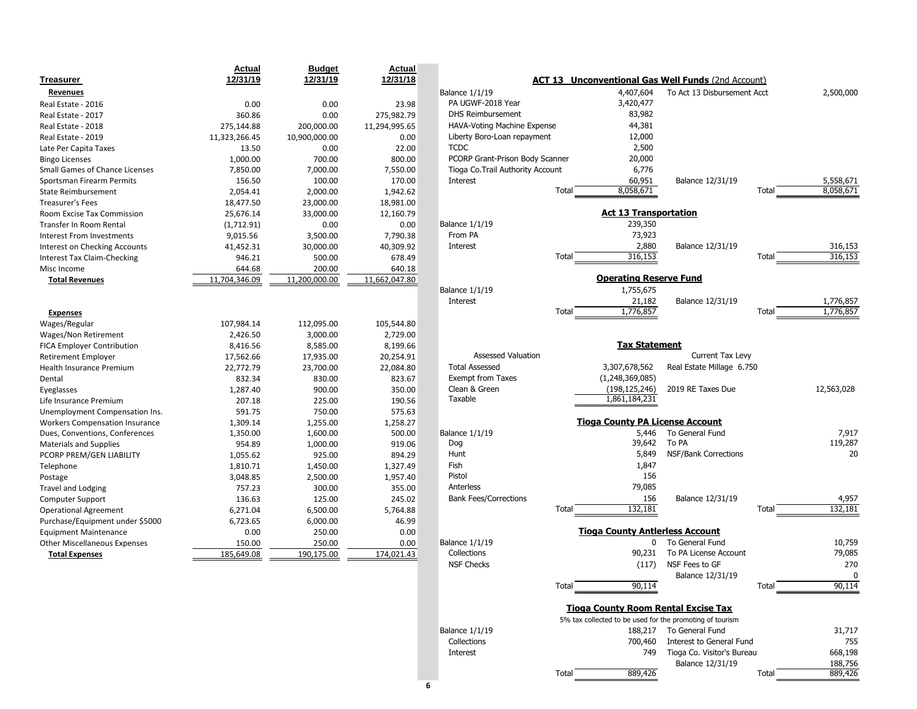| 12/31/19<br>12/31/19<br>12/31/18<br><b>ACT 13 Unconventional Gas Well Funds (2nd Account</b><br>To Act 13 Disbursement A<br><b>Revenues</b><br>Balance 1/1/19<br>4,407,604<br>3,420,477<br>PA UGWF-2018 Year<br>Real Estate - 2016<br>0.00<br>0.00<br>23.98<br>83,982<br><b>DHS Reimbursement</b><br>275,982.79<br>360.86<br>0.00<br>Real Estate - 2017<br>44,381<br>275,144.88<br>200,000.00<br>11,294,995.65<br><b>HAVA-Voting Machine Expense</b><br>Liberty Boro-Loan repayment<br>12,000<br>0.00<br>11,323,266.45<br>10,900,000.00<br><b>TCDC</b><br>2,500<br>13.50<br>0.00<br>22.00<br>Late Per Capita Taxes<br>PCORP Grant-Prison Body Scanner<br>20,000<br>800.00<br>1,000.00<br>700.00<br><b>Bingo Licenses</b><br>6,776<br>Tioga Co.Trail Authority Account<br>7,850.00<br>7,000.00<br>7,550.00<br>Interest<br>60,951<br>Balance 12/31/19<br>156.50<br>100.00<br>170.00<br>8,058,671<br>Total<br>1,942.62<br>2,054.41<br>2,000.00<br>18,477.50<br>23,000.00<br>18,981.00<br><b>Act 13 Transportation</b><br>25,676.14<br>33,000.00<br>12,160.79<br><b>Balance 1/1/19</b><br>239,350<br>(1,712.91)<br>0.00<br>0.00<br>73,923<br>From PA<br>9,015.56<br>3,500.00<br>7,790.38<br>2,880<br>Balance 12/31/19<br>40,309.92<br>Interest<br>Interest on Checking Accounts<br>41,452.31<br>30,000.00<br>316, 153<br>Total<br>500.00<br>678.49<br>Interest Tax Claim-Checking<br>946.21<br>640.18<br>644.68<br>200.00<br><b>Operating Reserve Fund</b><br>11,662,047.80<br>11,704,346.09<br>11,200,000.00<br><b>Total Revenues</b><br><b>Balance 1/1/19</b><br>1,755,675<br>Interest<br>Balance 12/31/19<br>21,182<br>1,776,857<br>Total<br><b>Expenses</b><br>Wages/Regular<br>107,984.14<br>112,095.00<br>105,544.80<br>Wages/Non Retirement<br>2,426.50<br>3,000.00<br>2,729.00<br><b>Tax Statement</b><br>8,416.56<br>8,585.00<br>8,199.66<br><b>Assessed Valuation</b><br>Current Tax Levy<br><b>Retirement Employer</b><br>17,562.66<br>17,935.00<br>20,254.91<br>Real Estate Millage 6.750<br><b>Total Assessed</b><br>3,307,678,562<br><b>Health Insurance Premium</b><br>22,772.79<br>23,700.00<br>22,084.80<br><b>Exempt from Taxes</b><br>(1,248,369,085)<br>832.34<br>830.00<br>823.67<br>Clean & Green<br>2019 RE Taxes Due<br>350.00<br>(198, 125, 246)<br>1,287.40<br>900.00<br>Eyeglasses<br>Taxable<br>1,861,184,231<br>190.56<br>Life Insurance Premium<br>207.18<br>225.00<br>750.00<br>575.63<br>591.75<br>Unemployment Compensation Ins. |                                       | Actual   | <b>Budget</b> | Actual   |  |  |
|---------------------------------------------------------------------------------------------------------------------------------------------------------------------------------------------------------------------------------------------------------------------------------------------------------------------------------------------------------------------------------------------------------------------------------------------------------------------------------------------------------------------------------------------------------------------------------------------------------------------------------------------------------------------------------------------------------------------------------------------------------------------------------------------------------------------------------------------------------------------------------------------------------------------------------------------------------------------------------------------------------------------------------------------------------------------------------------------------------------------------------------------------------------------------------------------------------------------------------------------------------------------------------------------------------------------------------------------------------------------------------------------------------------------------------------------------------------------------------------------------------------------------------------------------------------------------------------------------------------------------------------------------------------------------------------------------------------------------------------------------------------------------------------------------------------------------------------------------------------------------------------------------------------------------------------------------------------------------------------------------------------------------------------------------------------------------------------------------------------------------------------------------------------------------------------------------------------------------------------------------------------------------------------------------------------------------------------------------------------------------------------------------------------------------------------------------------------|---------------------------------------|----------|---------------|----------|--|--|
|                                                                                                                                                                                                                                                                                                                                                                                                                                                                                                                                                                                                                                                                                                                                                                                                                                                                                                                                                                                                                                                                                                                                                                                                                                                                                                                                                                                                                                                                                                                                                                                                                                                                                                                                                                                                                                                                                                                                                                                                                                                                                                                                                                                                                                                                                                                                                                                                                                                               | <b>Treasurer</b>                      |          |               |          |  |  |
|                                                                                                                                                                                                                                                                                                                                                                                                                                                                                                                                                                                                                                                                                                                                                                                                                                                                                                                                                                                                                                                                                                                                                                                                                                                                                                                                                                                                                                                                                                                                                                                                                                                                                                                                                                                                                                                                                                                                                                                                                                                                                                                                                                                                                                                                                                                                                                                                                                                               |                                       |          |               |          |  |  |
|                                                                                                                                                                                                                                                                                                                                                                                                                                                                                                                                                                                                                                                                                                                                                                                                                                                                                                                                                                                                                                                                                                                                                                                                                                                                                                                                                                                                                                                                                                                                                                                                                                                                                                                                                                                                                                                                                                                                                                                                                                                                                                                                                                                                                                                                                                                                                                                                                                                               |                                       |          |               |          |  |  |
|                                                                                                                                                                                                                                                                                                                                                                                                                                                                                                                                                                                                                                                                                                                                                                                                                                                                                                                                                                                                                                                                                                                                                                                                                                                                                                                                                                                                                                                                                                                                                                                                                                                                                                                                                                                                                                                                                                                                                                                                                                                                                                                                                                                                                                                                                                                                                                                                                                                               |                                       |          |               |          |  |  |
|                                                                                                                                                                                                                                                                                                                                                                                                                                                                                                                                                                                                                                                                                                                                                                                                                                                                                                                                                                                                                                                                                                                                                                                                                                                                                                                                                                                                                                                                                                                                                                                                                                                                                                                                                                                                                                                                                                                                                                                                                                                                                                                                                                                                                                                                                                                                                                                                                                                               | Real Estate - 2018                    |          |               |          |  |  |
|                                                                                                                                                                                                                                                                                                                                                                                                                                                                                                                                                                                                                                                                                                                                                                                                                                                                                                                                                                                                                                                                                                                                                                                                                                                                                                                                                                                                                                                                                                                                                                                                                                                                                                                                                                                                                                                                                                                                                                                                                                                                                                                                                                                                                                                                                                                                                                                                                                                               | Real Estate - 2019                    |          |               |          |  |  |
|                                                                                                                                                                                                                                                                                                                                                                                                                                                                                                                                                                                                                                                                                                                                                                                                                                                                                                                                                                                                                                                                                                                                                                                                                                                                                                                                                                                                                                                                                                                                                                                                                                                                                                                                                                                                                                                                                                                                                                                                                                                                                                                                                                                                                                                                                                                                                                                                                                                               |                                       |          |               |          |  |  |
|                                                                                                                                                                                                                                                                                                                                                                                                                                                                                                                                                                                                                                                                                                                                                                                                                                                                                                                                                                                                                                                                                                                                                                                                                                                                                                                                                                                                                                                                                                                                                                                                                                                                                                                                                                                                                                                                                                                                                                                                                                                                                                                                                                                                                                                                                                                                                                                                                                                               |                                       |          |               |          |  |  |
|                                                                                                                                                                                                                                                                                                                                                                                                                                                                                                                                                                                                                                                                                                                                                                                                                                                                                                                                                                                                                                                                                                                                                                                                                                                                                                                                                                                                                                                                                                                                                                                                                                                                                                                                                                                                                                                                                                                                                                                                                                                                                                                                                                                                                                                                                                                                                                                                                                                               | Small Games of Chance Licenses        |          |               |          |  |  |
|                                                                                                                                                                                                                                                                                                                                                                                                                                                                                                                                                                                                                                                                                                                                                                                                                                                                                                                                                                                                                                                                                                                                                                                                                                                                                                                                                                                                                                                                                                                                                                                                                                                                                                                                                                                                                                                                                                                                                                                                                                                                                                                                                                                                                                                                                                                                                                                                                                                               | Sportsman Firearm Permits             |          |               |          |  |  |
|                                                                                                                                                                                                                                                                                                                                                                                                                                                                                                                                                                                                                                                                                                                                                                                                                                                                                                                                                                                                                                                                                                                                                                                                                                                                                                                                                                                                                                                                                                                                                                                                                                                                                                                                                                                                                                                                                                                                                                                                                                                                                                                                                                                                                                                                                                                                                                                                                                                               | State Reimbursement                   |          |               |          |  |  |
|                                                                                                                                                                                                                                                                                                                                                                                                                                                                                                                                                                                                                                                                                                                                                                                                                                                                                                                                                                                                                                                                                                                                                                                                                                                                                                                                                                                                                                                                                                                                                                                                                                                                                                                                                                                                                                                                                                                                                                                                                                                                                                                                                                                                                                                                                                                                                                                                                                                               | <b>Treasurer's Fees</b>               |          |               |          |  |  |
|                                                                                                                                                                                                                                                                                                                                                                                                                                                                                                                                                                                                                                                                                                                                                                                                                                                                                                                                                                                                                                                                                                                                                                                                                                                                                                                                                                                                                                                                                                                                                                                                                                                                                                                                                                                                                                                                                                                                                                                                                                                                                                                                                                                                                                                                                                                                                                                                                                                               | <b>Room Excise Tax Commission</b>     |          |               |          |  |  |
|                                                                                                                                                                                                                                                                                                                                                                                                                                                                                                                                                                                                                                                                                                                                                                                                                                                                                                                                                                                                                                                                                                                                                                                                                                                                                                                                                                                                                                                                                                                                                                                                                                                                                                                                                                                                                                                                                                                                                                                                                                                                                                                                                                                                                                                                                                                                                                                                                                                               | Transfer In Room Rental               |          |               |          |  |  |
|                                                                                                                                                                                                                                                                                                                                                                                                                                                                                                                                                                                                                                                                                                                                                                                                                                                                                                                                                                                                                                                                                                                                                                                                                                                                                                                                                                                                                                                                                                                                                                                                                                                                                                                                                                                                                                                                                                                                                                                                                                                                                                                                                                                                                                                                                                                                                                                                                                                               | Interest From Investments             |          |               |          |  |  |
|                                                                                                                                                                                                                                                                                                                                                                                                                                                                                                                                                                                                                                                                                                                                                                                                                                                                                                                                                                                                                                                                                                                                                                                                                                                                                                                                                                                                                                                                                                                                                                                                                                                                                                                                                                                                                                                                                                                                                                                                                                                                                                                                                                                                                                                                                                                                                                                                                                                               |                                       |          |               |          |  |  |
|                                                                                                                                                                                                                                                                                                                                                                                                                                                                                                                                                                                                                                                                                                                                                                                                                                                                                                                                                                                                                                                                                                                                                                                                                                                                                                                                                                                                                                                                                                                                                                                                                                                                                                                                                                                                                                                                                                                                                                                                                                                                                                                                                                                                                                                                                                                                                                                                                                                               |                                       |          |               |          |  |  |
|                                                                                                                                                                                                                                                                                                                                                                                                                                                                                                                                                                                                                                                                                                                                                                                                                                                                                                                                                                                                                                                                                                                                                                                                                                                                                                                                                                                                                                                                                                                                                                                                                                                                                                                                                                                                                                                                                                                                                                                                                                                                                                                                                                                                                                                                                                                                                                                                                                                               | Misc Income                           |          |               |          |  |  |
|                                                                                                                                                                                                                                                                                                                                                                                                                                                                                                                                                                                                                                                                                                                                                                                                                                                                                                                                                                                                                                                                                                                                                                                                                                                                                                                                                                                                                                                                                                                                                                                                                                                                                                                                                                                                                                                                                                                                                                                                                                                                                                                                                                                                                                                                                                                                                                                                                                                               |                                       |          |               |          |  |  |
|                                                                                                                                                                                                                                                                                                                                                                                                                                                                                                                                                                                                                                                                                                                                                                                                                                                                                                                                                                                                                                                                                                                                                                                                                                                                                                                                                                                                                                                                                                                                                                                                                                                                                                                                                                                                                                                                                                                                                                                                                                                                                                                                                                                                                                                                                                                                                                                                                                                               |                                       |          |               |          |  |  |
|                                                                                                                                                                                                                                                                                                                                                                                                                                                                                                                                                                                                                                                                                                                                                                                                                                                                                                                                                                                                                                                                                                                                                                                                                                                                                                                                                                                                                                                                                                                                                                                                                                                                                                                                                                                                                                                                                                                                                                                                                                                                                                                                                                                                                                                                                                                                                                                                                                                               |                                       |          |               |          |  |  |
|                                                                                                                                                                                                                                                                                                                                                                                                                                                                                                                                                                                                                                                                                                                                                                                                                                                                                                                                                                                                                                                                                                                                                                                                                                                                                                                                                                                                                                                                                                                                                                                                                                                                                                                                                                                                                                                                                                                                                                                                                                                                                                                                                                                                                                                                                                                                                                                                                                                               |                                       |          |               |          |  |  |
|                                                                                                                                                                                                                                                                                                                                                                                                                                                                                                                                                                                                                                                                                                                                                                                                                                                                                                                                                                                                                                                                                                                                                                                                                                                                                                                                                                                                                                                                                                                                                                                                                                                                                                                                                                                                                                                                                                                                                                                                                                                                                                                                                                                                                                                                                                                                                                                                                                                               |                                       |          |               |          |  |  |
|                                                                                                                                                                                                                                                                                                                                                                                                                                                                                                                                                                                                                                                                                                                                                                                                                                                                                                                                                                                                                                                                                                                                                                                                                                                                                                                                                                                                                                                                                                                                                                                                                                                                                                                                                                                                                                                                                                                                                                                                                                                                                                                                                                                                                                                                                                                                                                                                                                                               |                                       |          |               |          |  |  |
|                                                                                                                                                                                                                                                                                                                                                                                                                                                                                                                                                                                                                                                                                                                                                                                                                                                                                                                                                                                                                                                                                                                                                                                                                                                                                                                                                                                                                                                                                                                                                                                                                                                                                                                                                                                                                                                                                                                                                                                                                                                                                                                                                                                                                                                                                                                                                                                                                                                               | <b>FICA Employer Contribution</b>     |          |               |          |  |  |
|                                                                                                                                                                                                                                                                                                                                                                                                                                                                                                                                                                                                                                                                                                                                                                                                                                                                                                                                                                                                                                                                                                                                                                                                                                                                                                                                                                                                                                                                                                                                                                                                                                                                                                                                                                                                                                                                                                                                                                                                                                                                                                                                                                                                                                                                                                                                                                                                                                                               |                                       |          |               |          |  |  |
|                                                                                                                                                                                                                                                                                                                                                                                                                                                                                                                                                                                                                                                                                                                                                                                                                                                                                                                                                                                                                                                                                                                                                                                                                                                                                                                                                                                                                                                                                                                                                                                                                                                                                                                                                                                                                                                                                                                                                                                                                                                                                                                                                                                                                                                                                                                                                                                                                                                               |                                       |          |               |          |  |  |
|                                                                                                                                                                                                                                                                                                                                                                                                                                                                                                                                                                                                                                                                                                                                                                                                                                                                                                                                                                                                                                                                                                                                                                                                                                                                                                                                                                                                                                                                                                                                                                                                                                                                                                                                                                                                                                                                                                                                                                                                                                                                                                                                                                                                                                                                                                                                                                                                                                                               | Dental                                |          |               |          |  |  |
|                                                                                                                                                                                                                                                                                                                                                                                                                                                                                                                                                                                                                                                                                                                                                                                                                                                                                                                                                                                                                                                                                                                                                                                                                                                                                                                                                                                                                                                                                                                                                                                                                                                                                                                                                                                                                                                                                                                                                                                                                                                                                                                                                                                                                                                                                                                                                                                                                                                               |                                       |          |               |          |  |  |
|                                                                                                                                                                                                                                                                                                                                                                                                                                                                                                                                                                                                                                                                                                                                                                                                                                                                                                                                                                                                                                                                                                                                                                                                                                                                                                                                                                                                                                                                                                                                                                                                                                                                                                                                                                                                                                                                                                                                                                                                                                                                                                                                                                                                                                                                                                                                                                                                                                                               |                                       |          |               |          |  |  |
|                                                                                                                                                                                                                                                                                                                                                                                                                                                                                                                                                                                                                                                                                                                                                                                                                                                                                                                                                                                                                                                                                                                                                                                                                                                                                                                                                                                                                                                                                                                                                                                                                                                                                                                                                                                                                                                                                                                                                                                                                                                                                                                                                                                                                                                                                                                                                                                                                                                               |                                       |          |               |          |  |  |
| <b>Tioga County PA License Account</b>                                                                                                                                                                                                                                                                                                                                                                                                                                                                                                                                                                                                                                                                                                                                                                                                                                                                                                                                                                                                                                                                                                                                                                                                                                                                                                                                                                                                                                                                                                                                                                                                                                                                                                                                                                                                                                                                                                                                                                                                                                                                                                                                                                                                                                                                                                                                                                                                                        | <b>Workers Compensation Insurance</b> | 1,309.14 | 1,255.00      | 1,258.27 |  |  |
| 5,446<br>To General Fund<br>500.00<br>Balance 1/1/19<br>Dues, Conventions, Conferences<br>1,350.00<br>1,600.00                                                                                                                                                                                                                                                                                                                                                                                                                                                                                                                                                                                                                                                                                                                                                                                                                                                                                                                                                                                                                                                                                                                                                                                                                                                                                                                                                                                                                                                                                                                                                                                                                                                                                                                                                                                                                                                                                                                                                                                                                                                                                                                                                                                                                                                                                                                                                |                                       |          |               |          |  |  |
| 39,642<br>To PA<br>Dog<br>919.06<br><b>Materials and Supplies</b><br>954.89<br>1,000.00                                                                                                                                                                                                                                                                                                                                                                                                                                                                                                                                                                                                                                                                                                                                                                                                                                                                                                                                                                                                                                                                                                                                                                                                                                                                                                                                                                                                                                                                                                                                                                                                                                                                                                                                                                                                                                                                                                                                                                                                                                                                                                                                                                                                                                                                                                                                                                       |                                       |          |               |          |  |  |
| 5,849<br>Hunt<br><b>NSF/Bank Corrections</b><br>894.29<br>1,055.62<br>925.00                                                                                                                                                                                                                                                                                                                                                                                                                                                                                                                                                                                                                                                                                                                                                                                                                                                                                                                                                                                                                                                                                                                                                                                                                                                                                                                                                                                                                                                                                                                                                                                                                                                                                                                                                                                                                                                                                                                                                                                                                                                                                                                                                                                                                                                                                                                                                                                  | PCORP PREM/GEN LIABILITY              |          |               |          |  |  |
| Fish<br>1.847<br>1,810.71<br>1,450.00<br>1,327.49                                                                                                                                                                                                                                                                                                                                                                                                                                                                                                                                                                                                                                                                                                                                                                                                                                                                                                                                                                                                                                                                                                                                                                                                                                                                                                                                                                                                                                                                                                                                                                                                                                                                                                                                                                                                                                                                                                                                                                                                                                                                                                                                                                                                                                                                                                                                                                                                             | Telephone                             |          |               |          |  |  |
| Pistol<br>156<br>3,048.85<br>2,500.00<br>1,957.40                                                                                                                                                                                                                                                                                                                                                                                                                                                                                                                                                                                                                                                                                                                                                                                                                                                                                                                                                                                                                                                                                                                                                                                                                                                                                                                                                                                                                                                                                                                                                                                                                                                                                                                                                                                                                                                                                                                                                                                                                                                                                                                                                                                                                                                                                                                                                                                                             | Postage                               |          |               |          |  |  |
| 79,085<br>Anterless<br>355.00<br>757.23<br>300.00                                                                                                                                                                                                                                                                                                                                                                                                                                                                                                                                                                                                                                                                                                                                                                                                                                                                                                                                                                                                                                                                                                                                                                                                                                                                                                                                                                                                                                                                                                                                                                                                                                                                                                                                                                                                                                                                                                                                                                                                                                                                                                                                                                                                                                                                                                                                                                                                             | <b>Travel and Lodging</b>             |          |               |          |  |  |
| 245.02<br><b>Bank Fees/Corrections</b><br>156<br>Balance 12/31/19<br>136.63<br>125.00                                                                                                                                                                                                                                                                                                                                                                                                                                                                                                                                                                                                                                                                                                                                                                                                                                                                                                                                                                                                                                                                                                                                                                                                                                                                                                                                                                                                                                                                                                                                                                                                                                                                                                                                                                                                                                                                                                                                                                                                                                                                                                                                                                                                                                                                                                                                                                         | <b>Computer Support</b>               |          |               |          |  |  |
| 132,181<br>Total<br>6,500.00<br>5,764.88<br>6,271.04                                                                                                                                                                                                                                                                                                                                                                                                                                                                                                                                                                                                                                                                                                                                                                                                                                                                                                                                                                                                                                                                                                                                                                                                                                                                                                                                                                                                                                                                                                                                                                                                                                                                                                                                                                                                                                                                                                                                                                                                                                                                                                                                                                                                                                                                                                                                                                                                          | <b>Operational Agreement</b>          |          |               |          |  |  |
| 46.99<br>6,000.00<br>6,723.65                                                                                                                                                                                                                                                                                                                                                                                                                                                                                                                                                                                                                                                                                                                                                                                                                                                                                                                                                                                                                                                                                                                                                                                                                                                                                                                                                                                                                                                                                                                                                                                                                                                                                                                                                                                                                                                                                                                                                                                                                                                                                                                                                                                                                                                                                                                                                                                                                                 | Purchase/Equipment under \$5000       |          |               |          |  |  |
| <b>Tioga County Antierless Account</b><br>0.00<br>250.00<br>0.00<br><b>Equipment Maintenance</b>                                                                                                                                                                                                                                                                                                                                                                                                                                                                                                                                                                                                                                                                                                                                                                                                                                                                                                                                                                                                                                                                                                                                                                                                                                                                                                                                                                                                                                                                                                                                                                                                                                                                                                                                                                                                                                                                                                                                                                                                                                                                                                                                                                                                                                                                                                                                                              |                                       |          |               |          |  |  |
| <b>Balance 1/1/19</b><br>To General Fund<br>250.00<br>150.00<br>0.00<br>0                                                                                                                                                                                                                                                                                                                                                                                                                                                                                                                                                                                                                                                                                                                                                                                                                                                                                                                                                                                                                                                                                                                                                                                                                                                                                                                                                                                                                                                                                                                                                                                                                                                                                                                                                                                                                                                                                                                                                                                                                                                                                                                                                                                                                                                                                                                                                                                     | <b>Other Miscellaneous Expenses</b>   |          |               |          |  |  |
| Collections<br>90,231 To PA License Account<br>185,649.08<br>190,175.00<br>174.021.43<br><b>Total Expenses</b>                                                                                                                                                                                                                                                                                                                                                                                                                                                                                                                                                                                                                                                                                                                                                                                                                                                                                                                                                                                                                                                                                                                                                                                                                                                                                                                                                                                                                                                                                                                                                                                                                                                                                                                                                                                                                                                                                                                                                                                                                                                                                                                                                                                                                                                                                                                                                |                                       |          |               |          |  |  |

| Treas <u>urer</u>                     | <u>nvuum</u><br>12/31/19 | puugt<br>12/31/19 | <u>Avuut</u><br>12/31/18 |                                  |       |                                                          | <b>ACT 13 Unconventional Gas Well Funds (2nd Account)</b> |       |            |
|---------------------------------------|--------------------------|-------------------|--------------------------|----------------------------------|-------|----------------------------------------------------------|-----------------------------------------------------------|-------|------------|
| Revenues                              |                          |                   |                          | <b>Balance 1/1/19</b>            |       | 4,407,604                                                | To Act 13 Disbursement Acct                               |       | 2,500,000  |
| Real Estate - 2016                    | 0.00                     | 0.00              | 23.98                    | PA UGWF-2018 Year                |       | 3,420,477                                                |                                                           |       |            |
| Real Estate - 2017                    | 360.86                   | 0.00              | 275,982.79               | <b>DHS Reimbursement</b>         |       | 83,982                                                   |                                                           |       |            |
| Real Estate - 2018                    | 275,144.88               | 200,000.00        | 11,294,995.65            | HAVA-Voting Machine Expense      |       | 44,381                                                   |                                                           |       |            |
| Real Estate - 2019                    | 11,323,266.45            | 10,900,000.00     | 0.00                     | Liberty Boro-Loan repayment      |       | 12,000                                                   |                                                           |       |            |
| Late Per Capita Taxes                 | 13.50                    | 0.00              | 22.00                    | <b>TCDC</b>                      |       | 2,500                                                    |                                                           |       |            |
| <b>Bingo Licenses</b>                 | 1,000.00                 | 700.00            | 800.00                   | PCORP Grant-Prison Body Scanner  |       | 20,000                                                   |                                                           |       |            |
| <b>Small Games of Chance Licenses</b> | 7,850.00                 | 7,000.00          | 7,550.00                 | Tioga Co.Trail Authority Account |       | 6,776                                                    |                                                           |       |            |
| Sportsman Firearm Permits             | 156.50                   | 100.00            | 170.00                   | Interest                         |       | 60,951                                                   | Balance 12/31/19                                          |       | 5,558,671  |
| State Reimbursement                   | 2,054.41                 | 2,000.00          | 1,942.62                 |                                  | Total | 8,058,671                                                |                                                           | Total | 8,058,671  |
| Treasurer's Fees                      | 18,477.50                | 23,000.00         | 18,981.00                |                                  |       |                                                          |                                                           |       |            |
| Room Excise Tax Commission            | 25,676.14                | 33,000.00         | 12,160.79                |                                  |       | <b>Act 13 Transportation</b>                             |                                                           |       |            |
| Transfer In Room Rental               | (1,712.91)               | 0.00              | 0.00                     | Balance 1/1/19                   |       | 239,350                                                  |                                                           |       |            |
| <b>Interest From Investments</b>      | 9,015.56                 | 3,500.00          | 7,790.38                 | From PA                          |       | 73,923                                                   |                                                           |       |            |
| <b>Interest on Checking Accounts</b>  | 41,452.31                | 30,000.00         | 40,309.92                | Interest                         |       | 2,880                                                    | Balance 12/31/19                                          |       | 316,153    |
| <b>Interest Tax Claim-Checking</b>    | 946.21                   | 500.00            | 678.49                   |                                  | Total | 316,153                                                  |                                                           | Total | 316,153    |
| Misc Income                           |                          | 200.00            | 640.18                   |                                  |       |                                                          |                                                           |       |            |
|                                       | 644.68<br>11,704,346.09  | 11,200,000.00     | 11,662,047.80            |                                  |       | <b>Operating Reserve Fund</b>                            |                                                           |       |            |
| <b>Total Revenues</b>                 |                          |                   |                          | Balance 1/1/19                   |       | 1,755,675                                                |                                                           |       |            |
|                                       |                          |                   |                          | Interest                         |       | 21,182                                                   | Balance 12/31/19                                          |       | 1,776,857  |
|                                       |                          |                   |                          |                                  | Total | 1,776,857                                                |                                                           | Total | 1,776,857  |
| <b>Expenses</b>                       |                          |                   |                          |                                  |       |                                                          |                                                           |       |            |
| Wages/Regular                         | 107,984.14               | 112,095.00        | 105,544.80               |                                  |       |                                                          |                                                           |       |            |
| Wages/Non Retirement                  | 2,426.50                 | 3,000.00          | 2,729.00                 |                                  |       |                                                          |                                                           |       |            |
| FICA Employer Contribution            | 8,416.56                 | 8,585.00          | 8,199.66                 | <b>Assessed Valuation</b>        |       | <b>Tax Statement</b>                                     | Current Tax Levy                                          |       |            |
| Retirement Employer                   | 17,562.66                | 17,935.00         | 20,254.91                |                                  |       |                                                          |                                                           |       |            |
| Health Insurance Premium              | 22,772.79                | 23,700.00         | 22,084.80                | <b>Total Assessed</b>            |       | 3,307,678,562                                            | Real Estate Millage 6.750                                 |       |            |
| Dental                                | 832.34                   | 830.00            | 823.67                   | <b>Exempt from Taxes</b>         |       | (1, 248, 369, 085)                                       |                                                           |       |            |
| Eyeglasses                            | 1,287.40                 | 900.00            | 350.00                   | Clean & Green<br>Taxable         |       | (198, 125, 246)<br>1,861,184,231                         | 2019 RE Taxes Due                                         |       | 12,563,028 |
| Life Insurance Premium                | 207.18                   | 225.00            | 190.56                   |                                  |       |                                                          |                                                           |       |            |
| Unemployment Compensation Ins.        | 591.75                   | 750.00            | 575.63                   |                                  |       |                                                          |                                                           |       |            |
| <b>Workers Compensation Insurance</b> | 1,309.14                 | 1,255.00          | 1,258.27                 |                                  |       | <b>Tioga County PA License Account</b>                   |                                                           |       |            |
| Dues, Conventions, Conferences        | 1,350.00                 | 1,600.00          | 500.00                   | Balance 1/1/19                   |       | 5,446<br>39,642                                          | To General Fund<br>To PA                                  |       | 7,917      |
| <b>Materials and Supplies</b>         | 954.89                   | 1,000.00          | 919.06                   | Dog                              |       |                                                          |                                                           |       | 119,287    |
| PCORP PREM/GEN LIABILITY              | 1,055.62                 | 925.00            | 894.29                   | Hunt                             |       | 5,849                                                    | <b>NSF/Bank Corrections</b>                               |       | 20         |
| Telephone                             | 1,810.71                 | 1,450.00          | 1,327.49                 | Fish                             |       | 1,847                                                    |                                                           |       |            |
| Postage                               | 3,048.85                 | 2,500.00          | 1,957.40                 | Pistol                           |       | 156                                                      |                                                           |       |            |
| <b>Travel and Lodging</b>             | 757.23                   | 300.00            | 355.00                   | Anterless                        |       | 79,085                                                   |                                                           |       |            |
| Computer Support                      | 136.63                   | 125.00            | 245.02                   | <b>Bank Fees/Corrections</b>     |       | 156                                                      | Balance 12/31/19                                          |       | 4,957      |
| <b>Operational Agreement</b>          | 6,271.04                 | 6,500.00          | 5,764.88                 |                                  | Total | 132,181                                                  |                                                           | Total | 132,181    |
| Purchase/Equipment under \$5000       | 6,723.65                 | 6,000.00          | 46.99                    |                                  |       |                                                          |                                                           |       |            |
| <b>Equipment Maintenance</b>          | 0.00                     | 250.00            | 0.00                     |                                  |       | <b>Tioga County Antierless Account</b>                   |                                                           |       |            |
| <b>Other Miscellaneous Expenses</b>   | 150.00                   | 250.00            | 0.00                     | Balance 1/1/19                   |       | 0                                                        | To General Fund                                           |       | 10,759     |
| <b>Total Expenses</b>                 | 185,649.08               | 190,175.00        | 174,021.43               | Collections                      |       | 90,231                                                   | To PA License Account                                     |       | 79,085     |
|                                       |                          |                   |                          | <b>NSF Checks</b>                |       | (117)                                                    | NSF Fees to GF                                            |       | 270        |
|                                       |                          |                   |                          |                                  |       |                                                          | Balance 12/31/19                                          |       | $\Omega$   |
|                                       |                          |                   |                          |                                  | Total | 90,114                                                   |                                                           | Total | 90,114     |
|                                       |                          |                   |                          |                                  |       |                                                          |                                                           |       |            |
|                                       |                          |                   |                          |                                  |       | <b>Tioga County Room Rental Excise Tax</b>               |                                                           |       |            |
|                                       |                          |                   |                          |                                  |       | 5% tax collected to be used for the promoting of tourism |                                                           |       |            |
|                                       |                          |                   |                          | <b>Balance 1/1/19</b>            |       |                                                          | 188,217 To General Fund                                   |       | 31,717     |
|                                       |                          |                   |                          | Collections                      |       | 700,460                                                  | Interest to General Fund                                  |       | 755        |
|                                       |                          |                   |                          | Interest                         |       | 749                                                      | Tioga Co. Visitor's Bureau                                |       | 668,198    |
|                                       |                          |                   |                          |                                  |       |                                                          | Balance 12/31/19                                          |       | 188,756    |
|                                       |                          |                   |                          |                                  | Total | 889,426                                                  |                                                           | Total | 889,426    |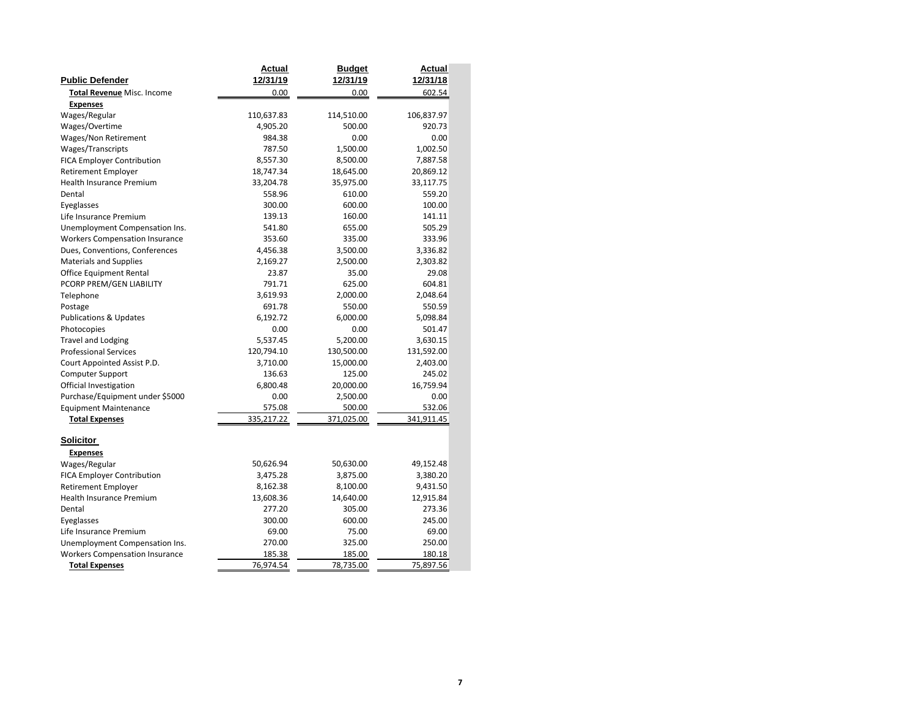|                                       | <b>Actual</b> | <b>Budget</b> | <b>Actual</b> |
|---------------------------------------|---------------|---------------|---------------|
| <b>Public Defender</b>                | 12/31/19      | 12/31/19      | 12/31/18      |
| <b>Total Revenue Misc. Income</b>     | 0.00          | 0.00          | 602.54        |
| <b>Expenses</b>                       |               |               |               |
| Wages/Regular                         | 110,637.83    | 114,510.00    | 106,837.97    |
| Wages/Overtime                        | 4,905.20      | 500.00        | 920.73        |
| <b>Wages/Non Retirement</b>           | 984.38        | 0.00          | 0.00          |
| Wages/Transcripts                     | 787.50        | 1,500.00      | 1,002.50      |
| <b>FICA Employer Contribution</b>     | 8,557.30      | 8,500.00      | 7,887.58      |
| Retirement Employer                   | 18,747.34     | 18,645.00     | 20,869.12     |
| Health Insurance Premium              | 33,204.78     | 35,975.00     | 33,117.75     |
| Dental                                | 558.96        | 610.00        | 559.20        |
| Eyeglasses                            | 300.00        | 600.00        | 100.00        |
| Life Insurance Premium                | 139.13        | 160.00        | 141.11        |
| Unemployment Compensation Ins.        | 541.80        | 655.00        | 505.29        |
| <b>Workers Compensation Insurance</b> | 353.60        | 335.00        | 333.96        |
| Dues, Conventions, Conferences        | 4,456.38      | 3,500.00      | 3,336.82      |
| <b>Materials and Supplies</b>         | 2,169.27      | 2,500.00      | 2,303.82      |
| Office Equipment Rental               | 23.87         | 35.00         | 29.08         |
| PCORP PREM/GEN LIABILITY              | 791.71        | 625.00        | 604.81        |
| Telephone                             | 3,619.93      | 2,000.00      | 2,048.64      |
| Postage                               | 691.78        | 550.00        | 550.59        |
| <b>Publications &amp; Updates</b>     | 6,192.72      | 6,000.00      | 5,098.84      |
| Photocopies                           | 0.00          | 0.00          | 501.47        |
| <b>Travel and Lodging</b>             | 5,537.45      | 5,200.00      | 3,630.15      |
| <b>Professional Services</b>          | 120,794.10    | 130,500.00    | 131,592.00    |
| Court Appointed Assist P.D.           | 3,710.00      | 15,000.00     | 2,403.00      |
| Computer Support                      | 136.63        | 125.00        | 245.02        |
| Official Investigation                | 6,800.48      | 20,000.00     | 16,759.94     |
| Purchase/Equipment under \$5000       | 0.00          | 2,500.00      | 0.00          |
| <b>Equipment Maintenance</b>          | 575.08        | 500.00        | 532.06        |
| <b>Total Expenses</b>                 | 335,217.22    | 371,025.00    | 341,911.45    |
| <b>Solicitor</b>                      |               |               |               |
| <b>Expenses</b>                       |               |               |               |
| Wages/Regular                         | 50,626.94     | 50,630.00     | 49,152.48     |
| <b>FICA Employer Contribution</b>     | 3,475.28      | 3,875.00      | 3,380.20      |
| <b>Retirement Employer</b>            | 8,162.38      | 8,100.00      | 9,431.50      |
| <b>Health Insurance Premium</b>       | 13,608.36     | 14,640.00     | 12,915.84     |
| Dental                                | 277.20        | 305.00        | 273.36        |
| Eyeglasses                            | 300.00        | 600.00        | 245.00        |
| Life Insurance Premium                | 69.00         | 75.00         | 69.00         |
| Unemployment Compensation Ins.        | 270.00        | 325.00        | 250.00        |
| <b>Workers Compensation Insurance</b> | 185.38        | 185.00        | 180.18        |
| <b>Total Expenses</b>                 | 76,974.54     | 78,735.00     | 75,897.56     |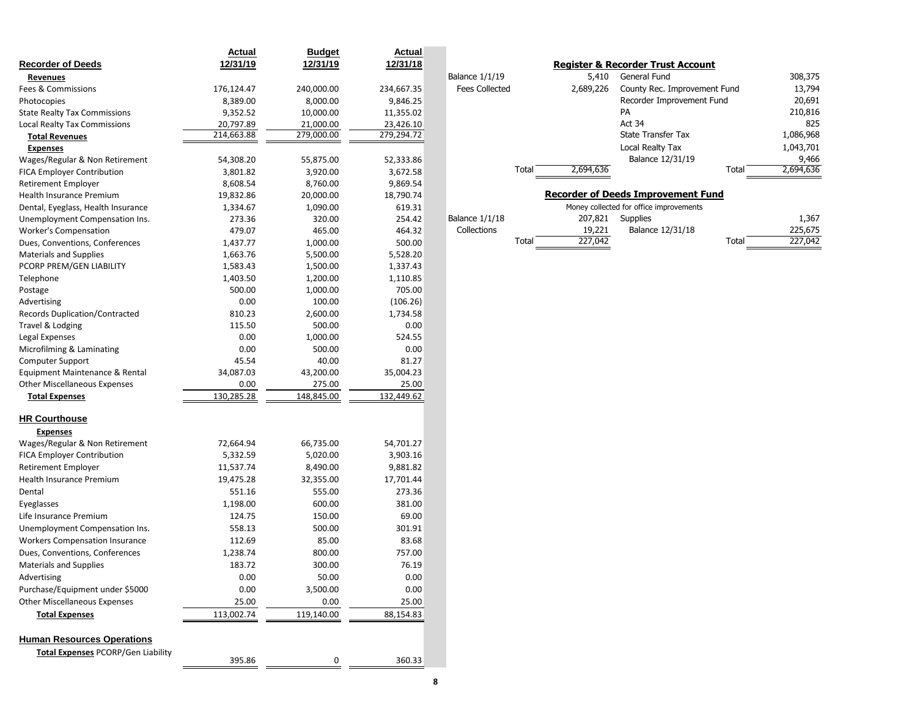| <b>Recorder of Deeds</b>              | <b>Actual</b><br>12/31/19 | <b>Budget</b><br>12/31/19 | <b>Actual</b><br>12/31/18 |                       |                    | <b>Register &amp; Recorder Trust Account</b> |       |           |
|---------------------------------------|---------------------------|---------------------------|---------------------------|-----------------------|--------------------|----------------------------------------------|-------|-----------|
| <b>Revenues</b>                       |                           |                           |                           | <b>Balance 1/1/19</b> | 5,410              | General Fund                                 |       | 308,375   |
| Fees & Commissions                    | 176,124.47                | 240,000.00                | 234,667.35                | <b>Fees Collected</b> | 2,689,226          | County Rec. Improvement Fund                 |       | 13,794    |
| Photocopies                           | 8,389.00                  | 8,000.00                  | 9,846.25                  |                       |                    | Recorder Improvement Fund                    |       | 20,691    |
| <b>State Realty Tax Commissions</b>   | 9,352.52                  | 10,000.00                 | 11,355.02                 |                       |                    | PA                                           |       | 210,816   |
| Local Realty Tax Commissions          | 20,797.89                 | 21,000.00                 | 23,426.10                 |                       |                    | Act 34                                       |       | 825       |
| <b>Total Revenues</b>                 | 214,663.88                | 279,000.00                | 279,294.72                |                       |                    | <b>State Transfer Tax</b>                    |       | 1,086,968 |
| <b>Expenses</b>                       |                           |                           |                           |                       |                    | Local Realty Tax                             |       | 1,043,701 |
| Wages/Regular & Non Retirement        | 54,308.20                 | 55,875.00                 | 52,333.86                 |                       |                    | Balance 12/31/19                             |       | 9,466     |
| <b>FICA Employer Contribution</b>     | 3,801.82                  | 3,920.00                  | 3,672.58                  |                       | Total<br>2,694,636 |                                              | Total | 2,694,636 |
| Retirement Employer                   | 8,608.54                  | 8,760.00                  | 9,869.54                  |                       |                    |                                              |       |           |
| Health Insurance Premium              | 19,832.86                 | 20,000.00                 | 18,790.74                 |                       |                    | <b>Recorder of Deeds Improvement Fund</b>    |       |           |
| Dental, Eyeglass, Health Insurance    | 1,334.67                  | 1,090.00                  | 619.31                    |                       |                    | Money collected for office improvements      |       |           |
| Unemployment Compensation Ins.        | 273.36                    | 320.00                    | 254.42                    | Balance 1/1/18        |                    | 207,821 Supplies                             |       | 1,367     |
| <b>Worker's Compensation</b>          | 479.07                    | 465.00                    | 464.32                    | Collections           | 19,221             | Balance 12/31/18                             |       | 225,675   |
| Dues, Conventions, Conferences        | 1,437.77                  | 1,000.00                  | 500.00                    |                       | 227,042<br>Total   |                                              | Total | 227,042   |
| Materials and Supplies                | 1,663.76                  | 5,500.00                  | 5,528.20                  |                       |                    |                                              |       |           |
| PCORP PREM/GEN LIABILITY              | 1,583.43                  | 1,500.00                  | 1,337.43                  |                       |                    |                                              |       |           |
| Telephone                             | 1,403.50                  | 1,200.00                  | 1,110.85                  |                       |                    |                                              |       |           |
| Postage                               | 500.00                    | 1,000.00                  | 705.00                    |                       |                    |                                              |       |           |
| Advertising                           | 0.00                      | 100.00                    | (106.26)                  |                       |                    |                                              |       |           |
| <b>Records Duplication/Contracted</b> | 810.23                    | 2,600.00                  | 1,734.58                  |                       |                    |                                              |       |           |
| Travel & Lodging                      | 115.50                    | 500.00                    | 0.00                      |                       |                    |                                              |       |           |
| Legal Expenses                        | 0.00                      | 1,000.00                  | 524.55                    |                       |                    |                                              |       |           |
| Microfilming & Laminating             | 0.00                      | 500.00                    | 0.00                      |                       |                    |                                              |       |           |
| Computer Support                      | 45.54                     | 40.00                     | 81.27                     |                       |                    |                                              |       |           |
| Equipment Maintenance & Rental        | 34,087.03                 | 43,200.00                 | 35,004.23                 |                       |                    |                                              |       |           |
| Other Miscellaneous Expenses          | 0.00                      | 275.00                    | 25.00                     |                       |                    |                                              |       |           |
| <b>Total Expenses</b>                 | 130,285.28                | 148,845.00                | 132,449.62                |                       |                    |                                              |       |           |
|                                       |                           |                           |                           |                       |                    |                                              |       |           |
| <b>HR Courthouse</b>                  |                           |                           |                           |                       |                    |                                              |       |           |
| <b>Expenses</b>                       |                           |                           |                           |                       |                    |                                              |       |           |
| Wages/Regular & Non Retirement        | 72,664.94                 | 66,735.00                 | 54,701.27                 |                       |                    |                                              |       |           |
| <b>FICA Employer Contribution</b>     | 5,332.59                  | 5,020.00                  | 3,903.16                  |                       |                    |                                              |       |           |
| Retirement Employer                   | 11,537.74                 | 8,490.00                  | 9,881.82                  |                       |                    |                                              |       |           |
| <b>Health Insurance Premium</b>       | 19,475.28                 | 32,355.00                 | 17,701.44                 |                       |                    |                                              |       |           |
| Dental                                | 551.16                    | 555.00                    | 273.36                    |                       |                    |                                              |       |           |
| Eyeglasses                            | 1,198.00                  | 600.00                    | 381.00                    |                       |                    |                                              |       |           |
| Life Insurance Premium                | 124.75                    | 150.00                    | 69.00                     |                       |                    |                                              |       |           |
| Unemployment Compensation Ins.        | 558.13                    | 500.00                    | 301.91                    |                       |                    |                                              |       |           |
| Workers Compensation Insurance        | 112.69                    | 85.00                     | 83.68                     |                       |                    |                                              |       |           |
| Dues, Conventions, Conferences        | 1,238.74                  | 800.00                    | 757.00                    |                       |                    |                                              |       |           |
| Materials and Supplies                | 183.72                    | 300.00                    | 76.19                     |                       |                    |                                              |       |           |
| Advertising                           | 0.00                      | 50.00                     | 0.00                      |                       |                    |                                              |       |           |
| Purchase/Equipment under \$5000       | 0.00                      | 3,500.00                  | 0.00                      |                       |                    |                                              |       |           |
| <b>Other Miscellaneous Expenses</b>   | 25.00                     | 0.00                      | 25.00                     |                       |                    |                                              |       |           |
| <b>Total Expenses</b>                 | 113,002.74                | 119,140.00                | 88,154.83                 |                       |                    |                                              |       |           |
|                                       |                           |                           |                           |                       |                    |                                              |       |           |
| <b>Human Resources Operations</b>     |                           |                           |                           |                       |                    |                                              |       |           |
| Total Expenses PCORP/Gen Liability    | 395.86                    | 0                         | 360.33                    |                       |                    |                                              |       |           |
|                                       |                           |                           |                           |                       |                    |                                              |       |           |

 $\overline{\phantom{a}}$ 

| 5,410     | General Fund                 | 308,375                                      |
|-----------|------------------------------|----------------------------------------------|
| 2,689,226 | County Rec. Improvement Fund | 13,794                                       |
|           | Recorder Improvement Fund    | 20,691                                       |
|           | PA                           | 210,816                                      |
|           | <b>Act 34</b>                | 825                                          |
|           | <b>State Transfer Tax</b>    | 1,086,968                                    |
|           | Local Realty Tax             | 1,043,701                                    |
|           | Balance 12/31/19             | 9,466                                        |
| 2,694,636 | Total                        | 2,694,636                                    |
|           |                              | <b>Register &amp; Recorder Trust Account</b> |

# **Recorder of Deeds Improvement Fund**

| alance 1/1/18 |       | 207.821 | Supplies         |       | 1,367   |
|---------------|-------|---------|------------------|-------|---------|
| Collections   |       | 19,221  | Balance 12/31/18 |       | 225,675 |
|               | Total | 227,042 |                  | Total | 227,042 |
|               |       |         |                  |       |         |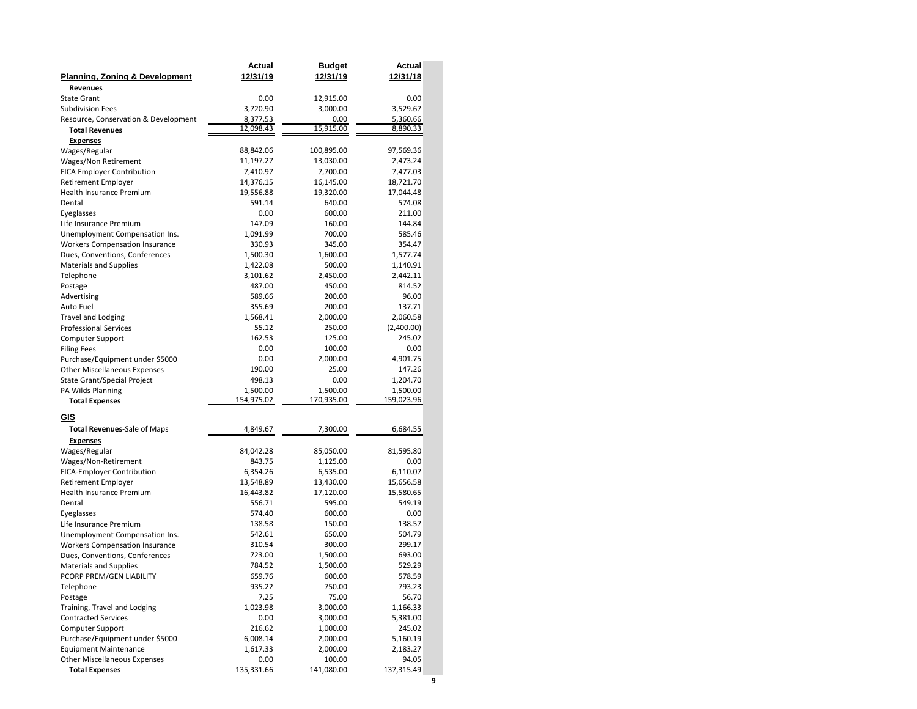|                                                          | Actual           | <b>Budget</b>    | <b>Actual</b>        |
|----------------------------------------------------------|------------------|------------------|----------------------|
| <u>Planning, Zoning &amp; Development</u>                | 12/31/19         | 12/31/19         | 12/31/18             |
| Revenues                                                 |                  |                  |                      |
| <b>State Grant</b>                                       | 0.00             | 12,915.00        | 0.00                 |
| <b>Subdivision Fees</b>                                  | 3,720.90         | 3,000.00         | 3,529.67             |
| Resource, Conservation & Development                     | 8,377.53         | 0.00             | 5,360.66             |
| <b>Total Revenues</b>                                    | 12,098.43        | 15,915.00        | 8,890.33             |
| <b>Expenses</b>                                          |                  |                  |                      |
| Wages/Regular                                            | 88,842.06        | 100,895.00       | 97,569.36            |
| Wages/Non Retirement                                     | 11,197.27        | 13,030.00        | 2,473.24             |
| <b>FICA Employer Contribution</b>                        | 7,410.97         | 7,700.00         | 7,477.03             |
| Retirement Employer                                      | 14,376.15        | 16,145.00        | 18,721.70            |
| Health Insurance Premium                                 | 19,556.88        | 19,320.00        | 17,044.48            |
| Dental                                                   | 591.14           | 640.00           | 574.08               |
| Eyeglasses                                               | 0.00             | 600.00           | 211.00               |
| Life Insurance Premium                                   | 147.09           | 160.00           | 144.84               |
| Unemployment Compensation Ins.                           | 1,091.99         | 700.00           | 585.46               |
| <b>Workers Compensation Insurance</b>                    | 330.93           | 345.00           | 354.47               |
| Dues, Conventions, Conferences                           | 1,500.30         | 1,600.00         | 1,577.74             |
| <b>Materials and Supplies</b>                            | 1,422.08         | 500.00           | 1,140.91             |
| Telephone                                                | 3,101.62         | 2,450.00         | 2,442.11             |
| Postage                                                  | 487.00           | 450.00           | 814.52               |
| Advertising                                              | 589.66           | 200.00           | 96.00                |
| <b>Auto Fuel</b>                                         | 355.69           | 200.00           | 137.71               |
| <b>Travel and Lodging</b>                                | 1,568.41         | 2,000.00         | 2,060.58             |
| <b>Professional Services</b>                             | 55.12            | 250.00           | (2,400.00)<br>245.02 |
| Computer Support                                         | 162.53           | 125.00           |                      |
| <b>Filing Fees</b>                                       | 0.00             | 100.00           | 0.00<br>4,901.75     |
| Purchase/Equipment under \$5000                          | 0.00<br>190.00   | 2,000.00         | 147.26               |
| <b>Other Miscellaneous Expenses</b>                      | 498.13           | 25.00<br>0.00    | 1,204.70             |
| State Grant/Special Project<br>PA Wilds Planning         | 1,500.00         | 1,500.00         | 1,500.00             |
| <b>Total Expenses</b>                                    | 154,975.02       | 170,935.00       | 159,023.96           |
|                                                          |                  |                  |                      |
| <u>GIS</u>                                               |                  |                  |                      |
| <b>Total Revenues-Sale of Maps</b>                       | 4,849.67         | 7,300.00         | 6,684.55             |
| <b>Expenses</b>                                          |                  |                  |                      |
| Wages/Regular                                            | 84,042.28        | 85,050.00        | 81,595.80            |
| Wages/Non-Retirement                                     | 843.75           | 1,125.00         | 0.00                 |
| <b>FICA-Employer Contribution</b>                        | 6,354.26         | 6,535.00         | 6,110.07             |
| Retirement Employer                                      | 13,548.89        | 13,430.00        | 15,656.58            |
| Health Insurance Premium                                 | 16,443.82        | 17,120.00        | 15,580.65            |
| Dental                                                   | 556.71           | 595.00           | 549.19               |
| Eyeglasses                                               | 574.40           | 600.00<br>150.00 | 0.00                 |
| Life Insurance Premium<br>Unemployment Compensation Ins. | 138.58<br>542.61 | 650.00           | 138.57<br>504.79     |
| <b>Workers Compensation Insurance</b>                    | 310.54           | 300.00           | 299.17               |
| Dues, Conventions, Conferences                           | 723.00           | 1,500.00         | 693.00               |
| <b>Materials and Supplies</b>                            | 784.52           | 1,500.00         | 529.29               |
| PCORP PREM/GEN LIABILITY                                 | 659.76           | 600.00           | 578.59               |
| Telephone                                                | 935.22           | 750.00           | 793.23               |
| Postage                                                  | 7.25             | 75.00            | 56.70                |
| Training, Travel and Lodging                             | 1,023.98         | 3,000.00         | 1,166.33             |
| <b>Contracted Services</b>                               | 0.00             | 3,000.00         | 5,381.00             |
| Computer Support                                         | 216.62           | 1,000.00         | 245.02               |
| Purchase/Equipment under \$5000                          | 6,008.14         | 2,000.00         | 5,160.19             |
| <b>Equipment Maintenance</b>                             | 1,617.33         | 2,000.00         | 2,183.27             |
| <b>Other Miscellaneous Expenses</b>                      | 0.00             | 100.00           | 94.05                |
| <b>Total Expenses</b>                                    | 135,331.66       | 141,080.00       | 137,315.49           |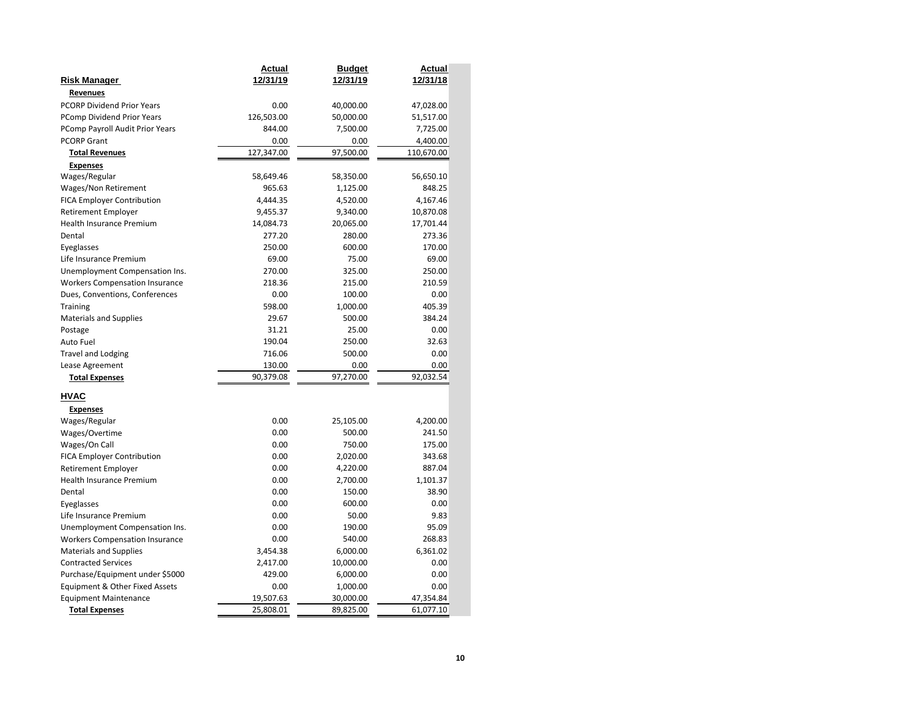|                                       | <b>Actual</b> | <b>Budget</b> | Actual     |
|---------------------------------------|---------------|---------------|------------|
| <b>Risk Manager</b>                   | 12/31/19      | 12/31/19      | 12/31/18   |
| Revenues                              |               |               |            |
| <b>PCORP Dividend Prior Years</b>     | 0.00          | 40,000.00     | 47,028.00  |
| <b>PComp Dividend Prior Years</b>     | 126,503.00    | 50,000.00     | 51,517.00  |
| PComp Payroll Audit Prior Years       | 844.00        | 7,500.00      | 7,725.00   |
| <b>PCORP Grant</b>                    | 0.00          | 0.00          | 4,400.00   |
| <b>Total Revenues</b>                 | 127,347.00    | 97,500.00     | 110,670.00 |
| <b>Expenses</b>                       |               |               |            |
| Wages/Regular                         | 58,649.46     | 58,350.00     | 56,650.10  |
| <b>Wages/Non Retirement</b>           | 965.63        | 1,125.00      | 848.25     |
| <b>FICA Employer Contribution</b>     | 4,444.35      | 4,520.00      | 4,167.46   |
| Retirement Employer                   | 9,455.37      | 9,340.00      | 10,870.08  |
| Health Insurance Premium              | 14,084.73     | 20,065.00     | 17,701.44  |
| Dental                                | 277.20        | 280.00        | 273.36     |
| Eyeglasses                            | 250.00        | 600.00        | 170.00     |
| Life Insurance Premium                | 69.00         | 75.00         | 69.00      |
| Unemployment Compensation Ins.        | 270.00        | 325.00        | 250.00     |
| <b>Workers Compensation Insurance</b> | 218.36        | 215.00        | 210.59     |
| Dues, Conventions, Conferences        | 0.00          | 100.00        | 0.00       |
| Training                              | 598.00        | 1,000.00      | 405.39     |
| <b>Materials and Supplies</b>         | 29.67         | 500.00        | 384.24     |
| Postage                               | 31.21         | 25.00         | 0.00       |
| Auto Fuel                             | 190.04        | 250.00        | 32.63      |
| <b>Travel and Lodging</b>             | 716.06        | 500.00        | 0.00       |
| Lease Agreement                       | 130.00        | 0.00          | 0.00       |
| <b>Total Expenses</b>                 | 90,379.08     | 97,270.00     | 92,032.54  |
|                                       |               |               |            |
| <b>HVAC</b>                           |               |               |            |
| <b>Expenses</b><br>Wages/Regular      | 0.00          | 25,105.00     | 4,200.00   |
| Wages/Overtime                        | 0.00          | 500.00        | 241.50     |
| Wages/On Call                         | 0.00          | 750.00        | 175.00     |
| FICA Employer Contribution            | 0.00          | 2,020.00      | 343.68     |
| Retirement Employer                   | 0.00          | 4,220.00      | 887.04     |
| Health Insurance Premium              | 0.00          | 2,700.00      | 1,101.37   |
| Dental                                | 0.00          | 150.00        | 38.90      |
| Eyeglasses                            | 0.00          | 600.00        | 0.00       |
| Life Insurance Premium                | 0.00          | 50.00         | 9.83       |
| Unemployment Compensation Ins.        | 0.00          | 190.00        | 95.09      |
| <b>Workers Compensation Insurance</b> | 0.00          | 540.00        | 268.83     |
| <b>Materials and Supplies</b>         | 3,454.38      | 6,000.00      | 6,361.02   |
| <b>Contracted Services</b>            | 2,417.00      | 10,000.00     | 0.00       |
| Purchase/Equipment under \$5000       | 429.00        | 6,000.00      | 0.00       |
| Equipment & Other Fixed Assets        | 0.00          | 1,000.00      | 0.00       |
| <b>Equipment Maintenance</b>          | 19,507.63     | 30,000.00     | 47,354.84  |
| <b>Total Expenses</b>                 | 25,808.01     | 89,825.00     | 61,077.10  |
|                                       |               |               |            |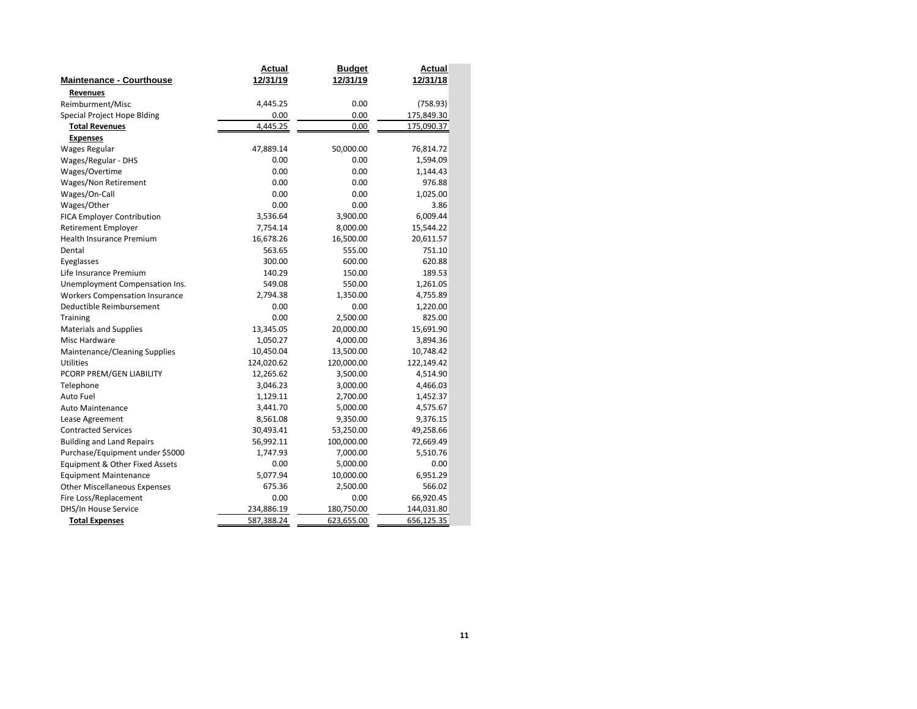|                                       | <b>Actual</b> | <b>Budget</b> | <b>Actual</b> |
|---------------------------------------|---------------|---------------|---------------|
| <b>Maintenance - Courthouse</b>       | 12/31/19      | 12/31/19      | 12/31/18      |
| Revenues                              |               |               |               |
| Reimburment/Misc                      | 4,445.25      | 0.00          | (758.93)      |
| Special Project Hope Blding           | 0.00          | 0.00          | 175,849.30    |
| <b>Total Revenues</b>                 | 4,445.25      | 0.00          | 175,090.37    |
| <b>Expenses</b>                       |               |               |               |
| <b>Wages Regular</b>                  | 47,889.14     | 50,000.00     | 76,814.72     |
| Wages/Regular - DHS                   | 0.00          | 0.00          | 1,594.09      |
| Wages/Overtime                        | 0.00          | 0.00          | 1,144.43      |
| Wages/Non Retirement                  | 0.00          | 0.00          | 976.88        |
| Wages/On-Call                         | 0.00          | 0.00          | 1,025.00      |
| Wages/Other                           | 0.00          | 0.00          | 3.86          |
| <b>FICA Employer Contribution</b>     | 3,536.64      | 3,900.00      | 6,009.44      |
| <b>Retirement Employer</b>            | 7,754.14      | 8,000.00      | 15,544.22     |
| <b>Health Insurance Premium</b>       | 16,678.26     | 16,500.00     | 20,611.57     |
| Dental                                | 563.65        | 555.00        | 751.10        |
| Eyeglasses                            | 300.00        | 600.00        | 620.88        |
| Life Insurance Premium                | 140.29        | 150.00        | 189.53        |
| Unemployment Compensation Ins.        | 549.08        | 550.00        | 1,261.05      |
| <b>Workers Compensation Insurance</b> | 2,794.38      | 1,350.00      | 4,755.89      |
| Deductible Reimbursement              | 0.00          | 0.00          | 1,220.00      |
| Training                              | 0.00          | 2,500.00      | 825.00        |
| <b>Materials and Supplies</b>         | 13,345.05     | 20,000.00     | 15,691.90     |
| Misc Hardware                         | 1,050.27      | 4,000.00      | 3,894.36      |
| Maintenance/Cleaning Supplies         | 10,450.04     | 13,500.00     | 10,748.42     |
| Utilities                             | 124,020.62    | 120,000.00    | 122,149.42    |
| PCORP PREM/GEN LIABILITY              | 12,265.62     | 3,500.00      | 4,514.90      |
| Telephone                             | 3,046.23      | 3,000.00      | 4,466.03      |
| Auto Fuel                             | 1,129.11      | 2,700.00      | 1,452.37      |
| Auto Maintenance                      | 3,441.70      | 5,000.00      | 4,575.67      |
| Lease Agreement                       | 8,561.08      | 9,350.00      | 9,376.15      |
| <b>Contracted Services</b>            | 30,493.41     | 53,250.00     | 49,258.66     |
| <b>Building and Land Repairs</b>      | 56,992.11     | 100,000.00    | 72,669.49     |
| Purchase/Equipment under \$5000       | 1,747.93      | 7,000.00      | 5,510.76      |
| Equipment & Other Fixed Assets        | 0.00          | 5,000.00      | 0.00          |
| <b>Equipment Maintenance</b>          | 5,077.94      | 10,000.00     | 6,951.29      |
| <b>Other Miscellaneous Expenses</b>   | 675.36        | 2,500.00      | 566.02        |
| Fire Loss/Replacement                 | 0.00          | 0.00          | 66,920.45     |
| DHS/In House Service                  | 234,886.19    | 180,750.00    | 144,031.80    |
| <b>Total Expenses</b>                 | 587,388.24    | 623,655.00    | 656,125.35    |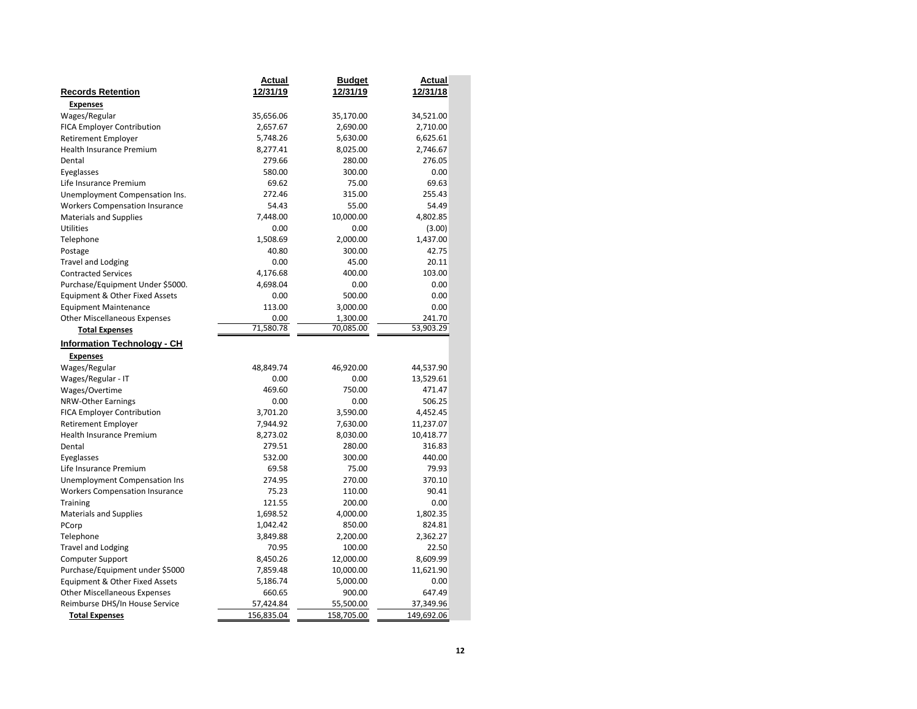|                                       | Actual     | <b>Budget</b> | Actual     |
|---------------------------------------|------------|---------------|------------|
| <b>Records Retention</b>              | 12/31/19   | 12/31/19      | 12/31/18   |
| <b>Expenses</b>                       |            |               |            |
| Wages/Regular                         | 35,656.06  | 35,170.00     | 34,521.00  |
| <b>FICA Employer Contribution</b>     | 2,657.67   | 2,690.00      | 2,710.00   |
| Retirement Employer                   | 5,748.26   | 5,630.00      | 6,625.61   |
| Health Insurance Premium              | 8,277.41   | 8,025.00      | 2,746.67   |
| Dental                                | 279.66     | 280.00        | 276.05     |
| Eyeglasses                            | 580.00     | 300.00        | 0.00       |
| Life Insurance Premium                | 69.62      | 75.00         | 69.63      |
| Unemployment Compensation Ins.        | 272.46     | 315.00        | 255.43     |
| <b>Workers Compensation Insurance</b> | 54.43      | 55.00         | 54.49      |
| <b>Materials and Supplies</b>         | 7,448.00   | 10,000.00     | 4,802.85   |
| <b>Utilities</b>                      | 0.00       | 0.00          | (3.00)     |
| Telephone                             | 1,508.69   | 2,000.00      | 1,437.00   |
| Postage                               | 40.80      | 300.00        | 42.75      |
| <b>Travel and Lodging</b>             | 0.00       | 45.00         | 20.11      |
| <b>Contracted Services</b>            | 4,176.68   | 400.00        | 103.00     |
| Purchase/Equipment Under \$5000.      | 4,698.04   | 0.00          | 0.00       |
| Equipment & Other Fixed Assets        | 0.00       | 500.00        | 0.00       |
| <b>Equipment Maintenance</b>          | 113.00     | 3,000.00      | 0.00       |
| <b>Other Miscellaneous Expenses</b>   | 0.00       | 1,300.00      | 241.70     |
| <b>Total Expenses</b>                 | 71,580.78  | 70,085.00     | 53,903.29  |
| <b>Information Technology - CH</b>    |            |               |            |
|                                       |            |               |            |
| <b>Expenses</b>                       |            |               |            |
| Wages/Regular                         | 48,849.74  | 46,920.00     | 44,537.90  |
| Wages/Regular - IT                    | 0.00       | 0.00          | 13,529.61  |
| Wages/Overtime                        | 469.60     | 750.00        | 471.47     |
| <b>NRW-Other Earnings</b>             | 0.00       | 0.00          | 506.25     |
| <b>FICA Employer Contribution</b>     | 3,701.20   | 3,590.00      | 4,452.45   |
| Retirement Employer                   | 7,944.92   | 7,630.00      | 11,237.07  |
| <b>Health Insurance Premium</b>       | 8,273.02   | 8,030.00      | 10,418.77  |
| Dental                                | 279.51     | 280.00        | 316.83     |
| Eyeglasses                            | 532.00     | 300.00        | 440.00     |
| Life Insurance Premium                | 69.58      | 75.00         | 79.93      |
| <b>Unemployment Compensation Ins</b>  | 274.95     | 270.00        | 370.10     |
| <b>Workers Compensation Insurance</b> | 75.23      | 110.00        | 90.41      |
| Training                              | 121.55     | 200.00        | 0.00       |
| <b>Materials and Supplies</b>         | 1,698.52   | 4,000.00      | 1,802.35   |
| PCorp                                 | 1,042.42   | 850.00        | 824.81     |
| Telephone                             | 3,849.88   | 2,200.00      | 2,362.27   |
| <b>Travel and Lodging</b>             | 70.95      | 100.00        | 22.50      |
| Computer Support                      | 8,450.26   | 12,000.00     | 8,609.99   |
| Purchase/Equipment under \$5000       | 7,859.48   | 10,000.00     | 11,621.90  |
| Equipment & Other Fixed Assets        | 5,186.74   | 5,000.00      | 0.00       |
| <b>Other Miscellaneous Expenses</b>   | 660.65     | 900.00        | 647.49     |
| Reimburse DHS/In House Service        | 57,424.84  | 55,500.00     | 37,349.96  |
| <b>Total Expenses</b>                 | 156,835.04 | 158,705.00    | 149,692.06 |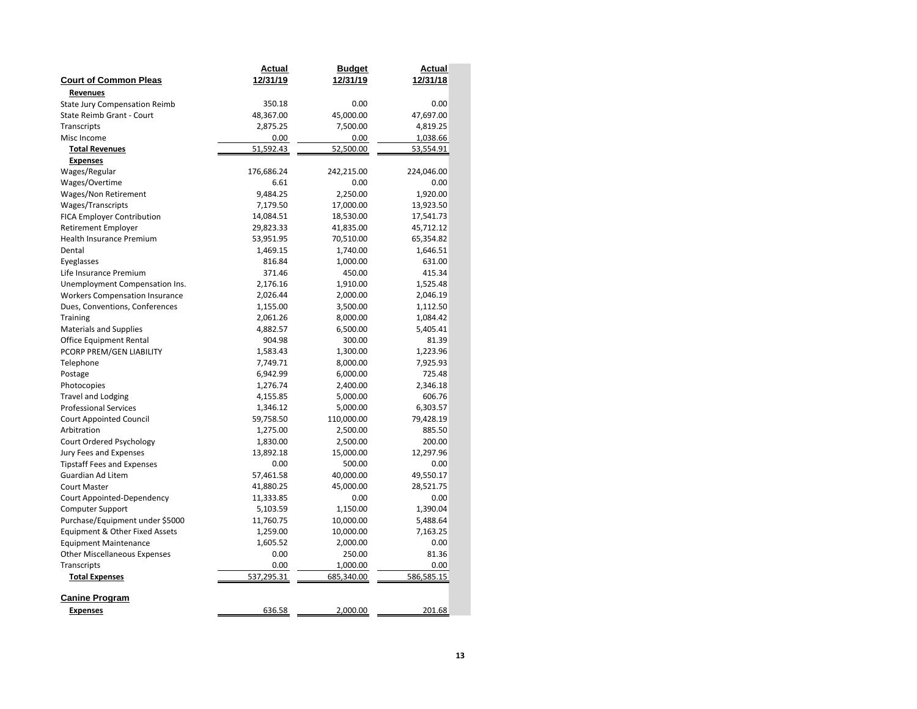|                                       | <b>Actual</b> | <b>Budget</b> | <u>Actual</u> |
|---------------------------------------|---------------|---------------|---------------|
| <b>Court of Common Pleas</b>          | 12/31/19      | 12/31/19      | 12/31/18      |
| Revenues                              |               |               |               |
| <b>State Jury Compensation Reimb</b>  | 350.18        | 0.00          | 0.00          |
| State Reimb Grant - Court             | 48,367.00     | 45,000.00     | 47,697.00     |
| Transcripts                           | 2,875.25      | 7,500.00      | 4,819.25      |
| Misc Income                           | 0.00          | 0.00          | 1,038.66      |
| <b>Total Revenues</b>                 | 51,592.43     | 52,500.00     | 53,554.91     |
| <b>Expenses</b>                       |               |               |               |
| Wages/Regular                         | 176,686.24    | 242,215.00    | 224,046.00    |
| Wages/Overtime                        | 6.61          | 0.00          | 0.00          |
| Wages/Non Retirement                  | 9,484.25      | 2,250.00      | 1,920.00      |
| Wages/Transcripts                     | 7,179.50      | 17,000.00     | 13,923.50     |
| <b>FICA Employer Contribution</b>     | 14,084.51     | 18,530.00     | 17,541.73     |
| <b>Retirement Employer</b>            | 29,823.33     | 41,835.00     | 45,712.12     |
| <b>Health Insurance Premium</b>       | 53,951.95     | 70,510.00     | 65,354.82     |
| Dental                                | 1,469.15      | 1,740.00      | 1,646.51      |
| Eyeglasses                            | 816.84        | 1,000.00      | 631.00        |
| Life Insurance Premium                | 371.46        | 450.00        | 415.34        |
| Unemployment Compensation Ins.        | 2,176.16      | 1,910.00      | 1,525.48      |
| <b>Workers Compensation Insurance</b> | 2,026.44      | 2,000.00      | 2,046.19      |
| Dues, Conventions, Conferences        | 1,155.00      | 3,500.00      | 1,112.50      |
| Training                              | 2,061.26      | 8,000.00      | 1,084.42      |
| <b>Materials and Supplies</b>         | 4,882.57      | 6,500.00      | 5,405.41      |
| <b>Office Equipment Rental</b>        | 904.98        | 300.00        | 81.39         |
| PCORP PREM/GEN LIABILITY              | 1,583.43      | 1,300.00      | 1,223.96      |
| Telephone                             | 7,749.71      | 8,000.00      | 7,925.93      |
| Postage                               | 6,942.99      | 6,000.00      | 725.48        |
| Photocopies                           | 1,276.74      | 2,400.00      | 2,346.18      |
| <b>Travel and Lodging</b>             | 4,155.85      | 5,000.00      | 606.76        |
| <b>Professional Services</b>          | 1,346.12      | 5,000.00      | 6,303.57      |
| <b>Court Appointed Council</b>        | 59,758.50     | 110,000.00    | 79,428.19     |
| Arbitration                           | 1,275.00      | 2,500.00      | 885.50        |
| Court Ordered Psychology              | 1,830.00      | 2,500.00      | 200.00        |
| Jury Fees and Expenses                | 13,892.18     | 15,000.00     | 12,297.96     |
| <b>Tipstaff Fees and Expenses</b>     | 0.00          | 500.00        | 0.00          |
| Guardian Ad Litem                     | 57,461.58     | 40,000.00     | 49,550.17     |
| <b>Court Master</b>                   | 41,880.25     | 45,000.00     | 28,521.75     |
| Court Appointed-Dependency            | 11,333.85     | 0.00          | 0.00          |
| <b>Computer Support</b>               | 5,103.59      | 1,150.00      | 1,390.04      |
| Purchase/Equipment under \$5000       | 11,760.75     | 10,000.00     | 5,488.64      |
| Equipment & Other Fixed Assets        | 1,259.00      | 10,000.00     | 7,163.25      |
| <b>Equipment Maintenance</b>          | 1,605.52      | 2,000.00      | 0.00          |
| <b>Other Miscellaneous Expenses</b>   | 0.00          | 250.00        | 81.36         |
| Transcripts                           | 0.00          | 1,000.00      | 0.00          |
| <b>Total Expenses</b>                 | 537,295.31    | 685,340.00    | 586,585.15    |
|                                       |               |               |               |
| <b>Canine Program</b>                 |               |               |               |
| <b>Expenses</b>                       | 636.58        | 2,000.00      | 201.68        |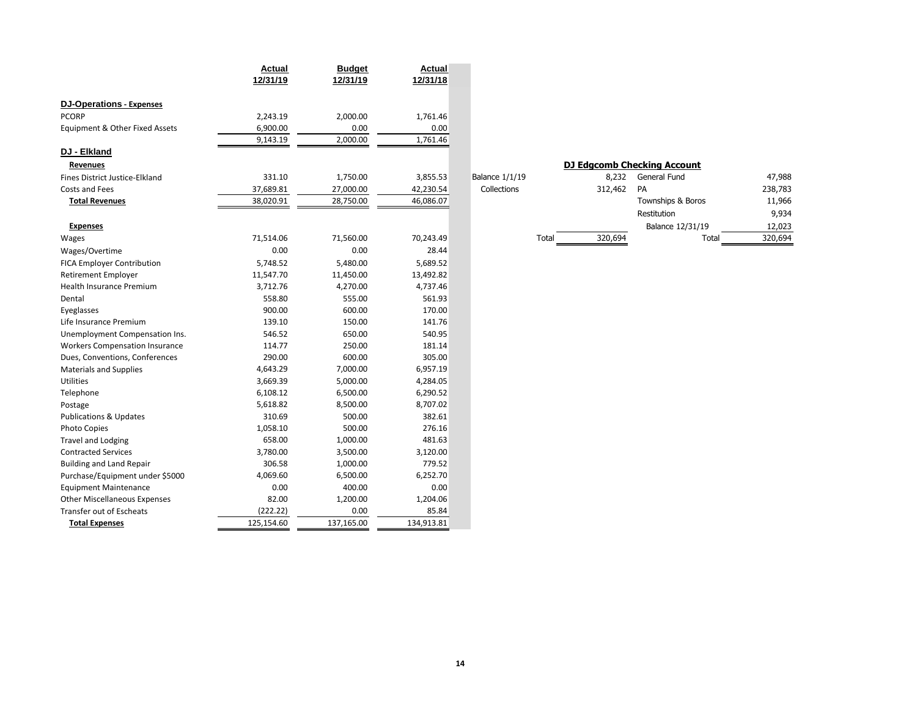|                                     | Actual<br>12/31/19 | <b>Budget</b><br>12/31/19 | Actual<br>12/31/18 |                       |                  |                             |         |
|-------------------------------------|--------------------|---------------------------|--------------------|-----------------------|------------------|-----------------------------|---------|
|                                     |                    |                           |                    |                       |                  |                             |         |
| <b>DJ-Operations - Expenses</b>     |                    |                           |                    |                       |                  |                             |         |
| <b>PCORP</b>                        | 2,243.19           | 2,000.00                  | 1,761.46           |                       |                  |                             |         |
| Equipment & Other Fixed Assets      | 6,900.00           | 0.00                      | 0.00               |                       |                  |                             |         |
|                                     | 9,143.19           | 2,000.00                  | 1,761.46           |                       |                  |                             |         |
| DJ - Elkland                        |                    |                           |                    |                       |                  |                             |         |
| <b>Revenues</b>                     |                    |                           |                    |                       |                  | DJ Edgcomb Checking Account |         |
| Fines District Justice-Elkland      | 331.10             | 1,750.00                  | 3,855.53           | <b>Balance 1/1/19</b> | 8,232            | General Fund                | 47,988  |
| Costs and Fees                      | 37,689.81          | 27,000.00                 | 42,230.54          | Collections           | 312,462          | PA                          | 238,783 |
| <b>Total Revenues</b>               | 38,020.91          | 28,750.00                 | 46,086.07          |                       |                  | Townships & Boros           | 11,966  |
|                                     |                    |                           |                    |                       |                  | Restitution                 | 9,934   |
| <b>Expenses</b>                     |                    |                           |                    |                       |                  | Balance 12/31/19            | 12,023  |
| Wages                               | 71,514.06          | 71,560.00                 | 70,243.49          |                       | Total<br>320,694 | Total                       | 320,694 |
| Wages/Overtime                      | 0.00               | 0.00                      | 28.44              |                       |                  |                             |         |
| <b>FICA Employer Contribution</b>   | 5,748.52           | 5,480.00                  | 5,689.52           |                       |                  |                             |         |
| <b>Retirement Employer</b>          | 11,547.70          | 11,450.00                 | 13,492.82          |                       |                  |                             |         |
| Health Insurance Premium            | 3,712.76           | 4,270.00                  | 4,737.46           |                       |                  |                             |         |
| Dental                              | 558.80             | 555.00                    | 561.93             |                       |                  |                             |         |
| Eyeglasses                          | 900.00             | 600.00                    | 170.00             |                       |                  |                             |         |
| Life Insurance Premium              | 139.10             | 150.00                    | 141.76             |                       |                  |                             |         |
| Unemployment Compensation Ins.      | 546.52             | 650.00                    | 540.95             |                       |                  |                             |         |
| Workers Compensation Insurance      | 114.77             | 250.00                    | 181.14             |                       |                  |                             |         |
| Dues, Conventions, Conferences      | 290.00             | 600.00                    | 305.00             |                       |                  |                             |         |
| <b>Materials and Supplies</b>       | 4,643.29           | 7,000.00                  | 6,957.19           |                       |                  |                             |         |
| Utilities                           | 3,669.39           | 5,000.00                  | 4,284.05           |                       |                  |                             |         |
| Telephone                           | 6,108.12           | 6,500.00                  | 6,290.52           |                       |                  |                             |         |
| Postage                             | 5,618.82           | 8,500.00                  | 8,707.02           |                       |                  |                             |         |
| <b>Publications &amp; Updates</b>   | 310.69             | 500.00                    | 382.61             |                       |                  |                             |         |
| <b>Photo Copies</b>                 | 1,058.10           | 500.00                    | 276.16             |                       |                  |                             |         |
| <b>Travel and Lodging</b>           | 658.00             | 1,000.00                  | 481.63             |                       |                  |                             |         |
| <b>Contracted Services</b>          | 3,780.00           | 3,500.00                  | 3,120.00           |                       |                  |                             |         |
| <b>Building and Land Repair</b>     | 306.58             | 1,000.00                  | 779.52             |                       |                  |                             |         |
| Purchase/Equipment under \$5000     | 4,069.60           | 6,500.00                  | 6,252.70           |                       |                  |                             |         |
| <b>Equipment Maintenance</b>        | 0.00               | 400.00                    | 0.00               |                       |                  |                             |         |
| <b>Other Miscellaneous Expenses</b> | 82.00              | 1,200.00                  | 1,204.06           |                       |                  |                             |         |
| <b>Transfer out of Escheats</b>     | (222.22)           | 0.00                      | 85.84              |                       |                  |                             |         |
| <b>Total Expenses</b>               | 125,154.60         | 137,165.00                | 134,913.81         |                       |                  |                             |         |

| <b>DJ Edgcomb Checking Account</b> |                  |                   |         |  |  |  |  |
|------------------------------------|------------------|-------------------|---------|--|--|--|--|
| 1/1/19                             | 8.232            | General Fund      | 47,988  |  |  |  |  |
| ctions                             | 312,462          | PA                | 238,783 |  |  |  |  |
|                                    |                  | Townships & Boros | 11,966  |  |  |  |  |
|                                    |                  | Restitution       | 9,934   |  |  |  |  |
|                                    |                  | Balance 12/31/19  | 12,023  |  |  |  |  |
|                                    | 320,694<br>Total | Total             | 320,694 |  |  |  |  |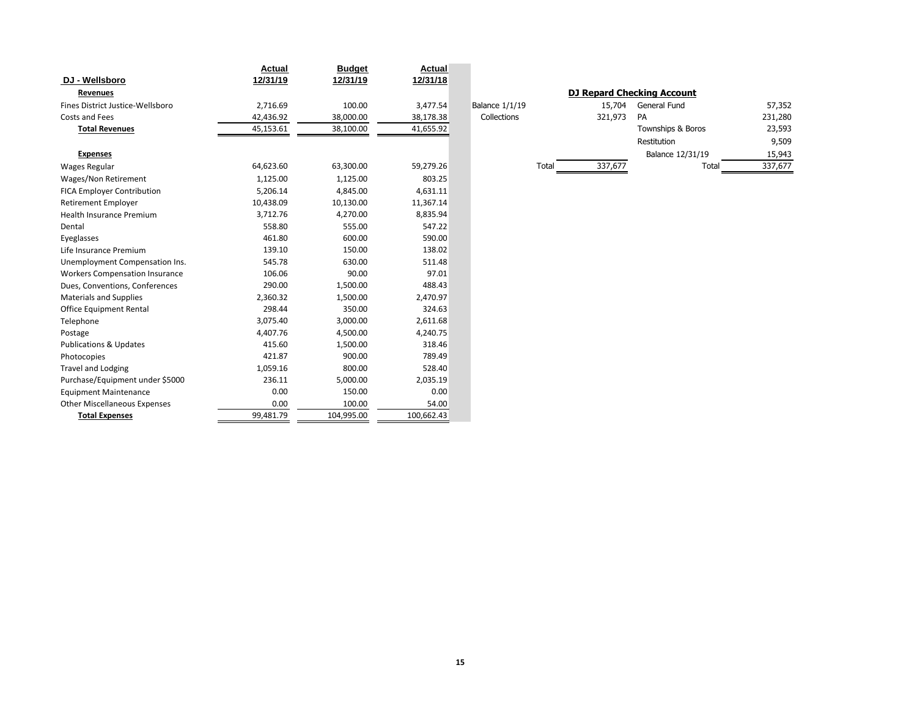|                                       | Actual    | <b>Budget</b> | Actual     |                       |       |         |                            |         |
|---------------------------------------|-----------|---------------|------------|-----------------------|-------|---------|----------------------------|---------|
| DJ - Wellsboro                        | 12/31/19  | 12/31/19      | 12/31/18   |                       |       |         |                            |         |
| Revenues                              |           |               |            |                       |       |         | DJ Repard Checking Account |         |
| Fines District Justice-Wellsboro      | 2,716.69  | 100.00        | 3,477.54   | <b>Balance 1/1/19</b> |       | 15,704  | General Fund               | 57,352  |
| Costs and Fees                        | 42,436.92 | 38,000.00     | 38,178.38  | Collections           |       | 321,973 | PA                         | 231,280 |
| <b>Total Revenues</b>                 | 45,153.61 | 38,100.00     | 41,655.92  |                       |       |         | Townships & Boros          | 23,593  |
|                                       |           |               |            |                       |       |         | Restitution                | 9,509   |
| <b>Expenses</b>                       |           |               |            |                       |       |         | Balance 12/31/19           | 15,943  |
| Wages Regular                         | 64,623.60 | 63,300.00     | 59,279.26  |                       | Total | 337,677 | Total                      | 337,677 |
| Wages/Non Retirement                  | 1,125.00  | 1,125.00      | 803.25     |                       |       |         |                            |         |
| <b>FICA Employer Contribution</b>     | 5,206.14  | 4,845.00      | 4,631.11   |                       |       |         |                            |         |
| <b>Retirement Employer</b>            | 10,438.09 | 10,130.00     | 11,367.14  |                       |       |         |                            |         |
| <b>Health Insurance Premium</b>       | 3,712.76  | 4,270.00      | 8,835.94   |                       |       |         |                            |         |
| Dental                                | 558.80    | 555.00        | 547.22     |                       |       |         |                            |         |
| Eyeglasses                            | 461.80    | 600.00        | 590.00     |                       |       |         |                            |         |
| Life Insurance Premium                | 139.10    | 150.00        | 138.02     |                       |       |         |                            |         |
| Unemployment Compensation Ins.        | 545.78    | 630.00        | 511.48     |                       |       |         |                            |         |
| <b>Workers Compensation Insurance</b> | 106.06    | 90.00         | 97.01      |                       |       |         |                            |         |
| Dues, Conventions, Conferences        | 290.00    | 1,500.00      | 488.43     |                       |       |         |                            |         |
| <b>Materials and Supplies</b>         | 2,360.32  | 1,500.00      | 2,470.97   |                       |       |         |                            |         |
| <b>Office Equipment Rental</b>        | 298.44    | 350.00        | 324.63     |                       |       |         |                            |         |
| Telephone                             | 3,075.40  | 3,000.00      | 2,611.68   |                       |       |         |                            |         |
| Postage                               | 4,407.76  | 4,500.00      | 4,240.75   |                       |       |         |                            |         |
| <b>Publications &amp; Updates</b>     | 415.60    | 1,500.00      | 318.46     |                       |       |         |                            |         |
| Photocopies                           | 421.87    | 900.00        | 789.49     |                       |       |         |                            |         |
| <b>Travel and Lodging</b>             | 1,059.16  | 800.00        | 528.40     |                       |       |         |                            |         |
| Purchase/Equipment under \$5000       | 236.11    | 5,000.00      | 2,035.19   |                       |       |         |                            |         |
| <b>Equipment Maintenance</b>          | 0.00      | 150.00        | 0.00       |                       |       |         |                            |         |
| <b>Other Miscellaneous Expenses</b>   | 0.00      | 100.00        | 54.00      |                       |       |         |                            |         |
| <b>Total Expenses</b>                 | 99,481.79 | 104,995.00    | 100,662.43 |                       |       |         |                            |         |

|       | 15,704  | General Fund      | 57,352                     |
|-------|---------|-------------------|----------------------------|
|       | 321,973 | PA                | 231,280                    |
|       |         | Townships & Boros | 23,593                     |
|       |         | Restitution       | 9,509                      |
|       |         | Balance 12/31/19  | 15,943                     |
| Total | 337,677 | Total             | 337,677                    |
|       |         |                   | DJ Repard Checking Account |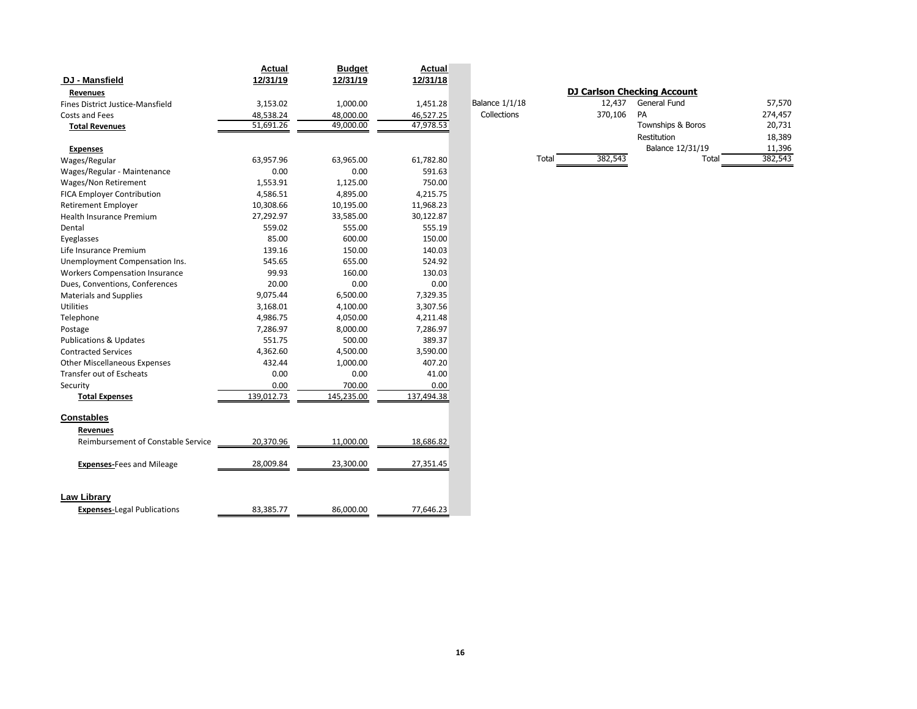| 12/31/18<br>DJ - Mansfield<br>12/31/19<br><b>DJ Carlson Checking Account</b><br><b>Revenues</b><br><b>General Fund</b><br>Balance 1/1/18<br>12,437<br>Fines District Justice-Mansfield<br>3,153.02<br>1,000.00<br>1,451.28<br>370,106<br>Costs and Fees<br>Collections<br>PA<br>48,538.24<br>48,000.00<br>46,527.25<br>51,691.26<br>49,000.00<br>47,978.53<br>Townships & Boros<br><b>Total Revenues</b><br>Restitution<br>Balance 12/31/19<br><b>Expenses</b><br>382,543<br>Total<br>Total<br>Wages/Regular<br>63,957.96<br>63,965.00<br>61,782.80<br>Wages/Regular - Maintenance<br>0.00<br>0.00<br>591.63<br>750.00<br>Wages/Non Retirement<br>1,553.91<br>1,125.00<br>4,215.75<br>4,586.51<br>4,895.00<br><b>FICA Employer Contribution</b><br>10,308.66<br>11,968.23<br>10,195.00<br><b>Retirement Employer</b><br>30,122.87<br>Health Insurance Premium<br>27,292.97<br>33,585.00<br>559.02<br>555.00<br>555.19<br>Dental<br>600.00<br>150.00<br>85.00<br>Eyeglasses<br>139.16<br>150.00<br>140.03<br>Life Insurance Premium<br>655.00<br>524.92<br>Unemployment Compensation Ins.<br>545.65<br>99.93<br>160.00<br>130.03<br><b>Workers Compensation Insurance</b><br>Dues, Conventions, Conferences<br>20.00<br>0.00<br>0.00<br><b>Materials and Supplies</b><br>9,075.44<br>6,500.00<br>7,329.35<br>3,307.56<br>Utilities<br>3,168.01<br>4,100.00<br>Telephone<br>4,986.75<br>4,050.00<br>4,211.48<br>7,286.97<br>8,000.00<br>7,286.97<br>Postage<br>551.75<br>500.00<br>389.37<br><b>Publications &amp; Updates</b><br>4,362.60<br>4,500.00<br>3,590.00<br><b>Contracted Services</b><br>407.20<br>432.44<br>1,000.00<br><b>Other Miscellaneous Expenses</b><br>0.00<br>0.00<br>41.00<br><b>Transfer out of Escheats</b><br>0.00<br>700.00<br>0.00<br>Security<br>139,012.73<br>145,235.00<br>137,494.38<br><b>Total Expenses</b><br><b>Constables</b><br>Revenues<br>Reimbursement of Constable Service<br>20,370.96<br>11,000.00<br>18,686.82<br>28,009.84<br>23,300.00<br>27,351.45<br><b>Expenses-Fees and Mileage</b><br><b>Law Library</b> |                                    | <b>Actual</b> | <b>Budget</b> | <b>Actual</b> |  |         |
|-----------------------------------------------------------------------------------------------------------------------------------------------------------------------------------------------------------------------------------------------------------------------------------------------------------------------------------------------------------------------------------------------------------------------------------------------------------------------------------------------------------------------------------------------------------------------------------------------------------------------------------------------------------------------------------------------------------------------------------------------------------------------------------------------------------------------------------------------------------------------------------------------------------------------------------------------------------------------------------------------------------------------------------------------------------------------------------------------------------------------------------------------------------------------------------------------------------------------------------------------------------------------------------------------------------------------------------------------------------------------------------------------------------------------------------------------------------------------------------------------------------------------------------------------------------------------------------------------------------------------------------------------------------------------------------------------------------------------------------------------------------------------------------------------------------------------------------------------------------------------------------------------------------------------------------------------------------------------------------------------------------------------------------------------------------|------------------------------------|---------------|---------------|---------------|--|---------|
|                                                                                                                                                                                                                                                                                                                                                                                                                                                                                                                                                                                                                                                                                                                                                                                                                                                                                                                                                                                                                                                                                                                                                                                                                                                                                                                                                                                                                                                                                                                                                                                                                                                                                                                                                                                                                                                                                                                                                                                                                                                           |                                    | 12/31/19      |               |               |  |         |
|                                                                                                                                                                                                                                                                                                                                                                                                                                                                                                                                                                                                                                                                                                                                                                                                                                                                                                                                                                                                                                                                                                                                                                                                                                                                                                                                                                                                                                                                                                                                                                                                                                                                                                                                                                                                                                                                                                                                                                                                                                                           |                                    |               |               |               |  |         |
|                                                                                                                                                                                                                                                                                                                                                                                                                                                                                                                                                                                                                                                                                                                                                                                                                                                                                                                                                                                                                                                                                                                                                                                                                                                                                                                                                                                                                                                                                                                                                                                                                                                                                                                                                                                                                                                                                                                                                                                                                                                           |                                    |               |               |               |  | 57,570  |
|                                                                                                                                                                                                                                                                                                                                                                                                                                                                                                                                                                                                                                                                                                                                                                                                                                                                                                                                                                                                                                                                                                                                                                                                                                                                                                                                                                                                                                                                                                                                                                                                                                                                                                                                                                                                                                                                                                                                                                                                                                                           |                                    |               |               |               |  | 274,457 |
|                                                                                                                                                                                                                                                                                                                                                                                                                                                                                                                                                                                                                                                                                                                                                                                                                                                                                                                                                                                                                                                                                                                                                                                                                                                                                                                                                                                                                                                                                                                                                                                                                                                                                                                                                                                                                                                                                                                                                                                                                                                           |                                    |               |               |               |  | 20,731  |
|                                                                                                                                                                                                                                                                                                                                                                                                                                                                                                                                                                                                                                                                                                                                                                                                                                                                                                                                                                                                                                                                                                                                                                                                                                                                                                                                                                                                                                                                                                                                                                                                                                                                                                                                                                                                                                                                                                                                                                                                                                                           |                                    |               |               |               |  | 18,389  |
|                                                                                                                                                                                                                                                                                                                                                                                                                                                                                                                                                                                                                                                                                                                                                                                                                                                                                                                                                                                                                                                                                                                                                                                                                                                                                                                                                                                                                                                                                                                                                                                                                                                                                                                                                                                                                                                                                                                                                                                                                                                           |                                    |               |               |               |  | 11,396  |
|                                                                                                                                                                                                                                                                                                                                                                                                                                                                                                                                                                                                                                                                                                                                                                                                                                                                                                                                                                                                                                                                                                                                                                                                                                                                                                                                                                                                                                                                                                                                                                                                                                                                                                                                                                                                                                                                                                                                                                                                                                                           |                                    |               |               |               |  | 382,543 |
|                                                                                                                                                                                                                                                                                                                                                                                                                                                                                                                                                                                                                                                                                                                                                                                                                                                                                                                                                                                                                                                                                                                                                                                                                                                                                                                                                                                                                                                                                                                                                                                                                                                                                                                                                                                                                                                                                                                                                                                                                                                           |                                    |               |               |               |  |         |
|                                                                                                                                                                                                                                                                                                                                                                                                                                                                                                                                                                                                                                                                                                                                                                                                                                                                                                                                                                                                                                                                                                                                                                                                                                                                                                                                                                                                                                                                                                                                                                                                                                                                                                                                                                                                                                                                                                                                                                                                                                                           |                                    |               |               |               |  |         |
|                                                                                                                                                                                                                                                                                                                                                                                                                                                                                                                                                                                                                                                                                                                                                                                                                                                                                                                                                                                                                                                                                                                                                                                                                                                                                                                                                                                                                                                                                                                                                                                                                                                                                                                                                                                                                                                                                                                                                                                                                                                           |                                    |               |               |               |  |         |
|                                                                                                                                                                                                                                                                                                                                                                                                                                                                                                                                                                                                                                                                                                                                                                                                                                                                                                                                                                                                                                                                                                                                                                                                                                                                                                                                                                                                                                                                                                                                                                                                                                                                                                                                                                                                                                                                                                                                                                                                                                                           |                                    |               |               |               |  |         |
|                                                                                                                                                                                                                                                                                                                                                                                                                                                                                                                                                                                                                                                                                                                                                                                                                                                                                                                                                                                                                                                                                                                                                                                                                                                                                                                                                                                                                                                                                                                                                                                                                                                                                                                                                                                                                                                                                                                                                                                                                                                           |                                    |               |               |               |  |         |
|                                                                                                                                                                                                                                                                                                                                                                                                                                                                                                                                                                                                                                                                                                                                                                                                                                                                                                                                                                                                                                                                                                                                                                                                                                                                                                                                                                                                                                                                                                                                                                                                                                                                                                                                                                                                                                                                                                                                                                                                                                                           |                                    |               |               |               |  |         |
|                                                                                                                                                                                                                                                                                                                                                                                                                                                                                                                                                                                                                                                                                                                                                                                                                                                                                                                                                                                                                                                                                                                                                                                                                                                                                                                                                                                                                                                                                                                                                                                                                                                                                                                                                                                                                                                                                                                                                                                                                                                           |                                    |               |               |               |  |         |
|                                                                                                                                                                                                                                                                                                                                                                                                                                                                                                                                                                                                                                                                                                                                                                                                                                                                                                                                                                                                                                                                                                                                                                                                                                                                                                                                                                                                                                                                                                                                                                                                                                                                                                                                                                                                                                                                                                                                                                                                                                                           |                                    |               |               |               |  |         |
|                                                                                                                                                                                                                                                                                                                                                                                                                                                                                                                                                                                                                                                                                                                                                                                                                                                                                                                                                                                                                                                                                                                                                                                                                                                                                                                                                                                                                                                                                                                                                                                                                                                                                                                                                                                                                                                                                                                                                                                                                                                           |                                    |               |               |               |  |         |
|                                                                                                                                                                                                                                                                                                                                                                                                                                                                                                                                                                                                                                                                                                                                                                                                                                                                                                                                                                                                                                                                                                                                                                                                                                                                                                                                                                                                                                                                                                                                                                                                                                                                                                                                                                                                                                                                                                                                                                                                                                                           |                                    |               |               |               |  |         |
|                                                                                                                                                                                                                                                                                                                                                                                                                                                                                                                                                                                                                                                                                                                                                                                                                                                                                                                                                                                                                                                                                                                                                                                                                                                                                                                                                                                                                                                                                                                                                                                                                                                                                                                                                                                                                                                                                                                                                                                                                                                           |                                    |               |               |               |  |         |
|                                                                                                                                                                                                                                                                                                                                                                                                                                                                                                                                                                                                                                                                                                                                                                                                                                                                                                                                                                                                                                                                                                                                                                                                                                                                                                                                                                                                                                                                                                                                                                                                                                                                                                                                                                                                                                                                                                                                                                                                                                                           |                                    |               |               |               |  |         |
|                                                                                                                                                                                                                                                                                                                                                                                                                                                                                                                                                                                                                                                                                                                                                                                                                                                                                                                                                                                                                                                                                                                                                                                                                                                                                                                                                                                                                                                                                                                                                                                                                                                                                                                                                                                                                                                                                                                                                                                                                                                           |                                    |               |               |               |  |         |
|                                                                                                                                                                                                                                                                                                                                                                                                                                                                                                                                                                                                                                                                                                                                                                                                                                                                                                                                                                                                                                                                                                                                                                                                                                                                                                                                                                                                                                                                                                                                                                                                                                                                                                                                                                                                                                                                                                                                                                                                                                                           |                                    |               |               |               |  |         |
|                                                                                                                                                                                                                                                                                                                                                                                                                                                                                                                                                                                                                                                                                                                                                                                                                                                                                                                                                                                                                                                                                                                                                                                                                                                                                                                                                                                                                                                                                                                                                                                                                                                                                                                                                                                                                                                                                                                                                                                                                                                           |                                    |               |               |               |  |         |
|                                                                                                                                                                                                                                                                                                                                                                                                                                                                                                                                                                                                                                                                                                                                                                                                                                                                                                                                                                                                                                                                                                                                                                                                                                                                                                                                                                                                                                                                                                                                                                                                                                                                                                                                                                                                                                                                                                                                                                                                                                                           |                                    |               |               |               |  |         |
|                                                                                                                                                                                                                                                                                                                                                                                                                                                                                                                                                                                                                                                                                                                                                                                                                                                                                                                                                                                                                                                                                                                                                                                                                                                                                                                                                                                                                                                                                                                                                                                                                                                                                                                                                                                                                                                                                                                                                                                                                                                           |                                    |               |               |               |  |         |
|                                                                                                                                                                                                                                                                                                                                                                                                                                                                                                                                                                                                                                                                                                                                                                                                                                                                                                                                                                                                                                                                                                                                                                                                                                                                                                                                                                                                                                                                                                                                                                                                                                                                                                                                                                                                                                                                                                                                                                                                                                                           |                                    |               |               |               |  |         |
|                                                                                                                                                                                                                                                                                                                                                                                                                                                                                                                                                                                                                                                                                                                                                                                                                                                                                                                                                                                                                                                                                                                                                                                                                                                                                                                                                                                                                                                                                                                                                                                                                                                                                                                                                                                                                                                                                                                                                                                                                                                           |                                    |               |               |               |  |         |
|                                                                                                                                                                                                                                                                                                                                                                                                                                                                                                                                                                                                                                                                                                                                                                                                                                                                                                                                                                                                                                                                                                                                                                                                                                                                                                                                                                                                                                                                                                                                                                                                                                                                                                                                                                                                                                                                                                                                                                                                                                                           |                                    |               |               |               |  |         |
|                                                                                                                                                                                                                                                                                                                                                                                                                                                                                                                                                                                                                                                                                                                                                                                                                                                                                                                                                                                                                                                                                                                                                                                                                                                                                                                                                                                                                                                                                                                                                                                                                                                                                                                                                                                                                                                                                                                                                                                                                                                           |                                    |               |               |               |  |         |
|                                                                                                                                                                                                                                                                                                                                                                                                                                                                                                                                                                                                                                                                                                                                                                                                                                                                                                                                                                                                                                                                                                                                                                                                                                                                                                                                                                                                                                                                                                                                                                                                                                                                                                                                                                                                                                                                                                                                                                                                                                                           |                                    |               |               |               |  |         |
|                                                                                                                                                                                                                                                                                                                                                                                                                                                                                                                                                                                                                                                                                                                                                                                                                                                                                                                                                                                                                                                                                                                                                                                                                                                                                                                                                                                                                                                                                                                                                                                                                                                                                                                                                                                                                                                                                                                                                                                                                                                           |                                    |               |               |               |  |         |
|                                                                                                                                                                                                                                                                                                                                                                                                                                                                                                                                                                                                                                                                                                                                                                                                                                                                                                                                                                                                                                                                                                                                                                                                                                                                                                                                                                                                                                                                                                                                                                                                                                                                                                                                                                                                                                                                                                                                                                                                                                                           |                                    |               |               |               |  |         |
|                                                                                                                                                                                                                                                                                                                                                                                                                                                                                                                                                                                                                                                                                                                                                                                                                                                                                                                                                                                                                                                                                                                                                                                                                                                                                                                                                                                                                                                                                                                                                                                                                                                                                                                                                                                                                                                                                                                                                                                                                                                           |                                    |               |               |               |  |         |
|                                                                                                                                                                                                                                                                                                                                                                                                                                                                                                                                                                                                                                                                                                                                                                                                                                                                                                                                                                                                                                                                                                                                                                                                                                                                                                                                                                                                                                                                                                                                                                                                                                                                                                                                                                                                                                                                                                                                                                                                                                                           |                                    |               |               |               |  |         |
|                                                                                                                                                                                                                                                                                                                                                                                                                                                                                                                                                                                                                                                                                                                                                                                                                                                                                                                                                                                                                                                                                                                                                                                                                                                                                                                                                                                                                                                                                                                                                                                                                                                                                                                                                                                                                                                                                                                                                                                                                                                           | <b>Expenses-Legal Publications</b> | 83,385.77     | 86,000.00     | 77,646.23     |  |         |

|               |       |         | DJ Carlson Checking Account |         |
|---------------|-------|---------|-----------------------------|---------|
| alance 1/1/18 |       | 12,437  | General Fund                | 57,570  |
| Collections   |       | 370,106 | PA                          | 274,457 |
|               |       |         | Townships & Boros           | 20,731  |
|               |       |         | Restitution                 | 18,389  |
|               |       |         | Balance 12/31/19            | 11,396  |
|               | Total | 382,543 | Total                       | 382,543 |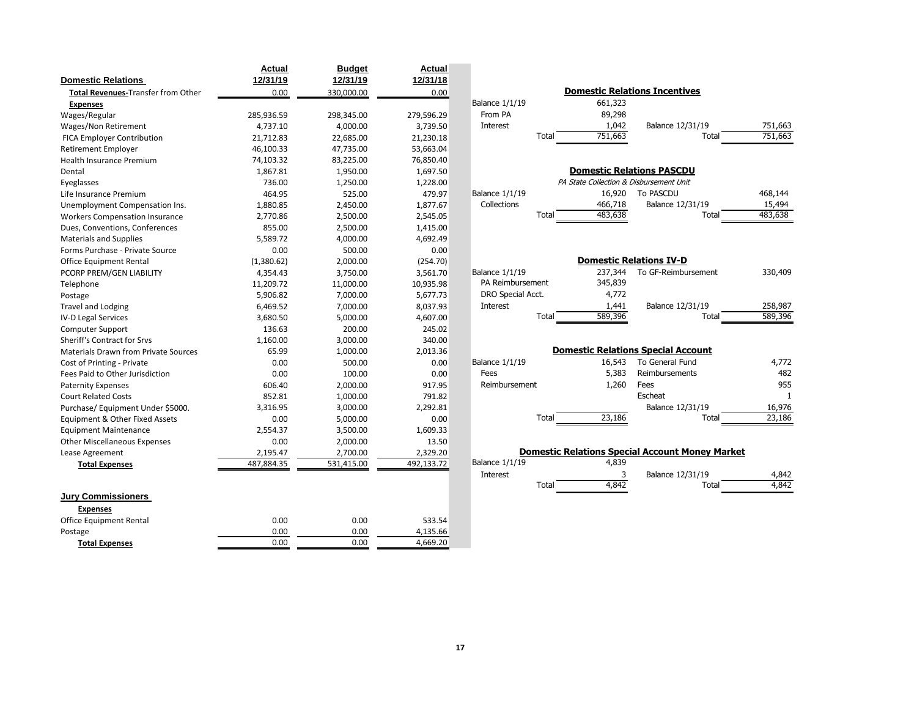|                                             | Actual     | <b>Budget</b> | Actual     |                       |                                         |                                                        |         |
|---------------------------------------------|------------|---------------|------------|-----------------------|-----------------------------------------|--------------------------------------------------------|---------|
| <b>Domestic Relations</b>                   | 12/31/19   | 12/31/19      | 12/31/18   |                       |                                         |                                                        |         |
| Total Revenues-Transfer from Other          | 0.00       | 330,000.00    | 0.00       |                       |                                         | <b>Domestic Relations Incentives</b>                   |         |
| <b>Expenses</b>                             |            |               |            | <b>Balance 1/1/19</b> | 661,323                                 |                                                        |         |
| Wages/Regular                               | 285,936.59 | 298,345.00    | 279,596.29 | From PA               | 89,298                                  |                                                        |         |
| Wages/Non Retirement                        | 4,737.10   | 4,000.00      | 3,739.50   | Interest              | 1,042                                   | Balance 12/31/19                                       | 751,663 |
| <b>FICA Employer Contribution</b>           | 21,712.83  | 22,685.00     | 21,230.18  | Total                 | 751,663                                 | Total                                                  | 751,663 |
| <b>Retirement Employer</b>                  | 46,100.33  | 47,735.00     | 53,663.04  |                       |                                         |                                                        |         |
| <b>Health Insurance Premium</b>             | 74,103.32  | 83,225.00     | 76,850.40  |                       |                                         |                                                        |         |
| Dental                                      | 1,867.81   | 1,950.00      | 1,697.50   |                       |                                         | <b>Domestic Relations PASCDU</b>                       |         |
| Eyeglasses                                  | 736.00     | 1,250.00      | 1,228.00   |                       | PA State Collection & Disbursement Unit |                                                        |         |
| Life Insurance Premium                      | 464.95     | 525.00        | 479.97     | <b>Balance 1/1/19</b> | 16,920                                  | To PASCDU                                              | 468,144 |
| Unemployment Compensation Ins.              | 1,880.85   | 2,450.00      | 1,877.67   | Collections           | 466,718                                 | Balance 12/31/19                                       | 15,494  |
| <b>Workers Compensation Insurance</b>       | 2,770.86   | 2,500.00      | 2,545.05   | Total                 | 483,638                                 | Total                                                  | 483,638 |
| Dues, Conventions, Conferences              | 855.00     | 2,500.00      | 1,415.00   |                       |                                         |                                                        |         |
| <b>Materials and Supplies</b>               | 5,589.72   | 4,000.00      | 4,692.49   |                       |                                         |                                                        |         |
| Forms Purchase - Private Source             | 0.00       | 500.00        | 0.00       |                       |                                         |                                                        |         |
| <b>Office Equipment Rental</b>              | (1,380.62) | 2,000.00      | (254.70)   |                       |                                         | <b>Domestic Relations IV-D</b>                         |         |
| PCORP PREM/GEN LIABILITY                    | 4,354.43   | 3,750.00      | 3,561.70   | <b>Balance 1/1/19</b> | 237,344                                 | To GF-Reimbursement                                    | 330,409 |
| Telephone                                   | 11,209.72  | 11,000.00     | 10,935.98  | PA Reimbursement      | 345,839                                 |                                                        |         |
| Postage                                     | 5,906.82   | 7,000.00      | 5,677.73   | DRO Special Acct.     | 4,772                                   |                                                        |         |
| <b>Travel and Lodging</b>                   | 6,469.52   | 7,000.00      | 8,037.93   | Interest              | 1,441                                   | Balance 12/31/19                                       | 258,987 |
| <b>IV-D Legal Services</b>                  | 3,680.50   | 5,000.00      | 4,607.00   | Total                 | 589,396                                 | Total                                                  | 589,396 |
| Computer Support                            | 136.63     | 200.00        | 245.02     |                       |                                         |                                                        |         |
| <b>Sheriff's Contract for Srvs</b>          | 1,160.00   | 3,000.00      | 340.00     |                       |                                         |                                                        |         |
| <b>Materials Drawn from Private Sources</b> | 65.99      | 1,000.00      | 2,013.36   |                       |                                         | <b>Domestic Relations Special Account</b>              |         |
| Cost of Printing - Private                  | 0.00       | 500.00        | 0.00       | <b>Balance 1/1/19</b> | 16,543                                  | To General Fund                                        | 4,772   |
| Fees Paid to Other Jurisdiction             | 0.00       | 100.00        | 0.00       | Fees                  | 5,383                                   | Reimbursements                                         | 482     |
| <b>Paternity Expenses</b>                   | 606.40     | 2,000.00      | 917.95     | Reimbursement         | 1,260                                   | Fees                                                   | 955     |
| <b>Court Related Costs</b>                  | 852.81     | 1,000.00      | 791.82     |                       |                                         | Escheat                                                |         |
| Purchase/ Equipment Under \$5000.           | 3,316.95   | 3,000.00      | 2,292.81   |                       |                                         | Balance 12/31/19                                       | 16,976  |
| Equipment & Other Fixed Assets              | 0.00       | 5,000.00      | 0.00       | Total                 | 23,186                                  | Total                                                  | 23,186  |
| <b>Equipment Maintenance</b>                | 2.554.37   | 3,500.00      | 1.609.33   |                       |                                         |                                                        |         |
| <b>Other Miscellaneous Expenses</b>         | 0.00       | 2,000.00      | 13.50      |                       |                                         |                                                        |         |
| Lease Agreement                             | 2,195.47   | 2,700.00      | 2,329.20   |                       |                                         | <b>Domestic Relations Special Account Money Market</b> |         |
| <b>Total Expenses</b>                       | 487,884.35 | 531,415.00    | 492,133.72 | <b>Balance 1/1/19</b> | 4,839                                   |                                                        |         |
|                                             |            |               |            | Interest              | 3                                       | Balance 12/31/19                                       | 4,842   |
|                                             |            |               |            | Total                 | 4,842                                   | Total                                                  | 4,842   |
| <b>Jury Commissioners</b>                   |            |               |            |                       |                                         |                                                        |         |
| <b>Expenses</b>                             |            |               |            |                       |                                         |                                                        |         |
| Office Equipment Rental                     | 0.00       | 0.00          | 533.54     |                       |                                         |                                                        |         |
| Postage                                     | 0.00       | 0.00          | 4,135.66   |                       |                                         |                                                        |         |
| <b>Total Expenses</b>                       | 0.00       | 0.00          | 4,669.20   |                       |                                         |                                                        |         |

|                   |              |         | <b>Domestic Relations Incentives</b>                   |              |
|-------------------|--------------|---------|--------------------------------------------------------|--------------|
| alance 1/1/19     |              | 661,323 |                                                        |              |
| From PA           |              | 89,298  |                                                        |              |
| Interest          |              | 1,042   | Balance 12/31/19                                       | 751,663      |
|                   | Total        | 751,663 | Total                                                  | 751,663      |
|                   |              |         |                                                        |              |
|                   |              |         | <b>Domestic Relations PASCDU</b>                       |              |
|                   |              |         | PA State Collection & Disbursement Unit                |              |
| alance 1/1/19     |              | 16,920  | To PASCDU                                              | 468,144      |
| Collections       |              | 466,718 | Balance 12/31/19                                       | 15,494       |
|                   | Total        | 483,638 | Total                                                  | 483,638      |
|                   |              |         |                                                        |              |
|                   |              |         |                                                        |              |
|                   |              |         |                                                        |              |
|                   |              |         | <b>Domestic Relations IV-D</b>                         |              |
| alance 1/1/19     |              | 237,344 | To GF-Reimbursement                                    | 330,409      |
| PA Reimbursement  |              | 345,839 |                                                        |              |
| DRO Special Acct. |              | 4,772   |                                                        |              |
| Interest          |              | 1,441   | Balance 12/31/19                                       | 258,987      |
|                   | <b>Total</b> | 589,396 | Total                                                  | 589,396      |
|                   |              |         |                                                        |              |
|                   |              |         | <b>Domestic Relations Special Account</b>              |              |
| alance 1/1/19     |              | 16,543  | To General Fund                                        | 4,772        |
| Fees              |              | 5,383   | Reimbursements                                         | 482          |
| Reimbursement     |              | 1,260   | Fees                                                   | 955          |
|                   |              |         | Escheat                                                | $\mathbf{1}$ |
|                   |              |         | Balance 12/31/19                                       | 16,976       |
|                   | Total        | 23,186  | Total                                                  | 23,186       |
|                   |              |         |                                                        |              |
|                   |              |         |                                                        |              |
|                   |              |         | <b>Domestic Relations Special Account Money Market</b> |              |
| alance 1/1/19     |              | 4,839   |                                                        |              |
| Interest          |              | 3       | Balance 12/31/19                                       | 4,842        |
|                   | Total        | 4,842   | Total                                                  | 4,842        |
|                   |              |         |                                                        |              |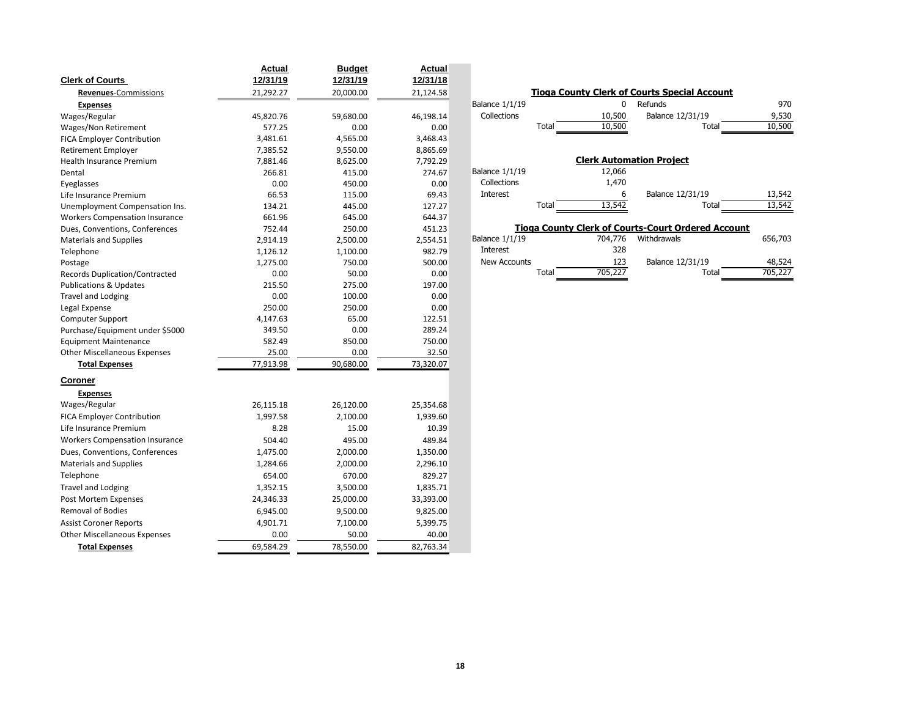| 12/31/19<br>12/31/18<br><b>Clerk of Courts</b><br>12/31/19<br><b>Tioga County Clerk of Courts Special Account</b><br>Revenues-Commissions<br>21,292.27<br>20,000.00<br>21,124.58<br>0<br>Refunds<br><b>Balance 1/1/19</b><br><b>Expenses</b><br>Balance 12/31/19<br>Collections<br>10,500<br>Wages/Regular<br>45,820.76<br>59,680.00<br>46,198.14<br>Total<br>Total<br>10,500<br>577.25<br>0.00<br>Wages/Non Retirement<br>0.00<br>3,468.43<br>3,481.61<br>4,565.00<br>FICA Employer Contribution<br>7,385.52<br>9,550.00<br>8,865.69<br>Retirement Employer<br><b>Clerk Automation Project</b><br>7,881.46<br>8,625.00<br>7,792.29<br>Health Insurance Premium<br>12,066<br><b>Balance 1/1/19</b><br>266.81<br>415.00<br>274.67<br>Dental |      |        |      |             |       |         |
|--------------------------------------------------------------------------------------------------------------------------------------------------------------------------------------------------------------------------------------------------------------------------------------------------------------------------------------------------------------------------------------------------------------------------------------------------------------------------------------------------------------------------------------------------------------------------------------------------------------------------------------------------------------------------------------------------------------------------------------------|------|--------|------|-------------|-------|---------|
|                                                                                                                                                                                                                                                                                                                                                                                                                                                                                                                                                                                                                                                                                                                                            |      |        |      |             |       |         |
|                                                                                                                                                                                                                                                                                                                                                                                                                                                                                                                                                                                                                                                                                                                                            |      |        |      |             |       |         |
|                                                                                                                                                                                                                                                                                                                                                                                                                                                                                                                                                                                                                                                                                                                                            |      |        |      |             |       | 970     |
|                                                                                                                                                                                                                                                                                                                                                                                                                                                                                                                                                                                                                                                                                                                                            |      |        |      |             |       | 9,530   |
|                                                                                                                                                                                                                                                                                                                                                                                                                                                                                                                                                                                                                                                                                                                                            |      |        |      |             |       | 10,500  |
|                                                                                                                                                                                                                                                                                                                                                                                                                                                                                                                                                                                                                                                                                                                                            |      |        |      |             |       |         |
|                                                                                                                                                                                                                                                                                                                                                                                                                                                                                                                                                                                                                                                                                                                                            |      |        |      |             |       |         |
|                                                                                                                                                                                                                                                                                                                                                                                                                                                                                                                                                                                                                                                                                                                                            |      |        |      |             |       |         |
|                                                                                                                                                                                                                                                                                                                                                                                                                                                                                                                                                                                                                                                                                                                                            |      |        |      |             |       |         |
| Eyeglasses                                                                                                                                                                                                                                                                                                                                                                                                                                                                                                                                                                                                                                                                                                                                 | 0.00 | 450.00 | 0.00 | Collections | 1,470 |         |
| Balance 12/31/19<br>66.53<br>6<br>Life Insurance Premium<br>115.00<br>69.43<br>Interest                                                                                                                                                                                                                                                                                                                                                                                                                                                                                                                                                                                                                                                    |      |        |      |             |       | 13,542  |
| 13,542<br>Total<br>Total<br>445.00<br>127.27<br>Unemployment Compensation Ins.<br>134.21                                                                                                                                                                                                                                                                                                                                                                                                                                                                                                                                                                                                                                                   |      |        |      |             |       | 13,542  |
| 661.96<br>645.00<br>644.37<br><b>Workers Compensation Insurance</b>                                                                                                                                                                                                                                                                                                                                                                                                                                                                                                                                                                                                                                                                        |      |        |      |             |       |         |
| <b>Tioga County Clerk of Courts-Court Ordered Account</b><br>752.44<br>250.00<br>451.23<br>Dues, Conventions, Conferences                                                                                                                                                                                                                                                                                                                                                                                                                                                                                                                                                                                                                  |      |        |      |             |       |         |
| <b>Balance 1/1/19</b><br>704,776<br>Withdrawals<br>2,914.19<br>2,500.00<br>2,554.51<br><b>Materials and Supplies</b>                                                                                                                                                                                                                                                                                                                                                                                                                                                                                                                                                                                                                       |      |        |      |             |       | 656,703 |
| 328<br>Interest<br>982.79<br>1,126.12<br>1,100.00<br>Telephone                                                                                                                                                                                                                                                                                                                                                                                                                                                                                                                                                                                                                                                                             |      |        |      |             |       |         |
| 123<br><b>New Accounts</b><br>Balance 12/31/19<br>500.00<br>1,275.00<br>750.00<br>Postage                                                                                                                                                                                                                                                                                                                                                                                                                                                                                                                                                                                                                                                  |      |        |      |             |       | 48,524  |
| Total<br>705,227<br>Total<br><b>Records Duplication/Contracted</b><br>50.00<br>0.00<br>0.00                                                                                                                                                                                                                                                                                                                                                                                                                                                                                                                                                                                                                                                |      |        |      |             |       | 705,227 |
| 197.00<br>215.50<br>275.00<br><b>Publications &amp; Updates</b>                                                                                                                                                                                                                                                                                                                                                                                                                                                                                                                                                                                                                                                                            |      |        |      |             |       |         |
| 0.00<br>100.00<br>0.00<br><b>Travel and Lodging</b>                                                                                                                                                                                                                                                                                                                                                                                                                                                                                                                                                                                                                                                                                        |      |        |      |             |       |         |
| 250.00<br>250.00<br>0.00<br>Legal Expense                                                                                                                                                                                                                                                                                                                                                                                                                                                                                                                                                                                                                                                                                                  |      |        |      |             |       |         |
| 65.00<br>4,147.63<br>122.51<br><b>Computer Support</b>                                                                                                                                                                                                                                                                                                                                                                                                                                                                                                                                                                                                                                                                                     |      |        |      |             |       |         |
| 289.24<br>349.50<br>0.00<br>Purchase/Equipment under \$5000                                                                                                                                                                                                                                                                                                                                                                                                                                                                                                                                                                                                                                                                                |      |        |      |             |       |         |
| 750.00<br>582.49<br>850.00<br><b>Equipment Maintenance</b>                                                                                                                                                                                                                                                                                                                                                                                                                                                                                                                                                                                                                                                                                 |      |        |      |             |       |         |
| 25.00<br>0.00<br>32.50<br><b>Other Miscellaneous Expenses</b>                                                                                                                                                                                                                                                                                                                                                                                                                                                                                                                                                                                                                                                                              |      |        |      |             |       |         |
| 77,913.98<br>90,680.00<br>73,320.07<br><b>Total Expenses</b>                                                                                                                                                                                                                                                                                                                                                                                                                                                                                                                                                                                                                                                                               |      |        |      |             |       |         |
| Coroner                                                                                                                                                                                                                                                                                                                                                                                                                                                                                                                                                                                                                                                                                                                                    |      |        |      |             |       |         |
| <b>Expenses</b>                                                                                                                                                                                                                                                                                                                                                                                                                                                                                                                                                                                                                                                                                                                            |      |        |      |             |       |         |
| Wages/Regular<br>26,115.18<br>26,120.00<br>25,354.68                                                                                                                                                                                                                                                                                                                                                                                                                                                                                                                                                                                                                                                                                       |      |        |      |             |       |         |
| <b>FICA Employer Contribution</b><br>1,939.60<br>1,997.58<br>2,100.00                                                                                                                                                                                                                                                                                                                                                                                                                                                                                                                                                                                                                                                                      |      |        |      |             |       |         |
| Life Insurance Premium<br>8.28<br>15.00<br>10.39                                                                                                                                                                                                                                                                                                                                                                                                                                                                                                                                                                                                                                                                                           |      |        |      |             |       |         |
| 495.00<br>489.84<br>504.40<br><b>Workers Compensation Insurance</b>                                                                                                                                                                                                                                                                                                                                                                                                                                                                                                                                                                                                                                                                        |      |        |      |             |       |         |
| 2,000.00<br>1,350.00<br>Dues, Conventions, Conferences<br>1,475.00                                                                                                                                                                                                                                                                                                                                                                                                                                                                                                                                                                                                                                                                         |      |        |      |             |       |         |
| <b>Materials and Supplies</b><br>2,000.00<br>2,296.10<br>1,284.66                                                                                                                                                                                                                                                                                                                                                                                                                                                                                                                                                                                                                                                                          |      |        |      |             |       |         |
| 829.27<br>Telephone<br>654.00<br>670.00                                                                                                                                                                                                                                                                                                                                                                                                                                                                                                                                                                                                                                                                                                    |      |        |      |             |       |         |
| 1,352.15<br>1,835.71<br><b>Travel and Lodging</b><br>3,500.00                                                                                                                                                                                                                                                                                                                                                                                                                                                                                                                                                                                                                                                                              |      |        |      |             |       |         |
| 33,393.00<br>24,346.33<br>25,000.00<br>Post Mortem Expenses                                                                                                                                                                                                                                                                                                                                                                                                                                                                                                                                                                                                                                                                                |      |        |      |             |       |         |
| 9,825.00<br><b>Removal of Bodies</b><br>6,945.00<br>9,500.00                                                                                                                                                                                                                                                                                                                                                                                                                                                                                                                                                                                                                                                                               |      |        |      |             |       |         |
| 5,399.75<br><b>Assist Coroner Reports</b><br>4,901.71<br>7,100.00                                                                                                                                                                                                                                                                                                                                                                                                                                                                                                                                                                                                                                                                          |      |        |      |             |       |         |
| <b>Other Miscellaneous Expenses</b><br>0.00<br>50.00<br>40.00                                                                                                                                                                                                                                                                                                                                                                                                                                                                                                                                                                                                                                                                              |      |        |      |             |       |         |
| 69,584.29<br>78,550.00<br>82,763.34<br><b>Total Expenses</b>                                                                                                                                                                                                                                                                                                                                                                                                                                                                                                                                                                                                                                                                               |      |        |      |             |       |         |

|                       |                  | <b>Tioga County Clerk of Courts Special Account</b>       |         |
|-----------------------|------------------|-----------------------------------------------------------|---------|
| <b>Balance 1/1/19</b> | O                | Refunds                                                   | 970     |
| Collections           | 10,500           | Balance 12/31/19                                          | 9,530   |
|                       | 10,500<br>Total  | Total                                                     | 10,500  |
|                       |                  | <b>Clerk Automation Project</b>                           |         |
| <b>Balance 1/1/19</b> | 12,066           |                                                           |         |
| Collections           | 1,470            |                                                           |         |
| Interest              | 6                | Balance 12/31/19                                          | 13,542  |
|                       | 13,542<br>Total  | Total                                                     | 13,542  |
|                       |                  | <b>Tioga County Clerk of Courts-Court Ordered Account</b> |         |
| <b>Balance 1/1/19</b> | 704,776          | Withdrawals                                               | 656,703 |
| Interest              | 328              |                                                           |         |
| New Accounts          | 123              | Balance 12/31/19                                          | 48,524  |
|                       | 705,227<br>Total | Total                                                     | 705,227 |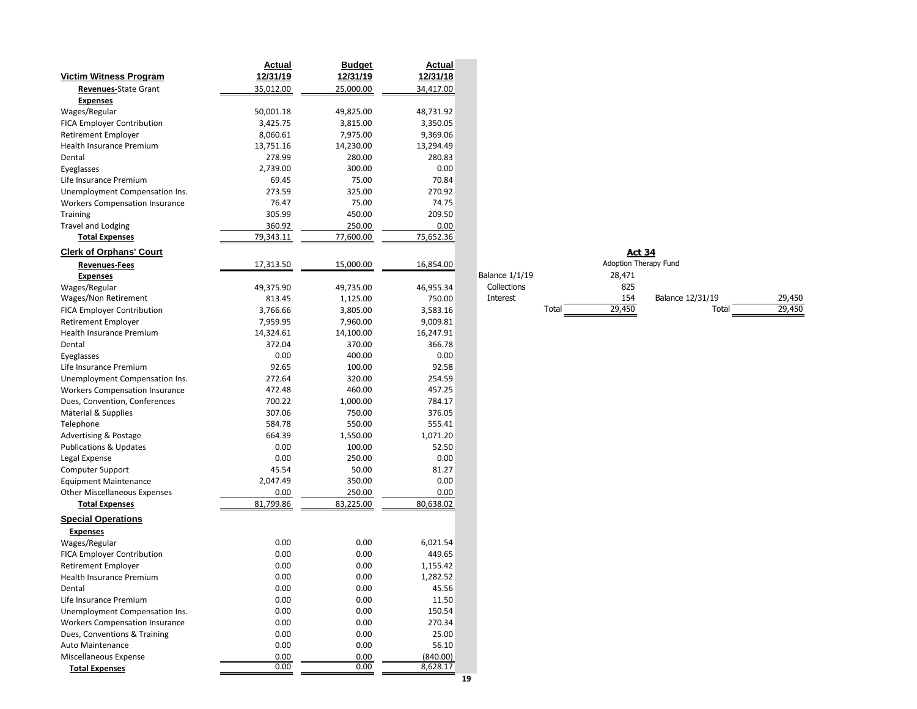| 12/31/19<br>12/31/19<br>12/31/18<br>35,012.00<br>25,000.00<br>34,417.00<br><b>Revenues-</b> State Grant<br><b>Expenses</b><br>50,001.18<br>49,825.00<br>48,731.92<br>3,350.05<br>3,425.75<br>3,815.00<br><b>FICA Employer Contribution</b><br>8,060.61<br>7,975.00<br>9,369.06<br>14,230.00<br>13,294.49<br>13,751.16<br>278.99<br>280.83<br>280.00<br>Dental<br>300.00<br>0.00<br>2,739.00<br>Eyeglasses<br>Life Insurance Premium<br>69.45<br>75.00<br>70.84<br>273.59<br>325.00<br>270.92<br>Unemployment Compensation Ins.<br>76.47<br>75.00<br>74.75<br><b>Workers Compensation Insurance</b><br>305.99<br>450.00<br>209.50<br><b>Travel and Lodging</b><br>360.92<br>250.00<br>0.00<br>75,652.36<br>79,343.11<br>77,600.00<br><b>Total Expenses</b><br><b>Clerk of Orphans' Court</b><br><b>Act 34</b><br>Adoption Therapy Fund<br>15,000.00<br>16,854.00<br>17,313.50<br><b>Revenues-Fees</b><br><b>Balance 1/1/19</b><br>28,471<br><b>Expenses</b><br>Collections<br>825<br>49,375.90<br>Wages/Regular<br>49,735.00<br>46,955.34<br>154<br>Balance 12/31/19<br>29,450<br>Wages/Non Retirement<br>813.45<br>750.00<br>Interest<br>1,125.00<br>29,450<br>29,450<br>Total<br>Total<br>3,766.66<br>3,583.16<br>3,805.00<br><b>FICA Employer Contribution</b><br>7,960.00<br>9,009.81<br>Retirement Employer<br>7,959.95<br>14,100.00<br>16,247.91<br><b>Health Insurance Premium</b><br>14,324.61<br>366.78<br>372.04<br>370.00<br>Dental<br>0.00<br>400.00<br>0.00<br>Eyeglasses<br>92.65<br>92.58<br>Life Insurance Premium<br>100.00<br>272.64<br>320.00<br>254.59<br>Unemployment Compensation Ins.<br>457.25<br>472.48<br>460.00<br><b>Workers Compensation Insurance</b><br>700.22<br>784.17<br>1,000.00<br>Dues, Convention, Conferences<br>307.06<br>376.05<br>750.00<br>Material & Supplies<br>584.78<br>550.00<br>555.41<br>Telephone<br>664.39<br>1,550.00<br>1,071.20<br><b>Advertising &amp; Postage</b><br>0.00<br>100.00<br>52.50<br><b>Publications &amp; Updates</b><br>0.00<br>250.00<br>0.00<br>Legal Expense<br>45.54<br>50.00<br>Computer Support<br>81.27<br>2,047.49<br>350.00<br>0.00<br><b>Equipment Maintenance</b><br>0.00<br>0.00<br>250.00<br><b>Other Miscellaneous Expenses</b><br>81,799.86<br>83,225.00<br>80,638.02<br><b>Total Expenses</b><br><b>Special Operations</b><br><b>Expenses</b><br>0.00<br>0.00<br>6,021.54<br>Wages/Regular<br>0.00<br>0.00<br>449.65<br><b>FICA Employer Contribution</b><br>0.00<br>0.00<br>1,155.42<br><b>Retirement Employer</b><br>0.00<br>0.00<br>1,282.52<br>Health Insurance Premium<br>0.00<br>0.00<br>45.56<br>Dental<br>0.00<br>0.00<br>11.50<br>Life Insurance Premium<br>150.54<br>Unemployment Compensation Ins.<br>0.00<br>0.00<br>270.34<br>0.00<br><b>Workers Compensation Insurance</b><br>0.00<br>0.00<br>0.00<br>25.00<br>Dues, Conventions & Training<br>0.00<br>0.00<br>56.10<br>Auto Maintenance<br>0.00<br>0.00<br>(840.00)<br>Miscellaneous Expense<br>0.00<br>0.00<br>8,628.17<br><b>Total Expenses</b> |                                 | <b>Actual</b> | <b>Budget</b> | <b>Actual</b> |  |  |
|-------------------------------------------------------------------------------------------------------------------------------------------------------------------------------------------------------------------------------------------------------------------------------------------------------------------------------------------------------------------------------------------------------------------------------------------------------------------------------------------------------------------------------------------------------------------------------------------------------------------------------------------------------------------------------------------------------------------------------------------------------------------------------------------------------------------------------------------------------------------------------------------------------------------------------------------------------------------------------------------------------------------------------------------------------------------------------------------------------------------------------------------------------------------------------------------------------------------------------------------------------------------------------------------------------------------------------------------------------------------------------------------------------------------------------------------------------------------------------------------------------------------------------------------------------------------------------------------------------------------------------------------------------------------------------------------------------------------------------------------------------------------------------------------------------------------------------------------------------------------------------------------------------------------------------------------------------------------------------------------------------------------------------------------------------------------------------------------------------------------------------------------------------------------------------------------------------------------------------------------------------------------------------------------------------------------------------------------------------------------------------------------------------------------------------------------------------------------------------------------------------------------------------------------------------------------------------------------------------------------------------------------------------------------------------------------------------------------------------------------------------------------------------------------------------------------------------------------------------------------------------------------------------------------------------------------------------------------------------------------------------|---------------------------------|---------------|---------------|---------------|--|--|
|                                                                                                                                                                                                                                                                                                                                                                                                                                                                                                                                                                                                                                                                                                                                                                                                                                                                                                                                                                                                                                                                                                                                                                                                                                                                                                                                                                                                                                                                                                                                                                                                                                                                                                                                                                                                                                                                                                                                                                                                                                                                                                                                                                                                                                                                                                                                                                                                                                                                                                                                                                                                                                                                                                                                                                                                                                                                                                                                                                                                       | Victim Witness Program          |               |               |               |  |  |
|                                                                                                                                                                                                                                                                                                                                                                                                                                                                                                                                                                                                                                                                                                                                                                                                                                                                                                                                                                                                                                                                                                                                                                                                                                                                                                                                                                                                                                                                                                                                                                                                                                                                                                                                                                                                                                                                                                                                                                                                                                                                                                                                                                                                                                                                                                                                                                                                                                                                                                                                                                                                                                                                                                                                                                                                                                                                                                                                                                                                       |                                 |               |               |               |  |  |
|                                                                                                                                                                                                                                                                                                                                                                                                                                                                                                                                                                                                                                                                                                                                                                                                                                                                                                                                                                                                                                                                                                                                                                                                                                                                                                                                                                                                                                                                                                                                                                                                                                                                                                                                                                                                                                                                                                                                                                                                                                                                                                                                                                                                                                                                                                                                                                                                                                                                                                                                                                                                                                                                                                                                                                                                                                                                                                                                                                                                       |                                 |               |               |               |  |  |
|                                                                                                                                                                                                                                                                                                                                                                                                                                                                                                                                                                                                                                                                                                                                                                                                                                                                                                                                                                                                                                                                                                                                                                                                                                                                                                                                                                                                                                                                                                                                                                                                                                                                                                                                                                                                                                                                                                                                                                                                                                                                                                                                                                                                                                                                                                                                                                                                                                                                                                                                                                                                                                                                                                                                                                                                                                                                                                                                                                                                       | Wages/Regular                   |               |               |               |  |  |
|                                                                                                                                                                                                                                                                                                                                                                                                                                                                                                                                                                                                                                                                                                                                                                                                                                                                                                                                                                                                                                                                                                                                                                                                                                                                                                                                                                                                                                                                                                                                                                                                                                                                                                                                                                                                                                                                                                                                                                                                                                                                                                                                                                                                                                                                                                                                                                                                                                                                                                                                                                                                                                                                                                                                                                                                                                                                                                                                                                                                       |                                 |               |               |               |  |  |
|                                                                                                                                                                                                                                                                                                                                                                                                                                                                                                                                                                                                                                                                                                                                                                                                                                                                                                                                                                                                                                                                                                                                                                                                                                                                                                                                                                                                                                                                                                                                                                                                                                                                                                                                                                                                                                                                                                                                                                                                                                                                                                                                                                                                                                                                                                                                                                                                                                                                                                                                                                                                                                                                                                                                                                                                                                                                                                                                                                                                       | Retirement Employer             |               |               |               |  |  |
|                                                                                                                                                                                                                                                                                                                                                                                                                                                                                                                                                                                                                                                                                                                                                                                                                                                                                                                                                                                                                                                                                                                                                                                                                                                                                                                                                                                                                                                                                                                                                                                                                                                                                                                                                                                                                                                                                                                                                                                                                                                                                                                                                                                                                                                                                                                                                                                                                                                                                                                                                                                                                                                                                                                                                                                                                                                                                                                                                                                                       | <b>Health Insurance Premium</b> |               |               |               |  |  |
|                                                                                                                                                                                                                                                                                                                                                                                                                                                                                                                                                                                                                                                                                                                                                                                                                                                                                                                                                                                                                                                                                                                                                                                                                                                                                                                                                                                                                                                                                                                                                                                                                                                                                                                                                                                                                                                                                                                                                                                                                                                                                                                                                                                                                                                                                                                                                                                                                                                                                                                                                                                                                                                                                                                                                                                                                                                                                                                                                                                                       |                                 |               |               |               |  |  |
|                                                                                                                                                                                                                                                                                                                                                                                                                                                                                                                                                                                                                                                                                                                                                                                                                                                                                                                                                                                                                                                                                                                                                                                                                                                                                                                                                                                                                                                                                                                                                                                                                                                                                                                                                                                                                                                                                                                                                                                                                                                                                                                                                                                                                                                                                                                                                                                                                                                                                                                                                                                                                                                                                                                                                                                                                                                                                                                                                                                                       |                                 |               |               |               |  |  |
|                                                                                                                                                                                                                                                                                                                                                                                                                                                                                                                                                                                                                                                                                                                                                                                                                                                                                                                                                                                                                                                                                                                                                                                                                                                                                                                                                                                                                                                                                                                                                                                                                                                                                                                                                                                                                                                                                                                                                                                                                                                                                                                                                                                                                                                                                                                                                                                                                                                                                                                                                                                                                                                                                                                                                                                                                                                                                                                                                                                                       |                                 |               |               |               |  |  |
|                                                                                                                                                                                                                                                                                                                                                                                                                                                                                                                                                                                                                                                                                                                                                                                                                                                                                                                                                                                                                                                                                                                                                                                                                                                                                                                                                                                                                                                                                                                                                                                                                                                                                                                                                                                                                                                                                                                                                                                                                                                                                                                                                                                                                                                                                                                                                                                                                                                                                                                                                                                                                                                                                                                                                                                                                                                                                                                                                                                                       |                                 |               |               |               |  |  |
|                                                                                                                                                                                                                                                                                                                                                                                                                                                                                                                                                                                                                                                                                                                                                                                                                                                                                                                                                                                                                                                                                                                                                                                                                                                                                                                                                                                                                                                                                                                                                                                                                                                                                                                                                                                                                                                                                                                                                                                                                                                                                                                                                                                                                                                                                                                                                                                                                                                                                                                                                                                                                                                                                                                                                                                                                                                                                                                                                                                                       |                                 |               |               |               |  |  |
|                                                                                                                                                                                                                                                                                                                                                                                                                                                                                                                                                                                                                                                                                                                                                                                                                                                                                                                                                                                                                                                                                                                                                                                                                                                                                                                                                                                                                                                                                                                                                                                                                                                                                                                                                                                                                                                                                                                                                                                                                                                                                                                                                                                                                                                                                                                                                                                                                                                                                                                                                                                                                                                                                                                                                                                                                                                                                                                                                                                                       | <b>Training</b>                 |               |               |               |  |  |
|                                                                                                                                                                                                                                                                                                                                                                                                                                                                                                                                                                                                                                                                                                                                                                                                                                                                                                                                                                                                                                                                                                                                                                                                                                                                                                                                                                                                                                                                                                                                                                                                                                                                                                                                                                                                                                                                                                                                                                                                                                                                                                                                                                                                                                                                                                                                                                                                                                                                                                                                                                                                                                                                                                                                                                                                                                                                                                                                                                                                       |                                 |               |               |               |  |  |
|                                                                                                                                                                                                                                                                                                                                                                                                                                                                                                                                                                                                                                                                                                                                                                                                                                                                                                                                                                                                                                                                                                                                                                                                                                                                                                                                                                                                                                                                                                                                                                                                                                                                                                                                                                                                                                                                                                                                                                                                                                                                                                                                                                                                                                                                                                                                                                                                                                                                                                                                                                                                                                                                                                                                                                                                                                                                                                                                                                                                       |                                 |               |               |               |  |  |
|                                                                                                                                                                                                                                                                                                                                                                                                                                                                                                                                                                                                                                                                                                                                                                                                                                                                                                                                                                                                                                                                                                                                                                                                                                                                                                                                                                                                                                                                                                                                                                                                                                                                                                                                                                                                                                                                                                                                                                                                                                                                                                                                                                                                                                                                                                                                                                                                                                                                                                                                                                                                                                                                                                                                                                                                                                                                                                                                                                                                       |                                 |               |               |               |  |  |
|                                                                                                                                                                                                                                                                                                                                                                                                                                                                                                                                                                                                                                                                                                                                                                                                                                                                                                                                                                                                                                                                                                                                                                                                                                                                                                                                                                                                                                                                                                                                                                                                                                                                                                                                                                                                                                                                                                                                                                                                                                                                                                                                                                                                                                                                                                                                                                                                                                                                                                                                                                                                                                                                                                                                                                                                                                                                                                                                                                                                       |                                 |               |               |               |  |  |
|                                                                                                                                                                                                                                                                                                                                                                                                                                                                                                                                                                                                                                                                                                                                                                                                                                                                                                                                                                                                                                                                                                                                                                                                                                                                                                                                                                                                                                                                                                                                                                                                                                                                                                                                                                                                                                                                                                                                                                                                                                                                                                                                                                                                                                                                                                                                                                                                                                                                                                                                                                                                                                                                                                                                                                                                                                                                                                                                                                                                       |                                 |               |               |               |  |  |
|                                                                                                                                                                                                                                                                                                                                                                                                                                                                                                                                                                                                                                                                                                                                                                                                                                                                                                                                                                                                                                                                                                                                                                                                                                                                                                                                                                                                                                                                                                                                                                                                                                                                                                                                                                                                                                                                                                                                                                                                                                                                                                                                                                                                                                                                                                                                                                                                                                                                                                                                                                                                                                                                                                                                                                                                                                                                                                                                                                                                       |                                 |               |               |               |  |  |
|                                                                                                                                                                                                                                                                                                                                                                                                                                                                                                                                                                                                                                                                                                                                                                                                                                                                                                                                                                                                                                                                                                                                                                                                                                                                                                                                                                                                                                                                                                                                                                                                                                                                                                                                                                                                                                                                                                                                                                                                                                                                                                                                                                                                                                                                                                                                                                                                                                                                                                                                                                                                                                                                                                                                                                                                                                                                                                                                                                                                       |                                 |               |               |               |  |  |
|                                                                                                                                                                                                                                                                                                                                                                                                                                                                                                                                                                                                                                                                                                                                                                                                                                                                                                                                                                                                                                                                                                                                                                                                                                                                                                                                                                                                                                                                                                                                                                                                                                                                                                                                                                                                                                                                                                                                                                                                                                                                                                                                                                                                                                                                                                                                                                                                                                                                                                                                                                                                                                                                                                                                                                                                                                                                                                                                                                                                       |                                 |               |               |               |  |  |
|                                                                                                                                                                                                                                                                                                                                                                                                                                                                                                                                                                                                                                                                                                                                                                                                                                                                                                                                                                                                                                                                                                                                                                                                                                                                                                                                                                                                                                                                                                                                                                                                                                                                                                                                                                                                                                                                                                                                                                                                                                                                                                                                                                                                                                                                                                                                                                                                                                                                                                                                                                                                                                                                                                                                                                                                                                                                                                                                                                                                       |                                 |               |               |               |  |  |
|                                                                                                                                                                                                                                                                                                                                                                                                                                                                                                                                                                                                                                                                                                                                                                                                                                                                                                                                                                                                                                                                                                                                                                                                                                                                                                                                                                                                                                                                                                                                                                                                                                                                                                                                                                                                                                                                                                                                                                                                                                                                                                                                                                                                                                                                                                                                                                                                                                                                                                                                                                                                                                                                                                                                                                                                                                                                                                                                                                                                       |                                 |               |               |               |  |  |
|                                                                                                                                                                                                                                                                                                                                                                                                                                                                                                                                                                                                                                                                                                                                                                                                                                                                                                                                                                                                                                                                                                                                                                                                                                                                                                                                                                                                                                                                                                                                                                                                                                                                                                                                                                                                                                                                                                                                                                                                                                                                                                                                                                                                                                                                                                                                                                                                                                                                                                                                                                                                                                                                                                                                                                                                                                                                                                                                                                                                       |                                 |               |               |               |  |  |
|                                                                                                                                                                                                                                                                                                                                                                                                                                                                                                                                                                                                                                                                                                                                                                                                                                                                                                                                                                                                                                                                                                                                                                                                                                                                                                                                                                                                                                                                                                                                                                                                                                                                                                                                                                                                                                                                                                                                                                                                                                                                                                                                                                                                                                                                                                                                                                                                                                                                                                                                                                                                                                                                                                                                                                                                                                                                                                                                                                                                       |                                 |               |               |               |  |  |
|                                                                                                                                                                                                                                                                                                                                                                                                                                                                                                                                                                                                                                                                                                                                                                                                                                                                                                                                                                                                                                                                                                                                                                                                                                                                                                                                                                                                                                                                                                                                                                                                                                                                                                                                                                                                                                                                                                                                                                                                                                                                                                                                                                                                                                                                                                                                                                                                                                                                                                                                                                                                                                                                                                                                                                                                                                                                                                                                                                                                       |                                 |               |               |               |  |  |
|                                                                                                                                                                                                                                                                                                                                                                                                                                                                                                                                                                                                                                                                                                                                                                                                                                                                                                                                                                                                                                                                                                                                                                                                                                                                                                                                                                                                                                                                                                                                                                                                                                                                                                                                                                                                                                                                                                                                                                                                                                                                                                                                                                                                                                                                                                                                                                                                                                                                                                                                                                                                                                                                                                                                                                                                                                                                                                                                                                                                       |                                 |               |               |               |  |  |
|                                                                                                                                                                                                                                                                                                                                                                                                                                                                                                                                                                                                                                                                                                                                                                                                                                                                                                                                                                                                                                                                                                                                                                                                                                                                                                                                                                                                                                                                                                                                                                                                                                                                                                                                                                                                                                                                                                                                                                                                                                                                                                                                                                                                                                                                                                                                                                                                                                                                                                                                                                                                                                                                                                                                                                                                                                                                                                                                                                                                       |                                 |               |               |               |  |  |
|                                                                                                                                                                                                                                                                                                                                                                                                                                                                                                                                                                                                                                                                                                                                                                                                                                                                                                                                                                                                                                                                                                                                                                                                                                                                                                                                                                                                                                                                                                                                                                                                                                                                                                                                                                                                                                                                                                                                                                                                                                                                                                                                                                                                                                                                                                                                                                                                                                                                                                                                                                                                                                                                                                                                                                                                                                                                                                                                                                                                       |                                 |               |               |               |  |  |
|                                                                                                                                                                                                                                                                                                                                                                                                                                                                                                                                                                                                                                                                                                                                                                                                                                                                                                                                                                                                                                                                                                                                                                                                                                                                                                                                                                                                                                                                                                                                                                                                                                                                                                                                                                                                                                                                                                                                                                                                                                                                                                                                                                                                                                                                                                                                                                                                                                                                                                                                                                                                                                                                                                                                                                                                                                                                                                                                                                                                       |                                 |               |               |               |  |  |
|                                                                                                                                                                                                                                                                                                                                                                                                                                                                                                                                                                                                                                                                                                                                                                                                                                                                                                                                                                                                                                                                                                                                                                                                                                                                                                                                                                                                                                                                                                                                                                                                                                                                                                                                                                                                                                                                                                                                                                                                                                                                                                                                                                                                                                                                                                                                                                                                                                                                                                                                                                                                                                                                                                                                                                                                                                                                                                                                                                                                       |                                 |               |               |               |  |  |
|                                                                                                                                                                                                                                                                                                                                                                                                                                                                                                                                                                                                                                                                                                                                                                                                                                                                                                                                                                                                                                                                                                                                                                                                                                                                                                                                                                                                                                                                                                                                                                                                                                                                                                                                                                                                                                                                                                                                                                                                                                                                                                                                                                                                                                                                                                                                                                                                                                                                                                                                                                                                                                                                                                                                                                                                                                                                                                                                                                                                       |                                 |               |               |               |  |  |
|                                                                                                                                                                                                                                                                                                                                                                                                                                                                                                                                                                                                                                                                                                                                                                                                                                                                                                                                                                                                                                                                                                                                                                                                                                                                                                                                                                                                                                                                                                                                                                                                                                                                                                                                                                                                                                                                                                                                                                                                                                                                                                                                                                                                                                                                                                                                                                                                                                                                                                                                                                                                                                                                                                                                                                                                                                                                                                                                                                                                       |                                 |               |               |               |  |  |
|                                                                                                                                                                                                                                                                                                                                                                                                                                                                                                                                                                                                                                                                                                                                                                                                                                                                                                                                                                                                                                                                                                                                                                                                                                                                                                                                                                                                                                                                                                                                                                                                                                                                                                                                                                                                                                                                                                                                                                                                                                                                                                                                                                                                                                                                                                                                                                                                                                                                                                                                                                                                                                                                                                                                                                                                                                                                                                                                                                                                       |                                 |               |               |               |  |  |
|                                                                                                                                                                                                                                                                                                                                                                                                                                                                                                                                                                                                                                                                                                                                                                                                                                                                                                                                                                                                                                                                                                                                                                                                                                                                                                                                                                                                                                                                                                                                                                                                                                                                                                                                                                                                                                                                                                                                                                                                                                                                                                                                                                                                                                                                                                                                                                                                                                                                                                                                                                                                                                                                                                                                                                                                                                                                                                                                                                                                       |                                 |               |               |               |  |  |
|                                                                                                                                                                                                                                                                                                                                                                                                                                                                                                                                                                                                                                                                                                                                                                                                                                                                                                                                                                                                                                                                                                                                                                                                                                                                                                                                                                                                                                                                                                                                                                                                                                                                                                                                                                                                                                                                                                                                                                                                                                                                                                                                                                                                                                                                                                                                                                                                                                                                                                                                                                                                                                                                                                                                                                                                                                                                                                                                                                                                       |                                 |               |               |               |  |  |
|                                                                                                                                                                                                                                                                                                                                                                                                                                                                                                                                                                                                                                                                                                                                                                                                                                                                                                                                                                                                                                                                                                                                                                                                                                                                                                                                                                                                                                                                                                                                                                                                                                                                                                                                                                                                                                                                                                                                                                                                                                                                                                                                                                                                                                                                                                                                                                                                                                                                                                                                                                                                                                                                                                                                                                                                                                                                                                                                                                                                       |                                 |               |               |               |  |  |
|                                                                                                                                                                                                                                                                                                                                                                                                                                                                                                                                                                                                                                                                                                                                                                                                                                                                                                                                                                                                                                                                                                                                                                                                                                                                                                                                                                                                                                                                                                                                                                                                                                                                                                                                                                                                                                                                                                                                                                                                                                                                                                                                                                                                                                                                                                                                                                                                                                                                                                                                                                                                                                                                                                                                                                                                                                                                                                                                                                                                       |                                 |               |               |               |  |  |
|                                                                                                                                                                                                                                                                                                                                                                                                                                                                                                                                                                                                                                                                                                                                                                                                                                                                                                                                                                                                                                                                                                                                                                                                                                                                                                                                                                                                                                                                                                                                                                                                                                                                                                                                                                                                                                                                                                                                                                                                                                                                                                                                                                                                                                                                                                                                                                                                                                                                                                                                                                                                                                                                                                                                                                                                                                                                                                                                                                                                       |                                 |               |               |               |  |  |
|                                                                                                                                                                                                                                                                                                                                                                                                                                                                                                                                                                                                                                                                                                                                                                                                                                                                                                                                                                                                                                                                                                                                                                                                                                                                                                                                                                                                                                                                                                                                                                                                                                                                                                                                                                                                                                                                                                                                                                                                                                                                                                                                                                                                                                                                                                                                                                                                                                                                                                                                                                                                                                                                                                                                                                                                                                                                                                                                                                                                       |                                 |               |               |               |  |  |
|                                                                                                                                                                                                                                                                                                                                                                                                                                                                                                                                                                                                                                                                                                                                                                                                                                                                                                                                                                                                                                                                                                                                                                                                                                                                                                                                                                                                                                                                                                                                                                                                                                                                                                                                                                                                                                                                                                                                                                                                                                                                                                                                                                                                                                                                                                                                                                                                                                                                                                                                                                                                                                                                                                                                                                                                                                                                                                                                                                                                       |                                 |               |               |               |  |  |
|                                                                                                                                                                                                                                                                                                                                                                                                                                                                                                                                                                                                                                                                                                                                                                                                                                                                                                                                                                                                                                                                                                                                                                                                                                                                                                                                                                                                                                                                                                                                                                                                                                                                                                                                                                                                                                                                                                                                                                                                                                                                                                                                                                                                                                                                                                                                                                                                                                                                                                                                                                                                                                                                                                                                                                                                                                                                                                                                                                                                       |                                 |               |               |               |  |  |
|                                                                                                                                                                                                                                                                                                                                                                                                                                                                                                                                                                                                                                                                                                                                                                                                                                                                                                                                                                                                                                                                                                                                                                                                                                                                                                                                                                                                                                                                                                                                                                                                                                                                                                                                                                                                                                                                                                                                                                                                                                                                                                                                                                                                                                                                                                                                                                                                                                                                                                                                                                                                                                                                                                                                                                                                                                                                                                                                                                                                       |                                 |               |               |               |  |  |
|                                                                                                                                                                                                                                                                                                                                                                                                                                                                                                                                                                                                                                                                                                                                                                                                                                                                                                                                                                                                                                                                                                                                                                                                                                                                                                                                                                                                                                                                                                                                                                                                                                                                                                                                                                                                                                                                                                                                                                                                                                                                                                                                                                                                                                                                                                                                                                                                                                                                                                                                                                                                                                                                                                                                                                                                                                                                                                                                                                                                       |                                 |               |               |               |  |  |
|                                                                                                                                                                                                                                                                                                                                                                                                                                                                                                                                                                                                                                                                                                                                                                                                                                                                                                                                                                                                                                                                                                                                                                                                                                                                                                                                                                                                                                                                                                                                                                                                                                                                                                                                                                                                                                                                                                                                                                                                                                                                                                                                                                                                                                                                                                                                                                                                                                                                                                                                                                                                                                                                                                                                                                                                                                                                                                                                                                                                       |                                 |               |               |               |  |  |
|                                                                                                                                                                                                                                                                                                                                                                                                                                                                                                                                                                                                                                                                                                                                                                                                                                                                                                                                                                                                                                                                                                                                                                                                                                                                                                                                                                                                                                                                                                                                                                                                                                                                                                                                                                                                                                                                                                                                                                                                                                                                                                                                                                                                                                                                                                                                                                                                                                                                                                                                                                                                                                                                                                                                                                                                                                                                                                                                                                                                       |                                 |               |               |               |  |  |
|                                                                                                                                                                                                                                                                                                                                                                                                                                                                                                                                                                                                                                                                                                                                                                                                                                                                                                                                                                                                                                                                                                                                                                                                                                                                                                                                                                                                                                                                                                                                                                                                                                                                                                                                                                                                                                                                                                                                                                                                                                                                                                                                                                                                                                                                                                                                                                                                                                                                                                                                                                                                                                                                                                                                                                                                                                                                                                                                                                                                       |                                 |               |               |               |  |  |
|                                                                                                                                                                                                                                                                                                                                                                                                                                                                                                                                                                                                                                                                                                                                                                                                                                                                                                                                                                                                                                                                                                                                                                                                                                                                                                                                                                                                                                                                                                                                                                                                                                                                                                                                                                                                                                                                                                                                                                                                                                                                                                                                                                                                                                                                                                                                                                                                                                                                                                                                                                                                                                                                                                                                                                                                                                                                                                                                                                                                       |                                 |               |               |               |  |  |
|                                                                                                                                                                                                                                                                                                                                                                                                                                                                                                                                                                                                                                                                                                                                                                                                                                                                                                                                                                                                                                                                                                                                                                                                                                                                                                                                                                                                                                                                                                                                                                                                                                                                                                                                                                                                                                                                                                                                                                                                                                                                                                                                                                                                                                                                                                                                                                                                                                                                                                                                                                                                                                                                                                                                                                                                                                                                                                                                                                                                       |                                 |               |               |               |  |  |
|                                                                                                                                                                                                                                                                                                                                                                                                                                                                                                                                                                                                                                                                                                                                                                                                                                                                                                                                                                                                                                                                                                                                                                                                                                                                                                                                                                                                                                                                                                                                                                                                                                                                                                                                                                                                                                                                                                                                                                                                                                                                                                                                                                                                                                                                                                                                                                                                                                                                                                                                                                                                                                                                                                                                                                                                                                                                                                                                                                                                       |                                 |               |               |               |  |  |
|                                                                                                                                                                                                                                                                                                                                                                                                                                                                                                                                                                                                                                                                                                                                                                                                                                                                                                                                                                                                                                                                                                                                                                                                                                                                                                                                                                                                                                                                                                                                                                                                                                                                                                                                                                                                                                                                                                                                                                                                                                                                                                                                                                                                                                                                                                                                                                                                                                                                                                                                                                                                                                                                                                                                                                                                                                                                                                                                                                                                       |                                 |               |               |               |  |  |
|                                                                                                                                                                                                                                                                                                                                                                                                                                                                                                                                                                                                                                                                                                                                                                                                                                                                                                                                                                                                                                                                                                                                                                                                                                                                                                                                                                                                                                                                                                                                                                                                                                                                                                                                                                                                                                                                                                                                                                                                                                                                                                                                                                                                                                                                                                                                                                                                                                                                                                                                                                                                                                                                                                                                                                                                                                                                                                                                                                                                       |                                 |               |               |               |  |  |

|                       |       | <b>Act 34</b>         |                  |        |
|-----------------------|-------|-----------------------|------------------|--------|
|                       |       | Adoption Therapy Fund |                  |        |
| <b>Balance 1/1/19</b> |       | 28,471                |                  |        |
| <b>Collections</b>    |       | 825                   |                  |        |
| Interest              |       | 154                   | Balance 12/31/19 | 29,450 |
|                       | Total | 29,450                | Total            | 29,450 |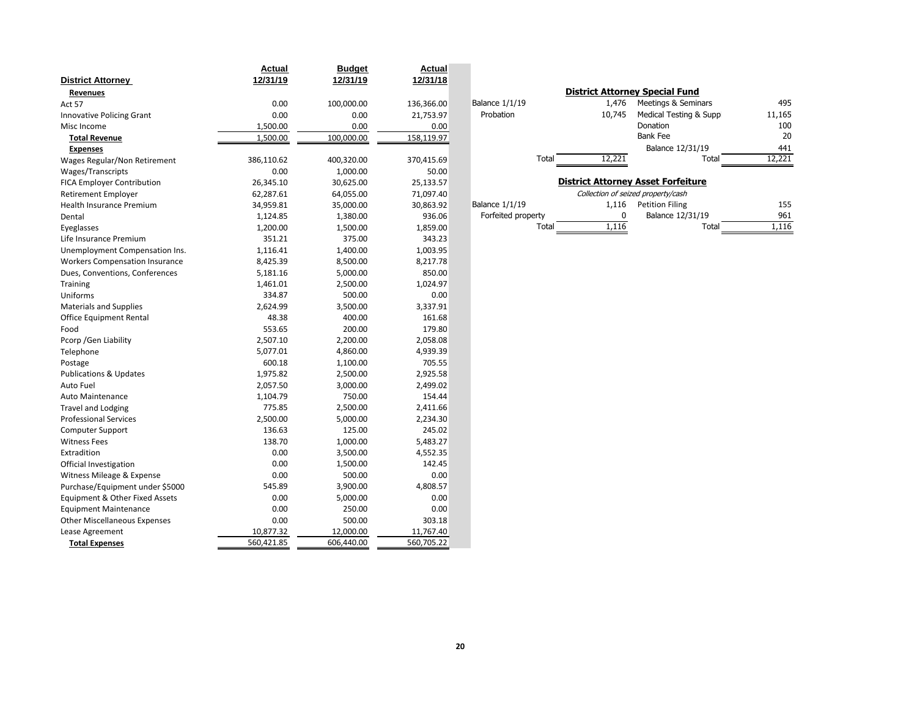|                                       | Actual     | <b>Budget</b> | Actual     |                       |        |                                           |        |
|---------------------------------------|------------|---------------|------------|-----------------------|--------|-------------------------------------------|--------|
| <b>District Attorney</b>              | 12/31/19   | 12/31/19      | 12/31/18   |                       |        |                                           |        |
| Revenues                              |            |               |            |                       |        | <b>District Attorney Special Fund</b>     |        |
| Act 57                                | 0.00       | 100,000.00    | 136,366.00 | <b>Balance 1/1/19</b> | 1,476  | Meetings & Seminars                       | 495    |
| Innovative Policing Grant             | 0.00       | 0.00          | 21,753.97  | Probation             | 10,745 | Medical Testing & Supp                    | 11,165 |
| Misc Income                           | 1,500.00   | 0.00          | 0.00       |                       |        | Donation                                  | 100    |
| <b>Total Revenue</b>                  | 1,500.00   | 100,000.00    | 158,119.97 |                       |        | <b>Bank Fee</b>                           | 20     |
| <b>Expenses</b>                       |            |               |            |                       |        | Balance 12/31/19                          | 441    |
| Wages Regular/Non Retirement          | 386,110.62 | 400,320.00    | 370,415.69 | Total                 | 12,221 | Total                                     | 12,221 |
| <b>Wages/Transcripts</b>              | 0.00       | 1,000.00      | 50.00      |                       |        |                                           |        |
| <b>FICA Employer Contribution</b>     | 26,345.10  | 30,625.00     | 25,133.57  |                       |        | <b>District Attorney Asset Forfeiture</b> |        |
| <b>Retirement Employer</b>            | 62,287.61  | 64,055.00     | 71,097.40  |                       |        | Collection of seized property/cash        |        |
| <b>Health Insurance Premium</b>       | 34,959.81  | 35,000.00     | 30,863.92  | <b>Balance 1/1/19</b> | 1,116  | <b>Petition Filing</b>                    | 155    |
| Dental                                | 1,124.85   | 1,380.00      | 936.06     | Forfeited property    | 0      | Balance 12/31/19                          | 961    |
| Eyeglasses                            | 1,200.00   | 1,500.00      | 1,859.00   | Total                 | 1,116  | Total                                     | 1,116  |
| Life Insurance Premium                | 351.21     | 375.00        | 343.23     |                       |        |                                           |        |
| Unemployment Compensation Ins.        | 1,116.41   | 1,400.00      | 1,003.95   |                       |        |                                           |        |
| <b>Workers Compensation Insurance</b> | 8,425.39   | 8,500.00      | 8,217.78   |                       |        |                                           |        |
| Dues, Conventions, Conferences        | 5,181.16   | 5,000.00      | 850.00     |                       |        |                                           |        |
| Training                              | 1,461.01   | 2,500.00      | 1,024.97   |                       |        |                                           |        |
| Uniforms                              | 334.87     | 500.00        | 0.00       |                       |        |                                           |        |
| <b>Materials and Supplies</b>         | 2,624.99   | 3,500.00      | 3,337.91   |                       |        |                                           |        |
| <b>Office Equipment Rental</b>        | 48.38      | 400.00        | 161.68     |                       |        |                                           |        |
| Food                                  | 553.65     | 200.00        | 179.80     |                       |        |                                           |        |
| Pcorp / Gen Liability                 | 2,507.10   | 2,200.00      | 2,058.08   |                       |        |                                           |        |
| Telephone                             | 5,077.01   | 4,860.00      | 4,939.39   |                       |        |                                           |        |
| Postage                               | 600.18     | 1,100.00      | 705.55     |                       |        |                                           |        |
| <b>Publications &amp; Updates</b>     | 1,975.82   | 2,500.00      | 2,925.58   |                       |        |                                           |        |
| Auto Fuel                             | 2,057.50   | 3,000.00      | 2,499.02   |                       |        |                                           |        |
| Auto Maintenance                      | 1,104.79   | 750.00        | 154.44     |                       |        |                                           |        |
| Travel and Lodging                    | 775.85     | 2,500.00      | 2,411.66   |                       |        |                                           |        |
| <b>Professional Services</b>          | 2,500.00   | 5,000.00      | 2,234.30   |                       |        |                                           |        |
| Computer Support                      | 136.63     | 125.00        | 245.02     |                       |        |                                           |        |
| <b>Witness Fees</b>                   | 138.70     | 1,000.00      | 5,483.27   |                       |        |                                           |        |
| Extradition                           | 0.00       | 3,500.00      | 4,552.35   |                       |        |                                           |        |
| Official Investigation                | 0.00       | 1,500.00      | 142.45     |                       |        |                                           |        |
| Witness Mileage & Expense             | 0.00       | 500.00        | 0.00       |                       |        |                                           |        |
| Purchase/Equipment under \$5000       | 545.89     | 3,900.00      | 4,808.57   |                       |        |                                           |        |
| Equipment & Other Fixed Assets        | 0.00       | 5,000.00      | 0.00       |                       |        |                                           |        |
| <b>Equipment Maintenance</b>          | 0.00       | 250.00        | 0.00       |                       |        |                                           |        |
| <b>Other Miscellaneous Expenses</b>   | 0.00       | 500.00        | 303.18     |                       |        |                                           |        |
| Lease Agreement                       | 10,877.32  | 12,000.00     | 11,767.40  |                       |        |                                           |        |
| <b>Total Expenses</b>                 | 560,421.85 | 606,440.00    | 560,705.22 |                       |        |                                           |        |

| Balance 1/1/19 |       | 1,476  | <b>District Attorney Special Fund</b><br>Meetings & Seminars | 495    |
|----------------|-------|--------|--------------------------------------------------------------|--------|
| Probation      |       | 10,745 | Medical Testing & Supp                                       | 11,165 |
|                |       |        | Donation                                                     | 100    |
|                |       |        | Bank Fee                                                     | 20     |
|                |       |        | Balance 12/31/19                                             | 441    |
|                | Total | 12,221 | Total                                                        | 12,221 |

| Collection of seized property/cash |       |                        |       |  |  |  |
|------------------------------------|-------|------------------------|-------|--|--|--|
| Balance 1/1/19                     | 1.116 | <b>Petition Filing</b> | 155   |  |  |  |
| Forfeited property                 |       | Balance 12/31/19       | 961   |  |  |  |
| Total                              | 1.116 | Total                  | 1.116 |  |  |  |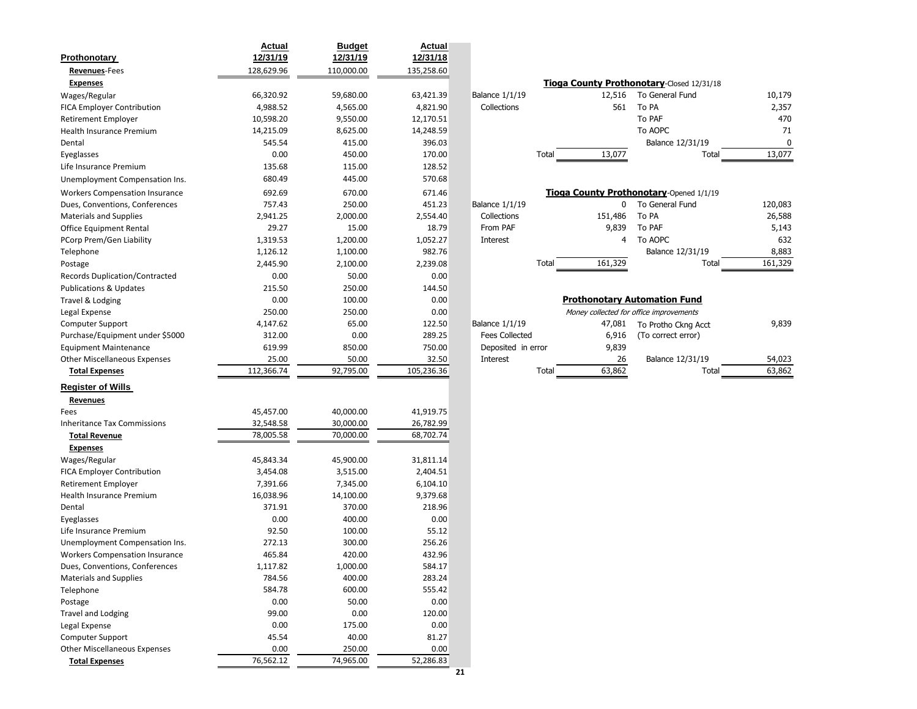|                                       | Actual     | <b>Budget</b> | <b>Actual</b> |                       |         |                                           |         |
|---------------------------------------|------------|---------------|---------------|-----------------------|---------|-------------------------------------------|---------|
| Prothonotary                          | 12/31/19   | 12/31/19      | 12/31/18      |                       |         |                                           |         |
| Revenues-Fees                         | 128,629.96 | 110,000.00    | 135,258.60    |                       |         |                                           |         |
| <b>Expenses</b>                       |            |               |               |                       |         | Tioga County Prothonotary-Closed 12/31/18 |         |
| Wages/Regular                         | 66,320.92  | 59,680.00     | 63,421.39     | <b>Balance 1/1/19</b> | 12,516  | To General Fund                           | 10,179  |
| FICA Employer Contribution            | 4,988.52   | 4,565.00      | 4,821.90      | Collections           | 561     | To PA                                     | 2,357   |
| Retirement Employer                   | 10,598.20  | 9,550.00      | 12,170.51     |                       |         | To PAF                                    | 470     |
| <b>Health Insurance Premium</b>       | 14,215.09  | 8,625.00      | 14,248.59     |                       |         | To AOPC                                   | 71      |
| Dental                                | 545.54     | 415.00        | 396.03        |                       |         | Balance 12/31/19                          | 0       |
| Eyeglasses                            | 0.00       | 450.00        | 170.00        | Total                 | 13,077  | Total                                     | 13,077  |
| Life Insurance Premium                | 135.68     | 115.00        | 128.52        |                       |         |                                           |         |
| Unemployment Compensation Ins.        | 680.49     | 445.00        | 570.68        |                       |         |                                           |         |
| <b>Workers Compensation Insurance</b> | 692.69     | 670.00        | 671.46        |                       |         | Tioga County Prothonotary-Opened 1/1/19   |         |
| Dues, Conventions, Conferences        | 757.43     | 250.00        | 451.23        | <b>Balance 1/1/19</b> | 0       | To General Fund                           | 120,083 |
| Materials and Supplies                | 2,941.25   | 2,000.00      | 2,554.40      | Collections           | 151,486 | To PA                                     | 26,588  |
| Office Equipment Rental               | 29.27      | 15.00         | 18.79         | From PAF              | 9,839   | To PAF                                    | 5,143   |
| PCorp Prem/Gen Liability              | 1,319.53   | 1,200.00      | 1,052.27      | Interest              | 4       | To AOPC                                   | 632     |
| Telephone                             | 1,126.12   | 1,100.00      | 982.76        |                       |         | Balance 12/31/19                          | 8,883   |
| Postage                               | 2,445.90   | 2,100.00      | 2,239.08      | Total                 | 161,329 | Total                                     | 161,329 |
| <b>Records Duplication/Contracted</b> | 0.00       | 50.00         | 0.00          |                       |         |                                           |         |
| <b>Publications &amp; Updates</b>     | 215.50     | 250.00        | 144.50        |                       |         |                                           |         |
| Travel & Lodging                      | 0.00       | 100.00        | 0.00          |                       |         | <b>Prothonotary Automation Fund</b>       |         |
| Legal Expense                         | 250.00     | 250.00        | 0.00          |                       |         | Money collected for office improvements   |         |
| Computer Support                      | 4,147.62   | 65.00         | 122.50        | <b>Balance 1/1/19</b> | 47,081  | To Protho Ckng Acct                       | 9,839   |
| Purchase/Equipment under \$5000       | 312.00     | 0.00          | 289.25        | <b>Fees Collected</b> | 6,916   | (To correct error)                        |         |
| <b>Equipment Maintenance</b>          | 619.99     | 850.00        | 750.00        | Deposited in error    | 9,839   |                                           |         |
| <b>Other Miscellaneous Expenses</b>   | 25.00      | 50.00         | 32.50         | Interest              | 26      | Balance 12/31/19                          | 54,023  |
| <b>Total Expenses</b>                 | 112,366.74 | 92,795.00     | 105,236.36    | Total                 | 63,862  | Total                                     | 63,862  |
| <b>Register of Wills</b>              |            |               |               |                       |         |                                           |         |
| Revenues                              |            |               |               |                       |         |                                           |         |
| Fees                                  | 45,457.00  | 40,000.00     | 41,919.75     |                       |         |                                           |         |
| <b>Inheritance Tax Commissions</b>    | 32,548.58  | 30,000.00     | 26,782.99     |                       |         |                                           |         |
| <b>Total Revenue</b>                  | 78,005.58  | 70,000.00     | 68,702.74     |                       |         |                                           |         |
| <b>Expenses</b>                       |            |               |               |                       |         |                                           |         |
| Wages/Regular                         | 45,843.34  | 45,900.00     | 31,811.14     |                       |         |                                           |         |
| FICA Employer Contribution            | 3,454.08   | 3,515.00      | 2,404.51      |                       |         |                                           |         |
| Retirement Employer                   | 7,391.66   | 7,345.00      | 6,104.10      |                       |         |                                           |         |
| <b>Health Insurance Premium</b>       | 16,038.96  | 14,100.00     | 9,379.68      |                       |         |                                           |         |
| Dental                                | 371.91     | 370.00        | 218.96        |                       |         |                                           |         |
| Eyeglasses                            | 0.00       | 400.00        | 0.00          |                       |         |                                           |         |
| Life Insurance Premium                | 92.50      | 100.00        | 55.12         |                       |         |                                           |         |
| Unemployment Compensation Ins.        | 272.13     | 300.00        | 256.26        |                       |         |                                           |         |
| <b>Workers Compensation Insurance</b> | 465.84     | 420.00        | 432.96        |                       |         |                                           |         |
| Dues, Conventions, Conferences        | 1,117.82   | 1,000.00      | 584.17        |                       |         |                                           |         |
| <b>Materials and Supplies</b>         | 784.56     | 400.00        | 283.24        |                       |         |                                           |         |
| Telephone                             | 584.78     | 600.00        | 555.42        |                       |         |                                           |         |
| Postage                               | 0.00       | 50.00         | 0.00          |                       |         |                                           |         |
| <b>Travel and Lodging</b>             | 99.00      | 0.00          | 120.00        |                       |         |                                           |         |
| Legal Expense                         | 0.00       | 175.00        | 0.00          |                       |         |                                           |         |
| Computer Support                      | 45.54      | 40.00         | 81.27         |                       |         |                                           |         |
| <b>Other Miscellaneous Expenses</b>   | 0.00       | 250.00        | 0.00          |                       |         |                                           |         |
| <b>Total Expenses</b>                 | 76,562.12  | 74,965.00     | 52,286.83     |                       |         |                                           |         |

|               |       |        | <b>Tioga County Prothonotary-Closed 12/31/18</b> |        |
|---------------|-------|--------|--------------------------------------------------|--------|
| alance 1/1/19 |       | 12,516 | To General Fund                                  | 10,179 |
| Collections   |       | 561    | To PA                                            | 2,357  |
|               |       |        | To PAF                                           | 470    |
|               |       |        | To AOPC                                          | 71     |
|               |       |        | Balance 12/31/19                                 | 0      |
|               | Total | 13,077 | Total                                            | 13,077 |
|               |       |        |                                                  |        |

| Tioga County Prothonotary-Opened 1/1/19 |       |         |                  |         |  |  |
|-----------------------------------------|-------|---------|------------------|---------|--|--|
| Balance 1/1/19                          |       |         | To General Fund  | 120,083 |  |  |
| Collections                             |       | 151,486 | To PA            | 26,588  |  |  |
| From PAF                                |       | 9,839   | To PAF           | 5,143   |  |  |
| Interest                                |       |         | To AOPC          | 632     |  |  |
|                                         |       |         | Balance 12/31/19 | 8,883   |  |  |
|                                         | Total | 161,329 | Total            | 161,329 |  |  |

# **Prothonotary Automation Fund**

|                       |        | Money collected for office improvements |        |
|-----------------------|--------|-----------------------------------------|--------|
| Balance 1/1/19        | 47,081 | To Protho Ckng Acct                     | 9,839  |
| <b>Fees Collected</b> | 6.916  | (To correct error)                      |        |
| Deposited in error    | 9,839  |                                         |        |
| Interest              | 26     | Balance 12/31/19                        | 54,023 |
| Total                 | 63,862 | Total                                   | 63,862 |
|                       |        |                                         |        |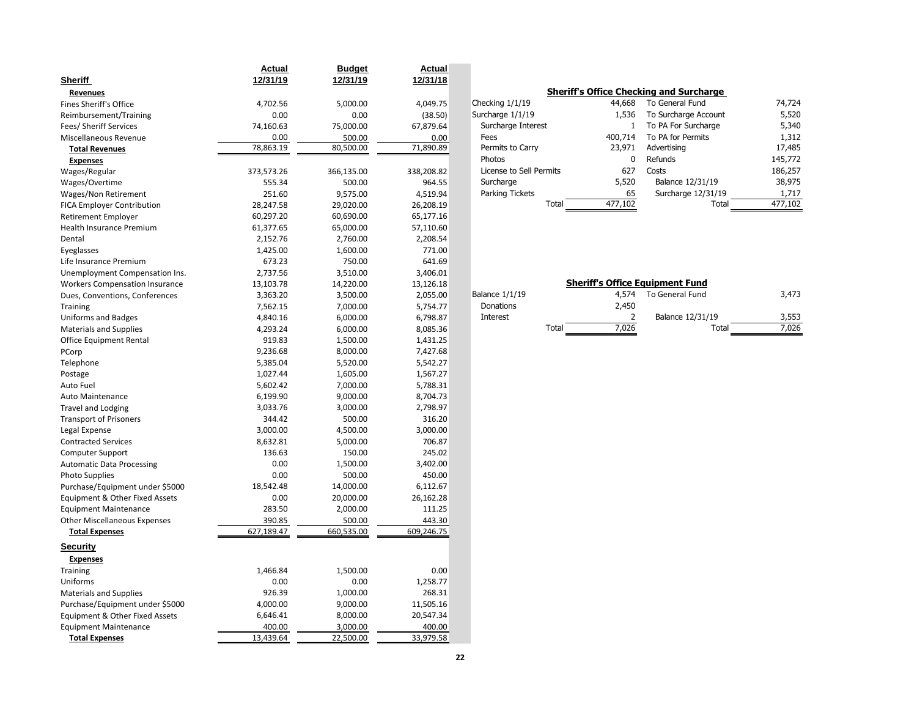|                                       | <b>Actual</b> | <b>Budget</b> | <u>Actual</u> |                         |              |                                                |         |
|---------------------------------------|---------------|---------------|---------------|-------------------------|--------------|------------------------------------------------|---------|
| <b>Sheriff</b>                        | 12/31/19      | 12/31/19      | 12/31/18      |                         |              |                                                |         |
| Revenues                              |               |               |               |                         |              | <b>Sheriff's Office Checking and Surcharge</b> |         |
| Fines Sheriff's Office                | 4,702.56      | 5,000.00      | 4,049.75      | Checking 1/1/19         | 44,668       | To General Fund                                | 74,724  |
| Reimbursement/Training                | 0.00          | 0.00          | (38.50)       | Surcharge 1/1/19        | 1,536        | To Surcharge Account                           | 5,520   |
| Fees/ Sheriff Services                | 74,160.63     | 75,000.00     | 67,879.64     | Surcharge Interest      | $\mathbf{1}$ | To PA For Surcharge                            | 5,340   |
| Miscellaneous Revenue                 | 0.00          | 500.00        | 0.00          | Fees                    | 400,714      | To PA for Permits                              | 1,312   |
| <b>Total Revenues</b>                 | 78,863.19     | 80,500.00     | 71,890.89     | Permits to Carry        | 23,971       | Advertising                                    | 17,485  |
| <b>Expenses</b>                       |               |               |               | Photos                  | 0            | Refunds                                        | 145,772 |
| Wages/Regular                         | 373,573.26    | 366,135.00    | 338,208.82    | License to Sell Permits | 627          | Costs                                          | 186,257 |
| Wages/Overtime                        | 555.34        | 500.00        | 964.55        | Surcharge               | 5,520        | Balance 12/31/19                               | 38,975  |
| Wages/Non Retirement                  | 251.60        | 9,575.00      | 4,519.94      | Parking Tickets         | 65           | Surcharge 12/31/19                             | 1,717   |
| <b>FICA Employer Contribution</b>     | 28,247.58     | 29,020.00     | 26,208.19     | <b>Total</b>            | 477,102      | Total                                          | 477,102 |
| <b>Retirement Employer</b>            | 60,297.20     | 60,690.00     | 65,177.16     |                         |              |                                                |         |
| Health Insurance Premium              | 61,377.65     | 65,000.00     | 57,110.60     |                         |              |                                                |         |
| Dental                                | 2,152.76      | 2,760.00      | 2,208.54      |                         |              |                                                |         |
| Eyeglasses                            | 1,425.00      | 1,600.00      | 771.00        |                         |              |                                                |         |
| Life Insurance Premium                | 673.23        | 750.00        | 641.69        |                         |              |                                                |         |
| Unemployment Compensation Ins.        | 2,737.56      | 3,510.00      | 3,406.01      |                         |              |                                                |         |
| <b>Workers Compensation Insurance</b> | 13,103.78     | 14,220.00     | 13,126.18     |                         |              | <b>Sheriff's Office Equipment Fund</b>         |         |
| Dues, Conventions, Conferences        | 3,363.20      | 3,500.00      | 2,055.00      | <b>Balance 1/1/19</b>   | 4,574        | To General Fund                                | 3,473   |
|                                       |               |               |               | Donations               | 2,450        |                                                |         |
| Training                              | 7,562.15      | 7,000.00      | 5,754.77      | Interest                | 2            | Balance 12/31/19                               | 3,553   |
| <b>Uniforms and Badges</b>            | 4,840.16      | 6,000.00      | 6,798.87      | Total                   | 7,026        | Total                                          | 7,026   |
| <b>Materials and Supplies</b>         | 4,293.24      | 6,000.00      | 8,085.36      |                         |              |                                                |         |
| <b>Office Equipment Rental</b>        | 919.83        | 1,500.00      | 1,431.25      |                         |              |                                                |         |
| PCorp                                 | 9,236.68      | 8,000.00      | 7,427.68      |                         |              |                                                |         |
| Telephone                             | 5,385.04      | 5,520.00      | 5,542.27      |                         |              |                                                |         |
| Postage                               | 1,027.44      | 1,605.00      | 1,567.27      |                         |              |                                                |         |
| Auto Fuel                             | 5,602.42      | 7,000.00      | 5,788.31      |                         |              |                                                |         |
| Auto Maintenance                      | 6,199.90      | 9,000.00      | 8,704.73      |                         |              |                                                |         |
| <b>Travel and Lodging</b>             | 3,033.76      | 3,000.00      | 2,798.97      |                         |              |                                                |         |
| <b>Transport of Prisoners</b>         | 344.42        | 500.00        | 316.20        |                         |              |                                                |         |
| Legal Expense                         | 3,000.00      | 4,500.00      | 3,000.00      |                         |              |                                                |         |
| <b>Contracted Services</b>            | 8,632.81      | 5,000.00      | 706.87        |                         |              |                                                |         |
| <b>Computer Support</b>               | 136.63        | 150.00        | 245.02        |                         |              |                                                |         |
| <b>Automatic Data Processing</b>      | 0.00          | 1,500.00      | 3,402.00      |                         |              |                                                |         |
| <b>Photo Supplies</b>                 | 0.00          | 500.00        | 450.00        |                         |              |                                                |         |
| Purchase/Equipment under \$5000       | 18,542.48     | 14,000.00     | 6,112.67      |                         |              |                                                |         |
| Equipment & Other Fixed Assets        | 0.00          | 20,000.00     | 26,162.28     |                         |              |                                                |         |
| <b>Equipment Maintenance</b>          | 283.50        | 2,000.00      | 111.25        |                         |              |                                                |         |
| <b>Other Miscellaneous Expenses</b>   | 390.85        | 500.00        | 443.30        |                         |              |                                                |         |
| <b>Total Expenses</b>                 | 627,189.47    | 660,535.00    | 609,246.75    |                         |              |                                                |         |
| <b>Security</b>                       |               |               |               |                         |              |                                                |         |
| <b>Expenses</b>                       |               |               |               |                         |              |                                                |         |
| Training                              | 1,466.84      | 1,500.00      | 0.00          |                         |              |                                                |         |
| Uniforms                              | 0.00          | 0.00          | 1,258.77      |                         |              |                                                |         |
| <b>Materials and Supplies</b>         | 926.39        | 1,000.00      | 268.31        |                         |              |                                                |         |
| Purchase/Equipment under \$5000       | 4,000.00      | 9,000.00      | 11,505.16     |                         |              |                                                |         |
| Equipment & Other Fixed Assets        | 6,646.41      | 8,000.00      | 20,547.34     |                         |              |                                                |         |
| <b>Equipment Maintenance</b>          | 400.00        | 3,000.00      | 400.00        |                         |              |                                                |         |
| <b>Total Expenses</b>                 | 13,439.64     | 22,500.00     | 33,979.58     |                         |              |                                                |         |

| <b>Sheriff's Office Checking and Surcharge</b> |         |                      |         |  |  |  |  |
|------------------------------------------------|---------|----------------------|---------|--|--|--|--|
| hecking 1/1/19                                 | 44,668  | To General Fund      | 74,724  |  |  |  |  |
| urcharge 1/1/19                                | 1,536   | To Surcharge Account | 5,520   |  |  |  |  |
| Surcharge Interest                             |         | To PA For Surcharge  | 5,340   |  |  |  |  |
| Fees                                           | 400,714 | To PA for Permits    | 1,312   |  |  |  |  |
| Permits to Carry                               | 23,971  | Advertising          | 17,485  |  |  |  |  |
| Photos                                         | 0       | Refunds              | 145,772 |  |  |  |  |
| License to Sell Permits                        | 627     | Costs                | 186,257 |  |  |  |  |
| Surcharge                                      | 5,520   | Balance 12/31/19     | 38,975  |  |  |  |  |
| Parking Tickets                                | 65      | Surcharge 12/31/19   | 1,717   |  |  |  |  |
| Total                                          | 477,102 | Total                | 477,102 |  |  |  |  |

|            |       |       | <b>Sheriff's Office Equipment Fund</b> |       |
|------------|-------|-------|----------------------------------------|-------|
| nce 1/1/19 |       | 4.574 | To General Fund                        | 3,473 |
| onations   |       | 2,450 |                                        |       |
| iterest    |       |       | Balance 12/31/19                       | 3,553 |
|            | Total | 7.026 | Total                                  | 7.026 |
|            |       |       |                                        |       |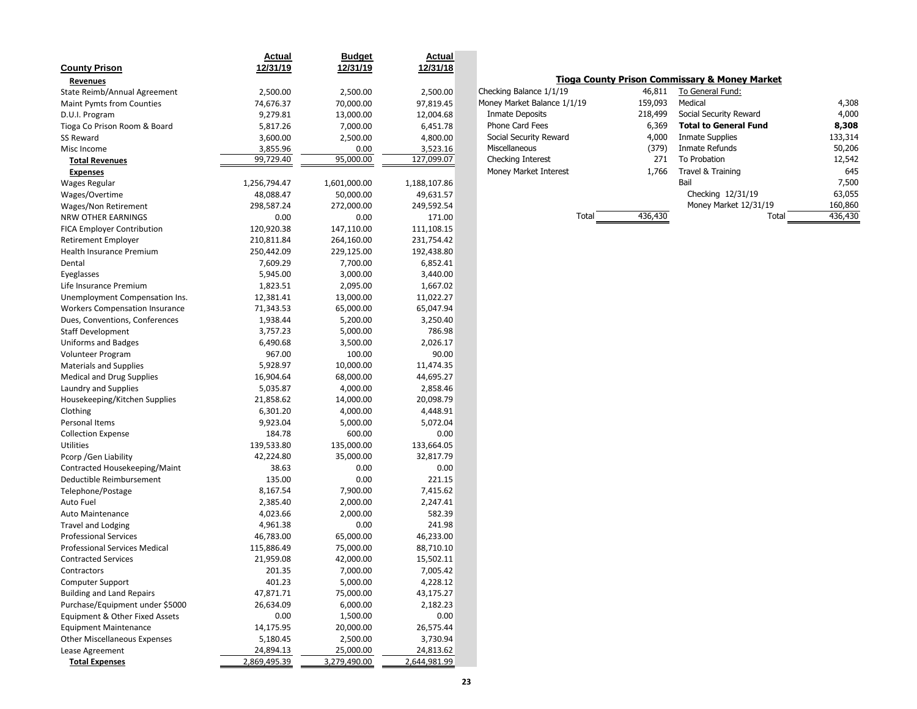|                                       | <b>Actual</b> | <b>Budget</b> | <b>Actual</b>        |                             |         |                                                          |         |
|---------------------------------------|---------------|---------------|----------------------|-----------------------------|---------|----------------------------------------------------------|---------|
| <b>County Prison</b>                  | 12/31/19      | 12/31/19      | 12/31/18             |                             |         |                                                          |         |
| <b>Revenues</b>                       |               |               |                      |                             |         | <b>Tioga County Prison Commissary &amp; Money Market</b> |         |
| State Reimb/Annual Agreement          | 2,500.00      | 2,500.00      | 2,500.00             | Checking Balance 1/1/19     | 46,811  | To General Fund:                                         |         |
| Maint Pymts from Counties             | 74,676.37     | 70,000.00     | 97,819.45            | Money Market Balance 1/1/19 | 159,093 | Medical                                                  | 4,308   |
| D.U.I. Program                        | 9,279.81      | 13,000.00     | 12,004.68            | <b>Inmate Deposits</b>      | 218,499 | Social Security Reward                                   | 4,000   |
| Tioga Co Prison Room & Board          | 5,817.26      | 7,000.00      | 6,451.78             | Phone Card Fees             | 6,369   | <b>Total to General Fund</b>                             | 8,308   |
| SS Reward                             | 3,600.00      | 2,500.00      | 4,800.00             | Social Security Reward      | 4,000   | <b>Inmate Supplies</b>                                   | 133,314 |
| Misc Income                           | 3,855.96      | 0.00          | 3,523.16             | Miscellaneous               | (379)   | Inmate Refunds                                           | 50,206  |
| <b>Total Revenues</b>                 | 99,729.40     | 95,000.00     | 127,099.07           | Checking Interest           | 271     | To Probation                                             | 12,542  |
| <b>Expenses</b>                       |               |               |                      | Money Market Interest       | 1,766   | Travel & Training                                        | 645     |
| Wages Regular                         | 1,256,794.47  | 1,601,000.00  | 1,188,107.86         |                             |         | Bail                                                     | 7,500   |
| Wages/Overtime                        | 48,088.47     | 50,000.00     | 49,631.57            |                             |         | Checking 12/31/19                                        | 63,055  |
| Wages/Non Retirement                  | 298,587.24    | 272,000.00    | 249,592.54           |                             |         | Money Market 12/31/19                                    | 160,860 |
| NRW OTHER EARNINGS                    | 0.00          | 0.00          | 171.00               | Total                       | 436,430 | Total                                                    | 436,430 |
| FICA Employer Contribution            | 120,920.38    | 147,110.00    | 111,108.15           |                             |         |                                                          |         |
| Retirement Employer                   | 210,811.84    | 264,160.00    | 231,754.42           |                             |         |                                                          |         |
| Health Insurance Premium              | 250,442.09    | 229,125.00    | 192,438.80           |                             |         |                                                          |         |
| Dental                                | 7,609.29      | 7,700.00      | 6,852.41             |                             |         |                                                          |         |
|                                       | 5,945.00      | 3,000.00      |                      |                             |         |                                                          |         |
| Eyeglasses<br>Life Insurance Premium  | 1,823.51      |               | 3,440.00<br>1,667.02 |                             |         |                                                          |         |
|                                       |               | 2,095.00      |                      |                             |         |                                                          |         |
| Unemployment Compensation Ins.        | 12,381.41     | 13,000.00     | 11,022.27            |                             |         |                                                          |         |
| <b>Workers Compensation Insurance</b> | 71,343.53     | 65,000.00     | 65,047.94            |                             |         |                                                          |         |
| Dues, Conventions, Conferences        | 1,938.44      | 5,200.00      | 3,250.40             |                             |         |                                                          |         |
| <b>Staff Development</b>              | 3,757.23      | 5,000.00      | 786.98               |                             |         |                                                          |         |
| <b>Uniforms and Badges</b>            | 6,490.68      | 3,500.00      | 2,026.17             |                             |         |                                                          |         |
| Volunteer Program                     | 967.00        | 100.00        | 90.00                |                             |         |                                                          |         |
| <b>Materials and Supplies</b>         | 5,928.97      | 10,000.00     | 11,474.35            |                             |         |                                                          |         |
| Medical and Drug Supplies             | 16,904.64     | 68,000.00     | 44,695.27            |                             |         |                                                          |         |
| Laundry and Supplies                  | 5,035.87      | 4,000.00      | 2,858.46             |                             |         |                                                          |         |
| Housekeeping/Kitchen Supplies         | 21,858.62     | 14,000.00     | 20,098.79            |                             |         |                                                          |         |
| Clothing                              | 6,301.20      | 4,000.00      | 4,448.91             |                             |         |                                                          |         |
| Personal Items                        | 9,923.04      | 5,000.00      | 5,072.04             |                             |         |                                                          |         |
| <b>Collection Expense</b>             | 184.78        | 600.00        | 0.00                 |                             |         |                                                          |         |
| Utilities                             | 139,533.80    | 135,000.00    | 133,664.05           |                             |         |                                                          |         |
| Pcorp / Gen Liability                 | 42,224.80     | 35,000.00     | 32,817.79            |                             |         |                                                          |         |
| Contracted Housekeeping/Maint         | 38.63         | 0.00          | 0.00                 |                             |         |                                                          |         |
| Deductible Reimbursement              | 135.00        | 0.00          | 221.15               |                             |         |                                                          |         |
| Telephone/Postage                     | 8,167.54      | 7,900.00      | 7,415.62             |                             |         |                                                          |         |
| Auto Fuel                             | 2,385.40      | 2,000.00      | 2,247.41             |                             |         |                                                          |         |
| Auto Maintenance                      | 4,023.66      | 2,000.00      | 582.39               |                             |         |                                                          |         |
| <b>Travel and Lodging</b>             | 4,961.38      | 0.00          | 241.98               |                             |         |                                                          |         |
| <b>Professional Services</b>          | 46,783.00     | 65,000.00     | 46,233.00            |                             |         |                                                          |         |
| <b>Professional Services Medical</b>  | 115,886.49    | 75,000.00     | 88,710.10            |                             |         |                                                          |         |
| <b>Contracted Services</b>            | 21,959.08     | 42,000.00     | 15,502.11            |                             |         |                                                          |         |
| Contractors                           | 201.35        | 7,000.00      | 7,005.42             |                             |         |                                                          |         |
| Computer Support                      | 401.23        | 5,000.00      | 4,228.12             |                             |         |                                                          |         |
| <b>Building and Land Repairs</b>      | 47,871.71     | 75,000.00     | 43,175.27            |                             |         |                                                          |         |
| Purchase/Equipment under \$5000       | 26,634.09     | 6,000.00      | 2,182.23             |                             |         |                                                          |         |
| Equipment & Other Fixed Assets        | 0.00          | 1,500.00      | 0.00                 |                             |         |                                                          |         |
| <b>Equipment Maintenance</b>          | 14,175.95     | 20,000.00     | 26,575.44            |                             |         |                                                          |         |
| <b>Other Miscellaneous Expenses</b>   | 5,180.45      | 2,500.00      | 3,730.94             |                             |         |                                                          |         |
| Lease Agreement                       | 24,894.13     | 25,000.00     | 24,813.62            |                             |         |                                                          |         |
| <b>Total Expenses</b>                 | 2,869,495.39  | 3,279,490.00  | 2,644,981.99         |                             |         |                                                          |         |

# **Tioga County Prison Commissary & Money Market**

| cking Balance 1/1/19     |       | 46,811  | To General Fund:             |         |
|--------------------------|-------|---------|------------------------------|---------|
| ey Market Balance 1/1/19 |       | 159,093 | Medical                      | 4,308   |
| nmate Deposits           |       | 218,499 | Social Security Reward       | 4,000   |
| hone Card Fees           |       | 6,369   | <b>Total to General Fund</b> | 8,308   |
| ocial Security Reward    |       | 4,000   | Inmate Supplies              | 133,314 |
| <b>liscellaneous</b>     |       | (379)   | Inmate Refunds               | 50,206  |
| hecking Interest:        |       | 271     | To Probation                 | 12,542  |
| loney Market Interest    |       | 1,766   | Travel & Training            | 645     |
|                          |       |         | Bail                         | 7,500   |
|                          |       |         | Checking 12/31/19            | 63,055  |
|                          |       |         | Money Market 12/31/19        | 160,860 |
|                          | Total | 436,430 | Total                        | 436,430 |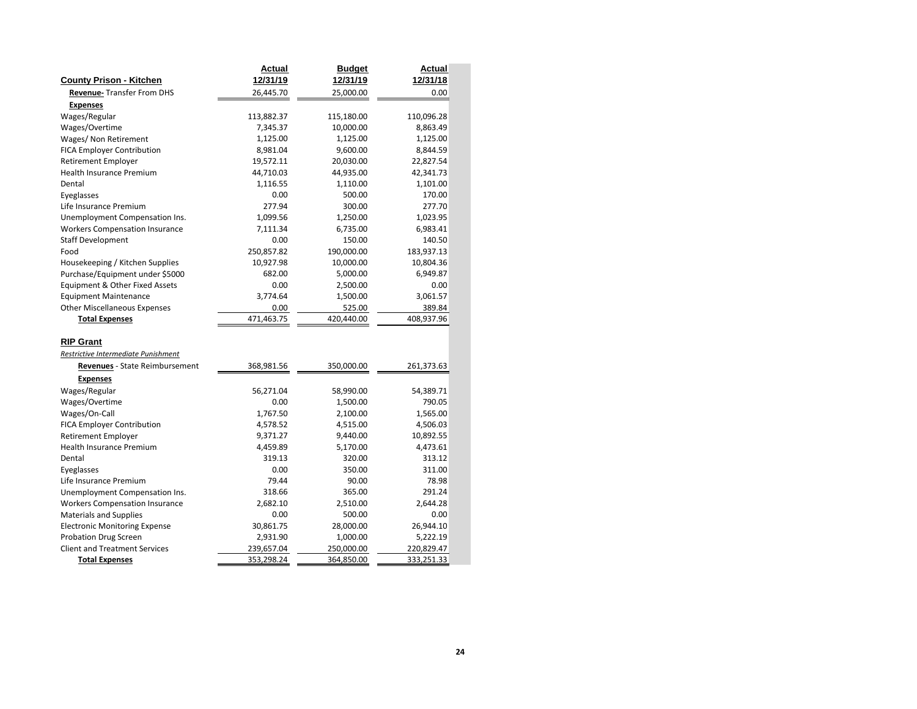|                                       | <b>Actual</b> | <b>Budget</b> | <b>Actual</b> |
|---------------------------------------|---------------|---------------|---------------|
| <b>County Prison - Kitchen</b>        | 12/31/19      | 12/31/19      | 12/31/18      |
| <b>Revenue-</b> Transfer From DHS     | 26,445.70     | 25,000.00     | 0.00          |
| <b>Expenses</b>                       |               |               |               |
| Wages/Regular                         | 113,882.37    | 115,180.00    | 110,096.28    |
| Wages/Overtime                        | 7,345.37      | 10,000.00     | 8,863.49      |
| Wages/ Non Retirement                 | 1,125.00      | 1,125.00      | 1,125.00      |
| <b>FICA Employer Contribution</b>     | 8,981.04      | 9,600.00      | 8,844.59      |
| Retirement Employer                   | 19,572.11     | 20,030.00     | 22,827.54     |
| <b>Health Insurance Premium</b>       | 44,710.03     | 44,935.00     | 42,341.73     |
| Dental                                | 1,116.55      | 1,110.00      | 1,101.00      |
| Eyeglasses                            | 0.00          | 500.00        | 170.00        |
| Life Insurance Premium                | 277.94        | 300.00        | 277.70        |
| Unemployment Compensation Ins.        | 1,099.56      | 1,250.00      | 1,023.95      |
| <b>Workers Compensation Insurance</b> | 7,111.34      | 6,735.00      | 6,983.41      |
| <b>Staff Development</b>              | 0.00          | 150.00        | 140.50        |
| Food                                  | 250,857.82    | 190,000.00    | 183,937.13    |
| Housekeeping / Kitchen Supplies       | 10,927.98     | 10,000.00     | 10,804.36     |
| Purchase/Equipment under \$5000       | 682.00        | 5,000.00      | 6,949.87      |
| Equipment & Other Fixed Assets        | 0.00          | 2,500.00      | 0.00          |
| <b>Equipment Maintenance</b>          | 3,774.64      | 1,500.00      | 3,061.57      |
| <b>Other Miscellaneous Expenses</b>   | 0.00          | 525.00        | 389.84        |
| <b>Total Expenses</b>                 | 471,463.75    | 420,440.00    | 408,937.96    |
| <b>RIP Grant</b>                      |               |               |               |
| Restrictive Intermediate Punishment   |               |               |               |
| Revenues - State Reimbursement        | 368,981.56    | 350,000.00    | 261,373.63    |
| <b>Expenses</b>                       |               |               |               |
| Wages/Regular                         | 56,271.04     | 58,990.00     | 54,389.71     |
| Wages/Overtime                        | 0.00          | 1,500.00      | 790.05        |
| Wages/On-Call                         | 1,767.50      | 2,100.00      | 1,565.00      |
| <b>FICA Employer Contribution</b>     | 4,578.52      | 4,515.00      | 4,506.03      |
| <b>Retirement Employer</b>            | 9,371.27      | 9,440.00      | 10,892.55     |
| <b>Health Insurance Premium</b>       | 4,459.89      | 5,170.00      | 4,473.61      |
| Dental                                | 319.13        | 320.00        | 313.12        |
| Eyeglasses                            | 0.00          | 350.00        | 311.00        |
| Life Insurance Premium                | 79.44         | 90.00         | 78.98         |
| Unemployment Compensation Ins.        | 318.66        | 365.00        | 291.24        |
| <b>Workers Compensation Insurance</b> | 2,682.10      | 2,510.00      | 2,644.28      |
| <b>Materials and Supplies</b>         | 0.00          | 500.00        | 0.00          |
| <b>Electronic Monitoring Expense</b>  | 30,861.75     | 28,000.00     | 26,944.10     |
| <b>Probation Drug Screen</b>          | 2,931.90      | 1,000.00      | 5,222.19      |
| <b>Client and Treatment Services</b>  | 239,657.04    | 250,000.00    | 220,829.47    |
| <b>Total Expenses</b>                 | 353,298.24    | 364,850.00    | 333,251.33    |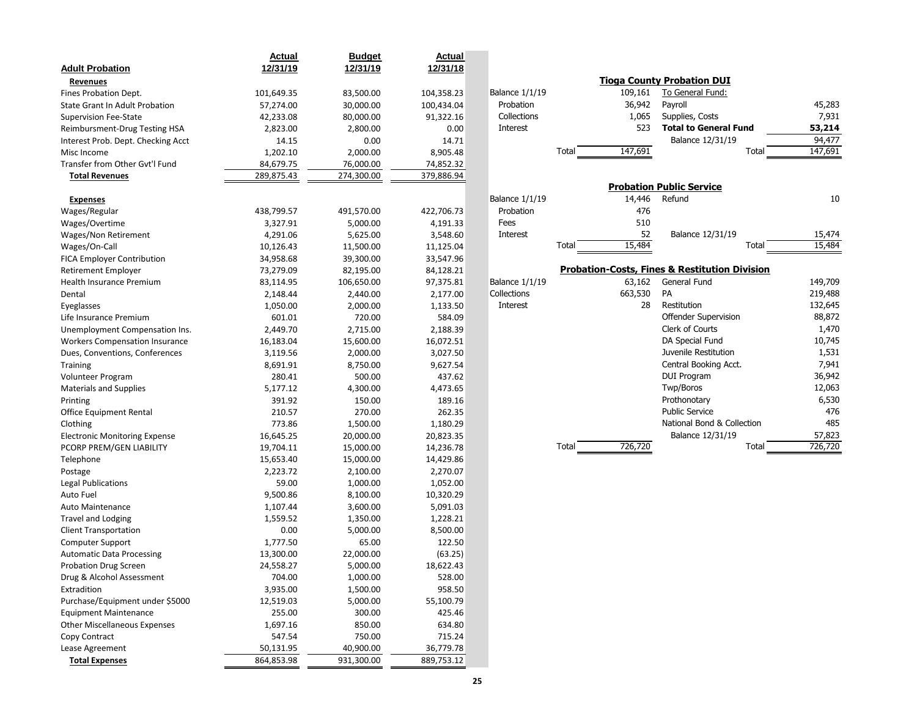|                                       | <b>Actual</b> | <b>Budget</b> | <b>Actual</b> |                       |                  |                                                          |         |
|---------------------------------------|---------------|---------------|---------------|-----------------------|------------------|----------------------------------------------------------|---------|
| <b>Adult Probation</b>                | 12/31/19      | 12/31/19      | 12/31/18      |                       |                  |                                                          |         |
| <b>Revenues</b>                       |               |               |               |                       |                  | <b>Tioga County Probation DUI</b>                        |         |
| Fines Probation Dept.                 | 101,649.35    | 83,500.00     | 104,358.23    | <b>Balance 1/1/19</b> | 109,161          | To General Fund:                                         |         |
| <b>State Grant In Adult Probation</b> | 57,274.00     | 30,000.00     | 100,434.04    | Probation             | 36,942           | Payroll                                                  | 45,283  |
| <b>Supervision Fee-State</b>          | 42,233.08     | 80,000.00     | 91,322.16     | Collections           | 1,065            | Supplies, Costs                                          | 7,931   |
| Reimbursment-Drug Testing HSA         | 2,823.00      | 2,800.00      | 0.00          | Interest              | 523              | <b>Total to General Fund</b>                             | 53,214  |
| Interest Prob. Dept. Checking Acct    | 14.15         | 0.00          | 14.71         |                       |                  | Balance 12/31/19                                         | 94,477  |
| Misc Income                           | 1,202.10      | 2,000.00      | 8,905.48      |                       | 147,691<br>Total | Total                                                    | 147,691 |
| Transfer from Other Gyt'l Fund        | 84,679.75     | 76,000.00     | 74,852.32     |                       |                  |                                                          |         |
| <b>Total Revenues</b>                 | 289,875.43    | 274,300.00    | 379,886.94    |                       |                  |                                                          |         |
|                                       |               |               |               |                       |                  | <b>Probation Public Service</b>                          |         |
| <b>Expenses</b>                       |               |               |               | <b>Balance 1/1/19</b> | 14,446           | Refund                                                   | 10      |
| Wages/Regular                         | 438,799.57    | 491,570.00    | 422,706.73    | Probation             | 476              |                                                          |         |
| Wages/Overtime                        | 3,327.91      | 5,000.00      | 4,191.33      | Fees                  | 510              |                                                          |         |
| Wages/Non Retirement                  | 4,291.06      | 5,625.00      | 3,548.60      | Interest              | 52               | Balance 12/31/19                                         | 15,474  |
| Wages/On-Call                         | 10,126.43     | 11,500.00     | 11,125.04     |                       | 15,484<br>Total  | Total                                                    | 15,484  |
| FICA Employer Contribution            | 34,958.68     | 39,300.00     | 33,547.96     |                       |                  |                                                          |         |
| <b>Retirement Employer</b>            | 73,279.09     | 82,195.00     | 84,128.21     |                       |                  | <b>Probation-Costs, Fines &amp; Restitution Division</b> |         |
| Health Insurance Premium              | 83,114.95     | 106,650.00    | 97,375.81     | Balance 1/1/19        | 63,162           | General Fund                                             | 149,709 |
| Dental                                | 2,148.44      | 2,440.00      | 2,177.00      | Collections           | 663,530          | PA                                                       | 219,488 |
| Eyeglasses                            | 1,050.00      | 2,000.00      | 1,133.50      | Interest              | 28               | Restitution                                              | 132,645 |
| Life Insurance Premium                | 601.01        | 720.00        | 584.09        |                       |                  | Offender Supervision                                     | 88,872  |
| Unemployment Compensation Ins.        | 2,449.70      | 2,715.00      | 2,188.39      |                       |                  | Clerk of Courts                                          | 1,470   |
| Workers Compensation Insurance        | 16,183.04     | 15,600.00     | 16,072.51     |                       |                  | DA Special Fund                                          | 10,745  |
| Dues, Conventions, Conferences        | 3,119.56      | 2,000.00      | 3,027.50      |                       |                  | Juvenile Restitution                                     | 1,531   |
| <b>Training</b>                       | 8,691.91      | 8,750.00      | 9,627.54      |                       |                  | Central Booking Acct.                                    | 7,941   |
| Volunteer Program                     | 280.41        | 500.00        | 437.62        |                       |                  | <b>DUI Program</b>                                       | 36,942  |
| Materials and Supplies                | 5,177.12      | 4,300.00      | 4,473.65      |                       |                  | Twp/Boros                                                | 12,063  |
| Printing                              | 391.92        | 150.00        | 189.16        |                       |                  | Prothonotary                                             | 6,530   |
| <b>Office Equipment Rental</b>        | 210.57        | 270.00        | 262.35        |                       |                  | <b>Public Service</b>                                    | 476     |
| Clothing                              | 773.86        | 1,500.00      | 1,180.29      |                       |                  | National Bond & Collection                               | 485     |
| <b>Electronic Monitoring Expense</b>  | 16,645.25     | 20,000.00     | 20,823.35     |                       |                  | Balance 12/31/19                                         | 57,823  |
| PCORP PREM/GEN LIABILITY              | 19,704.11     | 15,000.00     | 14,236.78     |                       | 726,720<br>Total | Total                                                    | 726,720 |
| Telephone                             | 15,653.40     | 15,000.00     | 14,429.86     |                       |                  |                                                          |         |
| Postage                               | 2,223.72      | 2,100.00      | 2,270.07      |                       |                  |                                                          |         |
| Legal Publications                    | 59.00         | 1,000.00      | 1,052.00      |                       |                  |                                                          |         |
| Auto Fuel                             | 9,500.86      | 8,100.00      | 10,320.29     |                       |                  |                                                          |         |
| <b>Auto Maintenance</b>               | 1,107.44      | 3,600.00      | 5,091.03      |                       |                  |                                                          |         |
| <b>Travel and Lodging</b>             | 1,559.52      | 1,350.00      | 1,228.21      |                       |                  |                                                          |         |
| <b>Client Transportation</b>          | 0.00          | 5,000.00      | 8,500.00      |                       |                  |                                                          |         |
| <b>Computer Support</b>               | 1,777.50      | 65.00         | 122.50        |                       |                  |                                                          |         |
| <b>Automatic Data Processing</b>      | 13,300.00     | 22,000.00     | (63.25)       |                       |                  |                                                          |         |
| <b>Probation Drug Screen</b>          | 24,558.27     | 5,000.00      | 18,622.43     |                       |                  |                                                          |         |
| Drug & Alcohol Assessment             | 704.00        | 1,000.00      | 528.00        |                       |                  |                                                          |         |
| Extradition                           | 3,935.00      | 1,500.00      | 958.50        |                       |                  |                                                          |         |
| Purchase/Equipment under \$5000       | 12,519.03     | 5,000.00      | 55,100.79     |                       |                  |                                                          |         |
| <b>Equipment Maintenance</b>          | 255.00        | 300.00        | 425.46        |                       |                  |                                                          |         |
| Other Miscellaneous Expenses          | 1,697.16      | 850.00        | 634.80        |                       |                  |                                                          |         |
| Copy Contract                         | 547.54        | 750.00        | 715.24        |                       |                  |                                                          |         |
| Lease Agreement                       | 50,131.95     | 40,900.00     | 36,779.78     |                       |                  |                                                          |         |
| <b>Total Expenses</b>                 | 864,853.98    | 931,300.00    | 889,753.12    |                       |                  |                                                          |         |

|           |       |         | <b>Tioga County Probation DUI</b>                        |       |         |
|-----------|-------|---------|----------------------------------------------------------|-------|---------|
| e 1/1/19: |       | 109,161 | To General Fund:                                         |       |         |
| pation    |       | 36,942  | Payroll                                                  |       | 45,283  |
| ections   |       | 1,065   | Supplies, Costs                                          |       | 7,931   |
| rest:     |       | 523     | <b>Total to General Fund</b>                             |       | 53,214  |
|           |       |         | Balance 12/31/19                                         |       | 94,477  |
|           | Total | 147,691 |                                                          | Total | 147,691 |
|           |       |         |                                                          |       |         |
|           |       |         | <b>Probation Public Service</b>                          |       |         |
| e 1/1/19  |       | 14,446  | Refund                                                   |       | 10      |
| oation    |       | 476     |                                                          |       |         |
| s         |       | 510     |                                                          |       |         |
| rest:     |       | 52      | Balance 12/31/19                                         |       | 15,474  |
|           | Total | 15,484  |                                                          | Total | 15,484  |
|           |       |         | <b>Probation-Costs, Fines &amp; Restitution Division</b> |       |         |
| e 1/1/19: |       | 63,162  | General Fund                                             |       | 149,709 |
| tions     |       | 663,530 | PA                                                       |       | 219,488 |
| rest:     |       | 28      | Restitution                                              |       | 132,645 |
|           |       |         | Offender Supervision                                     |       | 88,872  |
|           |       |         | Clerk of Courts                                          |       | 1,470   |
|           |       |         | DA Special Fund                                          |       | 10,745  |
|           |       |         | Juvenile Restitution                                     |       | 1,531   |
|           |       |         | Central Booking Acct.                                    |       | 7,941   |
|           |       |         | <b>DUI Program</b>                                       |       | 36,942  |
|           |       |         | Twp/Boros                                                |       | 12,063  |
|           |       |         | Prothonotary                                             |       | 6,530   |
|           |       |         | <b>Public Service</b>                                    |       | 476     |
|           |       |         | National Bond & Collection                               |       | 485     |
|           |       |         | Balance 12/31/19                                         |       | 57,823  |
|           | Total | 726,720 |                                                          | Total | 726,720 |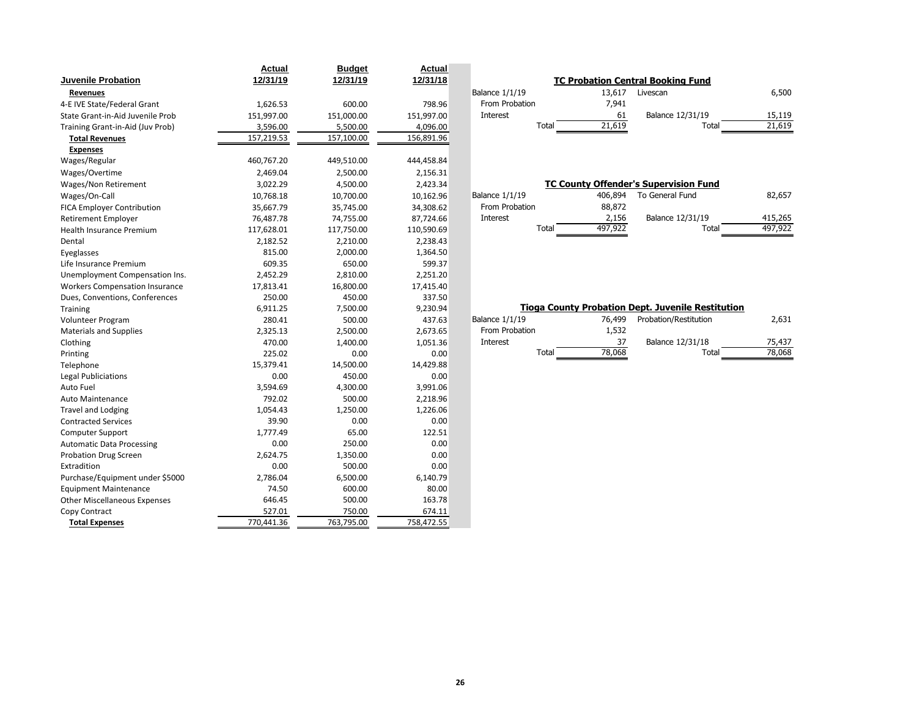|                                       | Actual     | <b>Budget</b> | <b>Actual</b> |                       |         |                                                          |         |
|---------------------------------------|------------|---------------|---------------|-----------------------|---------|----------------------------------------------------------|---------|
| Juvenile Probation                    | 12/31/19   | 12/31/19      | 12/31/18      |                       |         | <b>TC Probation Central Booking Fund</b>                 |         |
| <b>Revenues</b>                       |            |               |               | <b>Balance 1/1/19</b> | 13,617  | Livescan                                                 | 6,500   |
| 4-E IVE State/Federal Grant           | 1,626.53   | 600.00        | 798.96        | From Probation        | 7,941   |                                                          |         |
| State Grant-in-Aid Juvenile Prob      | 151,997.00 | 151,000.00    | 151,997.00    | Interest              | 61      | Balance 12/31/19                                         | 15,119  |
| Training Grant-in-Aid (Juv Prob)      | 3,596.00   | 5,500.00      | 4,096.00      | Total                 | 21,619  | Total                                                    | 21,619  |
| <b>Total Revenues</b>                 | 157,219.53 | 157,100.00    | 156,891.96    |                       |         |                                                          |         |
| <b>Expenses</b>                       |            |               |               |                       |         |                                                          |         |
| Wages/Regular                         | 460,767.20 | 449,510.00    | 444,458.84    |                       |         |                                                          |         |
| Wages/Overtime                        | 2,469.04   | 2,500.00      | 2,156.31      |                       |         |                                                          |         |
| Wages/Non Retirement                  | 3,022.29   | 4,500.00      | 2,423.34      |                       |         | <b>TC County Offender's Supervision Fund</b>             |         |
| Wages/On-Call                         | 10,768.18  | 10,700.00     | 10,162.96     | <b>Balance 1/1/19</b> | 406,894 | To General Fund                                          | 82,657  |
| <b>FICA Employer Contribution</b>     | 35,667.79  | 35,745.00     | 34,308.62     | From Probation        | 88,872  |                                                          |         |
| <b>Retirement Employer</b>            | 76,487.78  | 74,755.00     | 87,724.66     | Interest              | 2,156   | Balance 12/31/19                                         | 415,265 |
| <b>Health Insurance Premium</b>       | 117,628.01 | 117,750.00    | 110,590.69    | Total                 | 497,922 | Total                                                    | 497,922 |
| Dental                                | 2,182.52   | 2,210.00      | 2,238.43      |                       |         |                                                          |         |
| Eyeglasses                            | 815.00     | 2,000.00      | 1,364.50      |                       |         |                                                          |         |
| Life Insurance Premium                | 609.35     | 650.00        | 599.37        |                       |         |                                                          |         |
| Unemployment Compensation Ins.        | 2,452.29   | 2,810.00      | 2,251.20      |                       |         |                                                          |         |
| <b>Workers Compensation Insurance</b> | 17,813.41  | 16,800.00     | 17,415.40     |                       |         |                                                          |         |
| Dues, Conventions, Conferences        | 250.00     | 450.00        | 337.50        |                       |         |                                                          |         |
| Training                              | 6,911.25   | 7,500.00      | 9,230.94      |                       |         | <b>Tioga County Probation Dept. Juvenile Restitution</b> |         |
| Volunteer Program                     | 280.41     | 500.00        | 437.63        | <b>Balance 1/1/19</b> | 76,499  | Probation/Restitution                                    | 2,631   |
| <b>Materials and Supplies</b>         | 2,325.13   | 2,500.00      | 2,673.65      | From Probation        | 1,532   |                                                          |         |
| Clothing                              | 470.00     | 1,400.00      | 1,051.36      | Interest              | 37      | Balance 12/31/18                                         | 75,437  |
| Printing                              | 225.02     | 0.00          | 0.00          | Total                 | 78,068  | Total                                                    | 78,068  |
| Telephone                             | 15,379.41  | 14,500.00     | 14,429.88     |                       |         |                                                          |         |
| <b>Legal Publiciations</b>            | 0.00       | 450.00        | 0.00          |                       |         |                                                          |         |
| Auto Fuel                             | 3,594.69   | 4,300.00      | 3,991.06      |                       |         |                                                          |         |
| <b>Auto Maintenance</b>               | 792.02     | 500.00        | 2,218.96      |                       |         |                                                          |         |
| <b>Travel and Lodging</b>             | 1,054.43   | 1,250.00      | 1,226.06      |                       |         |                                                          |         |
| <b>Contracted Services</b>            | 39.90      | 0.00          | 0.00          |                       |         |                                                          |         |
| <b>Computer Support</b>               | 1,777.49   | 65.00         | 122.51        |                       |         |                                                          |         |
| <b>Automatic Data Processing</b>      | 0.00       | 250.00        | 0.00          |                       |         |                                                          |         |
| <b>Probation Drug Screen</b>          | 2,624.75   | 1,350.00      | 0.00          |                       |         |                                                          |         |
| Extradition                           | 0.00       | 500.00        | 0.00          |                       |         |                                                          |         |
| Purchase/Equipment under \$5000       | 2,786.04   | 6,500.00      | 6,140.79      |                       |         |                                                          |         |
| <b>Equipment Maintenance</b>          | 74.50      | 600.00        | 80.00         |                       |         |                                                          |         |
| <b>Other Miscellaneous Expenses</b>   | 646.45     | 500.00        | 163.78        |                       |         |                                                          |         |
| Copy Contract                         | 527.01     | 750.00        | 674.11        |                       |         |                                                          |         |
| <b>Total Expenses</b>                 | 770,441.36 | 763,795.00    | 758,472.55    |                       |         |                                                          |         |

| <b>TC Probation Central Booking Fund</b> |        |                  |        |  |  |  |
|------------------------------------------|--------|------------------|--------|--|--|--|
| Balance $1/1/19$                         | 13,617 | Livescan         | 6,500  |  |  |  |
| From Probation                           | 7.941  |                  |        |  |  |  |
| Interest                                 | 61     | Balance 12/31/19 | 15,119 |  |  |  |
| Total                                    | 21,619 | Total            | 21,619 |  |  |  |

# **TC County Offender's Supervision Fund**

| Balance 1/1/19 | 406.894 | To General Fund  | 82,657  |
|----------------|---------|------------------|---------|
| From Probation | 88,872  |                  |         |
| Interest       | 2.156   | Balance 12/31/19 | 415,265 |
| Total          | 497,922 | Total            | 497,922 |

# **Tioga County Probation Dept. Juvenile Restitution**

| 3alance 1/1/19 | 76.499 | Probation/Restitution | 2,631  |
|----------------|--------|-----------------------|--------|
| From Probation | 1,532  |                       |        |
| Interest       | 37     | Balance 12/31/18      | 75,437 |
| Total          | 78,068 | Total                 | 78,068 |
|                |        |                       |        |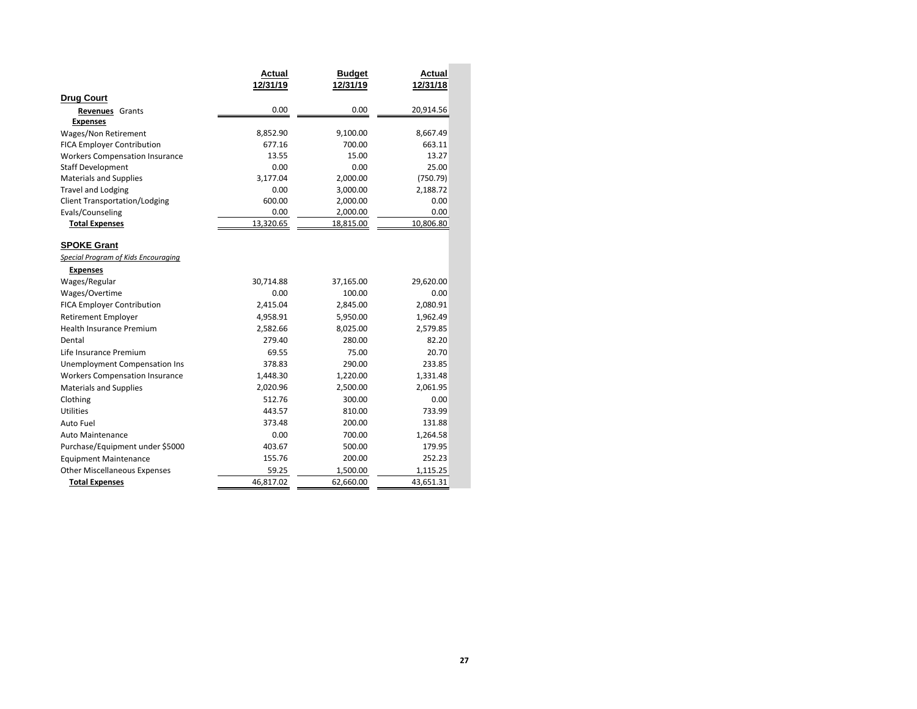|                                       | Actual    | <b>Budget</b> | Actual    |
|---------------------------------------|-----------|---------------|-----------|
|                                       | 12/31/19  | 12/31/19      | 12/31/18  |
| <b>Drug Court</b>                     |           |               |           |
| Revenues Grants                       | 0.00      | 0.00          | 20,914.56 |
| <b>Expenses</b>                       |           |               |           |
| Wages/Non Retirement                  | 8,852.90  | 9,100.00      | 8,667.49  |
| <b>FICA Employer Contribution</b>     | 677.16    | 700.00        | 663.11    |
| <b>Workers Compensation Insurance</b> | 13.55     | 15.00         | 13.27     |
| <b>Staff Development</b>              | 0.00      | 0.00          | 25.00     |
| <b>Materials and Supplies</b>         | 3,177.04  | 2,000.00      | (750.79)  |
| <b>Travel and Lodging</b>             | 0.00      | 3,000.00      | 2,188.72  |
| <b>Client Transportation/Lodging</b>  | 600.00    | 2,000.00      | 0.00      |
| Evals/Counseling                      | 0.00      | 2,000.00      | 0.00      |
| <b>Total Expenses</b>                 | 13,320.65 | 18,815.00     | 10,806.80 |
| <b>SPOKE Grant</b>                    |           |               |           |
| Special Program of Kids Encouraging   |           |               |           |
| <b>Expenses</b>                       |           |               |           |
| Wages/Regular                         | 30,714.88 | 37,165.00     | 29,620.00 |
| Wages/Overtime                        | 0.00      | 100.00        | 0.00      |
| <b>FICA Employer Contribution</b>     | 2,415.04  | 2,845.00      | 2,080.91  |
| Retirement Employer                   | 4,958.91  | 5,950.00      | 1,962.49  |
| <b>Health Insurance Premium</b>       | 2,582.66  | 8,025.00      | 2,579.85  |
| Dental                                | 279.40    | 280.00        | 82.20     |
| Life Insurance Premium                | 69.55     | 75.00         | 20.70     |
| <b>Unemployment Compensation Ins</b>  | 378.83    | 290.00        | 233.85    |
| <b>Workers Compensation Insurance</b> | 1,448.30  | 1,220.00      | 1,331.48  |
| <b>Materials and Supplies</b>         | 2,020.96  | 2,500.00      | 2,061.95  |
| Clothing                              | 512.76    | 300.00        | 0.00      |
| Utilities                             | 443.57    | 810.00        | 733.99    |
| Auto Fuel                             | 373.48    | 200.00        | 131.88    |
| <b>Auto Maintenance</b>               | 0.00      | 700.00        | 1,264.58  |
| Purchase/Equipment under \$5000       | 403.67    | 500.00        | 179.95    |
| <b>Equipment Maintenance</b>          | 155.76    | 200.00        | 252.23    |
| <b>Other Miscellaneous Expenses</b>   | 59.25     | 1,500.00      | 1,115.25  |
| <b>Total Expenses</b>                 | 46,817.02 | 62,660.00     | 43,651.31 |

**COL**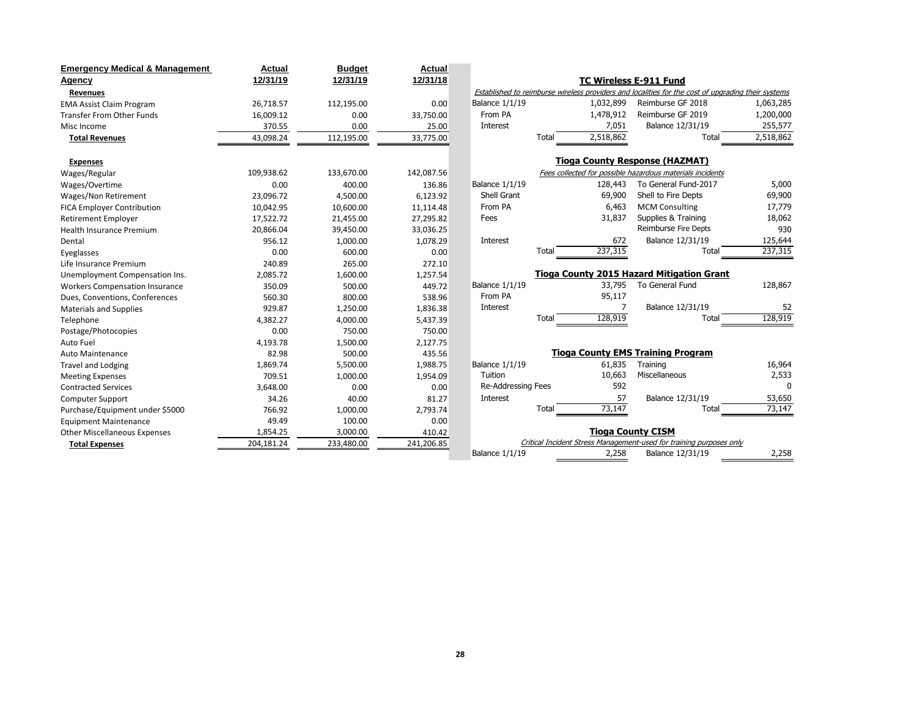| <b>Emergency Medical &amp; Management</b> | <b>Actual</b> | <b>Budget</b> | <b>Actual</b> |                       |                                                                                                    |                                                           |           |
|-------------------------------------------|---------------|---------------|---------------|-----------------------|----------------------------------------------------------------------------------------------------|-----------------------------------------------------------|-----------|
| Agency                                    | 12/31/19      | 12/31/19      | 12/31/18      |                       |                                                                                                    | <b>TC Wireless E-911 Fund</b>                             |           |
| Revenues                                  |               |               |               |                       | Established to reimburse wireless providers and localities for the cost of upgrading their systems |                                                           |           |
| <b>EMA Assist Claim Program</b>           | 26,718.57     | 112,195.00    | 0.00          | <b>Balance 1/1/19</b> | 1,032,899                                                                                          | Reimburse GF 2018                                         | 1,063,285 |
| <b>Transfer From Other Funds</b>          | 16,009.12     | 0.00          | 33,750.00     | From PA               | 1,478,912                                                                                          | Reimburse GF 2019                                         | 1,200,000 |
| Misc Income                               | 370.55        | 0.00          | 25.00         | Interest              | 7,051                                                                                              | Balance 12/31/19                                          | 255,577   |
| <b>Total Revenues</b>                     | 43,098.24     | 112,195.00    | 33,775.00     |                       | 2,518,862<br>Total                                                                                 | Total                                                     | 2,518,862 |
| <b>Expenses</b>                           |               |               |               |                       |                                                                                                    | <b>Tioga County Response (HAZMAT)</b>                     |           |
| Wages/Regular                             | 109,938.62    | 133,670.00    | 142,087.56    |                       |                                                                                                    | Fees collected for possible hazardous materials incidents |           |
| Wages/Overtime                            | 0.00          | 400.00        | 136.86        | <b>Balance 1/1/19</b> | 128,443                                                                                            | To General Fund-2017                                      | 5,000     |
| Wages/Non Retirement                      | 23,096.72     | 4,500.00      | 6,123.92      | <b>Shell Grant</b>    | 69,900                                                                                             | Shell to Fire Depts                                       | 69,900    |
| <b>FICA Employer Contribution</b>         | 10,042.95     | 10,600.00     | 11,114.48     | From PA               | 6,463                                                                                              | <b>MCM Consulting</b>                                     | 17,779    |
| <b>Retirement Employer</b>                | 17,522.72     | 21,455.00     | 27,295.82     | Fees                  | 31,837                                                                                             | Supplies & Training                                       | 18,062    |
| <b>Health Insurance Premium</b>           | 20,866.04     | 39,450.00     | 33,036.25     |                       |                                                                                                    | Reimburse Fire Depts                                      | 930       |
| Dental                                    | 956.12        | 1,000.00      | 1,078.29      | Interest              | 672                                                                                                | Balance 12/31/19                                          | 125,644   |
| Eyeglasses                                | 0.00          | 600.00        | 0.00          |                       | 237,315<br>Total                                                                                   | Total                                                     | 237,315   |
| Life Insurance Premium                    | 240.89        | 265.00        | 272.10        |                       |                                                                                                    |                                                           |           |
| Unemployment Compensation Ins.            | 2,085.72      | 1,600.00      | 1,257.54      |                       | <b>Tioga County 2015 Hazard Mitigation Grant</b>                                                   |                                                           |           |
| <b>Workers Compensation Insurance</b>     | 350.09        | 500.00        | 449.72        | <b>Balance 1/1/19</b> | 33,795                                                                                             | To General Fund                                           | 128,867   |
| Dues, Conventions, Conferences            | 560.30        | 800.00        | 538.96        | From PA               | 95,117                                                                                             |                                                           |           |
| <b>Materials and Supplies</b>             | 929.87        | 1,250.00      | 1,836.38      | Interest              | 7                                                                                                  | Balance 12/31/19                                          | 52        |
| Telephone                                 | 4,382.27      | 4,000.00      | 5,437.39      |                       | 128,919<br>Total                                                                                   | Total                                                     | 128,919   |
| Postage/Photocopies                       | 0.00          | 750.00        | 750.00        |                       |                                                                                                    |                                                           |           |
| Auto Fuel                                 | 4,193.78      | 1,500.00      | 2,127.75      |                       |                                                                                                    |                                                           |           |
| <b>Auto Maintenance</b>                   | 82.98         | 500.00        | 435.56        |                       |                                                                                                    | <b>Tioga County EMS Training Program</b>                  |           |
| <b>Travel and Lodging</b>                 | 1,869.74      | 5,500.00      | 1,988.75      | <b>Balance 1/1/19</b> | 61,835                                                                                             | Training                                                  | 16,964    |
| <b>Meeting Expenses</b>                   | 709.51        | 1,000.00      | 1,954.09      | Tuition               | 10,663                                                                                             | Miscellaneous                                             | 2,533     |
| <b>Contracted Services</b>                | 3,648.00      | 0.00          | 0.00          | Re-Addressing Fees    | 592                                                                                                |                                                           | $\Omega$  |
| Computer Support                          | 34.26         | 40.00         | 81.27         | Interest              | 57                                                                                                 | Balance 12/31/19                                          | 53,650    |
| Purchase/Equipment under \$5000           | 766.92        | 1,000.00      | 2,793.74      |                       | 73,147<br>Total                                                                                    | Total                                                     | 73,147    |
| <b>Equipment Maintenance</b>              | 49.49         | 100.00        | 0.00          |                       |                                                                                                    |                                                           |           |
| <b>Other Miscellaneous Expenses</b>       | 1,854.25      | 3,000.00      | 410.42        |                       |                                                                                                    | <b>Tioga County CISM</b>                                  |           |
| <b>Total Expenses</b>                     | 204,181.24    | 233,480.00    | 241,206.85    |                       | Critical Incident Stress Management-used for training purposes only                                |                                                           |           |
|                                           |               |               |               | <b>Balance 1/1/19</b> | 2,258                                                                                              | Balance 12/31/19                                          | 2,258     |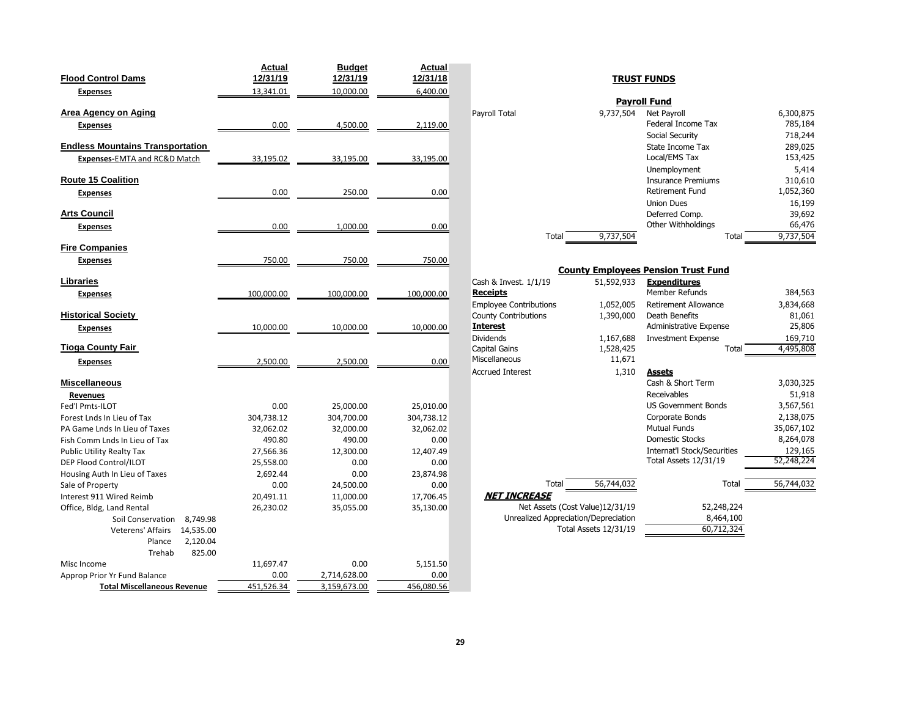|                                         | Actual     | <b>Budget</b> | Actual     |                               |                                      |                                                                   |            |
|-----------------------------------------|------------|---------------|------------|-------------------------------|--------------------------------------|-------------------------------------------------------------------|------------|
| <b>Flood Control Dams</b>               | 12/31/19   | 12/31/19      | 12/31/18   |                               |                                      | <b>TRUST FUNDS</b>                                                |            |
| <b>Expenses</b>                         | 13,341.01  | 10,000.00     | 6,400.00   |                               |                                      |                                                                   |            |
|                                         |            |               |            |                               |                                      | <b>Payroll Fund</b>                                               |            |
| Area Agency on Aging                    |            |               |            | Payroll Total                 | 9,737,504                            | <b>Net Payroll</b>                                                | 6,300,875  |
| <b>Expenses</b>                         | 0.00       | 4,500.00      | 2,119.00   |                               |                                      | Federal Income Tax                                                | 785,184    |
|                                         |            |               |            |                               |                                      | Social Security                                                   | 718,244    |
| <b>Endless Mountains Transportation</b> |            |               |            |                               |                                      | State Income Tax                                                  | 289,025    |
| Expenses-EMTA and RC&D Match            | 33,195.02  | 33,195.00     | 33,195.00  |                               |                                      | Local/EMS Tax                                                     | 153,425    |
|                                         |            |               |            |                               |                                      | Unemployment                                                      | 5,414      |
| <b>Route 15 Coalition</b>               |            |               |            |                               |                                      | <b>Insurance Premiums</b>                                         | 310,610    |
| <b>Expenses</b>                         | 0.00       | 250.00        | 0.00       |                               |                                      | <b>Retirement Fund</b>                                            | 1,052,360  |
|                                         |            |               |            |                               |                                      | <b>Union Dues</b>                                                 | 16,199     |
| <b>Arts Council</b>                     |            |               |            |                               |                                      | Deferred Comp.                                                    | 39,692     |
| <b>Expenses</b>                         | 0.00       | 1,000.00      | 0.00       |                               |                                      | Other Withholdings                                                | 66,476     |
|                                         |            |               |            | Total                         | 9,737,504                            | Total                                                             | 9,737,504  |
| <b>Fire Companies</b>                   |            |               |            |                               |                                      |                                                                   |            |
| <b>Expenses</b>                         | 750.00     | 750.00        | 750.00     |                               |                                      |                                                                   |            |
| Libraries                               |            |               |            | Cash & Invest. 1/1/19         | 51,592,933                           | <b>County Employees Pension Trust Fund</b><br><b>Expenditures</b> |            |
|                                         |            |               |            | <b>Receipts</b>               |                                      | Member Refunds                                                    | 384,563    |
| <b>Expenses</b>                         | 100,000.00 | 100,000.00    | 100,000.00 | <b>Employee Contributions</b> | 1,052,005                            | <b>Retirement Allowance</b>                                       | 3,834,668  |
| <b>Historical Society</b>               |            |               |            | <b>County Contributions</b>   | 1,390,000                            | Death Benefits                                                    | 81,061     |
| <b>Expenses</b>                         | 10,000.00  | 10,000.00     | 10,000.00  | <b>Interest</b>               |                                      | Administrative Expense                                            | 25,806     |
|                                         |            |               |            | <b>Dividends</b>              | 1,167,688                            | <b>Investment Expense</b>                                         | 169,710    |
| <b>Tioga County Fair</b>                |            |               |            | <b>Capital Gains</b>          | 1,528,425                            | Total                                                             | 4,495,808  |
| <b>Expenses</b>                         | 2,500.00   | 2,500.00      | 0.00       | Miscellaneous                 | 11,671                               |                                                                   |            |
|                                         |            |               |            | <b>Accrued Interest</b>       | 1,310                                | <b>Assets</b>                                                     |            |
| <b>Miscellaneous</b>                    |            |               |            |                               |                                      | Cash & Short Term                                                 | 3,030,325  |
| <b>Revenues</b>                         |            |               |            |                               |                                      | Receivables                                                       | 51,918     |
| Fed'l Pmts-ILOT                         | 0.00       | 25,000.00     | 25.010.00  |                               |                                      | <b>US Government Bonds</b>                                        | 3,567,561  |
| Forest Lnds In Lieu of Tax              | 304,738.12 | 304,700.00    | 304,738.12 |                               |                                      | Corporate Bonds                                                   | 2,138,075  |
| PA Game Lnds In Lieu of Taxes           | 32,062.02  | 32,000.00     | 32,062.02  |                               |                                      | <b>Mutual Funds</b>                                               | 35,067,102 |
| Fish Comm Lnds In Lieu of Tax           | 490.80     | 490.00        | 0.00       |                               |                                      | <b>Domestic Stocks</b>                                            | 8,264,078  |
| <b>Public Utility Realty Tax</b>        | 27,566.36  | 12,300.00     | 12,407.49  |                               |                                      | <b>Internat'l Stock/Securities</b>                                | 129,165    |
| DEP Flood Control/ILOT                  | 25,558.00  | 0.00          | 0.00       |                               |                                      | Total Assets 12/31/19                                             | 52,248,224 |
| Housing Auth In Lieu of Taxes           | 2,692.44   | 0.00          | 23,874.98  |                               |                                      |                                                                   |            |
| Sale of Property                        | 0.00       | 24,500.00     | 0.00       | Total                         | 56,744,032                           | Total                                                             | 56,744,032 |
| Interest 911 Wired Reimb                | 20,491.11  | 11,000.00     | 17,706.45  | <b>NET INCREASE</b>           |                                      |                                                                   |            |
| Office, Bldg, Land Rental               | 26,230.02  | 35,055.00     | 35,130.00  |                               | Net Assets (Cost Value)12/31/19      | 52,248,224                                                        |            |
| Soil Conservation<br>8,749.98           |            |               |            |                               | Unrealized Appreciation/Depreciation | 8,464,100                                                         |            |
| Veterens' Affairs 14,535.00             |            |               |            |                               | Total Assets 12/31/19                | 60,712,324                                                        |            |
| 2,120.04<br>Plance                      |            |               |            |                               |                                      |                                                                   |            |
| 825.00<br>Trehab                        |            |               |            |                               |                                      |                                                                   |            |
| Misc Income                             | 11,697.47  | 0.00          | 5,151.50   |                               |                                      |                                                                   |            |
| Approp Prior Yr Fund Balance            | 0.00       | 2,714,628.00  | 0.00       |                               |                                      |                                                                   |            |
| <b>Total Miscellaneous Revenue</b>      | 451,526.34 | 3,159,673.00  | 456,080.56 |                               |                                      |                                                                   |            |

## **TRUST FUNDS**

| <b>Payroll Fund</b> |           |                           |       |  |           |  |
|---------------------|-----------|---------------------------|-------|--|-----------|--|
| al.                 | 9,737,504 | Net Payroll               |       |  | 6,300,875 |  |
|                     |           | Federal Income Tax        |       |  | 785,184   |  |
|                     |           | Social Security           |       |  | 718,244   |  |
|                     |           | State Income Tax          |       |  | 289,025   |  |
|                     |           | Local/EMS Tax             |       |  | 153,425   |  |
|                     |           | Unemployment              |       |  | 5,414     |  |
|                     |           | <b>Insurance Premiums</b> |       |  | 310,610   |  |
|                     |           | <b>Retirement Fund</b>    |       |  | 1,052,360 |  |
|                     |           | <b>Union Dues</b>         |       |  | 16,199    |  |
|                     |           | Deferred Comp.            |       |  | 39,692    |  |
|                     |           | Other Withholdings        |       |  | 66,476    |  |
| Total               | 9,737,504 |                           | Total |  | 9,737,504 |  |
|                     |           |                           |       |  |           |  |

#### **County Employees Pension Trust Fund**

| Cash & Invest. 1/1/19                | 51,392,933                      | <b>Expenditures</b>                |            |
|--------------------------------------|---------------------------------|------------------------------------|------------|
| <u>Receipts</u>                      |                                 | Member Refunds                     | 384,563    |
| <b>Employee Contributions</b>        | 1,052,005                       | <b>Retirement Allowance</b>        | 3,834,668  |
| <b>County Contributions</b>          | 1,390,000                       | Death Benefits                     | 81,061     |
| <u>Interest</u>                      |                                 | Administrative Expense             | 25,806     |
| <b>Dividends</b>                     | 1,167,688                       | <b>Investment Expense</b>          | 169,710    |
| Capital Gains                        | 1,528,425                       | Total                              | 4,495,808  |
| Miscellaneous                        | 11,671                          |                                    |            |
| <b>Accrued Interest</b>              | 1,310                           | Assets                             |            |
|                                      |                                 | Cash & Short Term                  | 3,030,325  |
|                                      |                                 | Receivables                        | 51,918     |
|                                      |                                 | <b>US Government Bonds</b>         | 3,567,561  |
|                                      |                                 | Corporate Bonds                    | 2,138,075  |
|                                      |                                 | <b>Mutual Funds</b>                | 35,067,102 |
|                                      |                                 | <b>Domestic Stocks</b>             | 8,264,078  |
|                                      |                                 | <b>Internat'l Stock/Securities</b> | 129,165    |
|                                      |                                 | Total Assets 12/31/19              | 52,248,224 |
|                                      |                                 |                                    |            |
| Total                                | 56,744,032                      | Total                              | 56,744,032 |
| NET INCREASE                         |                                 |                                    |            |
|                                      | Net Assets (Cost Value)12/31/19 | 52,248,224                         |            |
| Unrealized Appreciation/Depreciation |                                 | 8,464,100                          |            |
|                                      | Total Assets 12/31/19           | 60,712,324                         |            |
|                                      |                                 |                                    |            |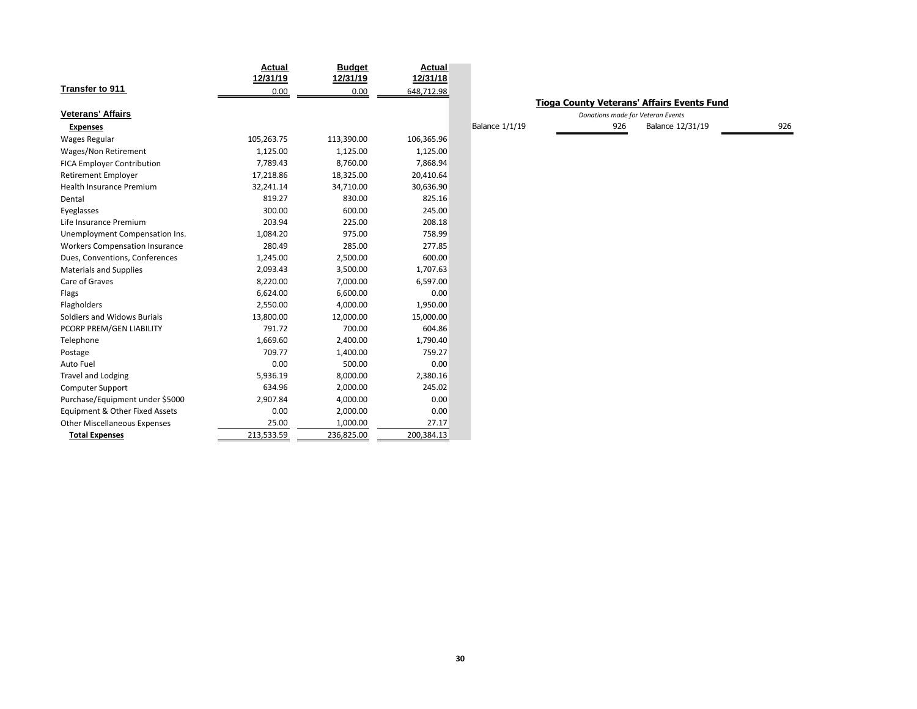|                                       | Actual     | <b>Budget</b> | Actual     |
|---------------------------------------|------------|---------------|------------|
|                                       | 12/31/19   | 12/31/19      | 12/31/18   |
| Transfer to 911                       | 0.00       | 0.00          | 648,712.98 |
| <b>Veterans' Affairs</b>              |            |               |            |
| <b>Expenses</b>                       |            |               |            |
| <b>Wages Regular</b>                  | 105,263.75 | 113,390.00    | 106,365.96 |
| Wages/Non Retirement                  | 1,125.00   | 1,125.00      | 1,125.00   |
| <b>FICA Employer Contribution</b>     | 7,789.43   | 8,760.00      | 7,868.94   |
| <b>Retirement Employer</b>            | 17,218.86  | 18,325.00     | 20,410.64  |
| <b>Health Insurance Premium</b>       | 32,241.14  | 34,710.00     | 30,636.90  |
| Dental                                | 819.27     | 830.00        | 825.16     |
| Eyeglasses                            | 300.00     | 600.00        | 245.00     |
| Life Insurance Premium                | 203.94     | 225.00        | 208.18     |
| Unemployment Compensation Ins.        | 1,084.20   | 975.00        | 758.99     |
| <b>Workers Compensation Insurance</b> | 280.49     | 285.00        | 277.85     |
| Dues, Conventions, Conferences        | 1,245.00   | 2,500.00      | 600.00     |
| <b>Materials and Supplies</b>         | 2,093.43   | 3,500.00      | 1,707.63   |
| Care of Graves                        | 8,220.00   | 7,000.00      | 6,597.00   |
| Flags                                 | 6,624.00   | 6,600.00      | 0.00       |
| Flagholders                           | 2,550.00   | 4,000.00      | 1,950.00   |
| Soldiers and Widows Burials           | 13,800.00  | 12,000.00     | 15,000.00  |
| PCORP PREM/GEN LIABILITY              | 791.72     | 700.00        | 604.86     |
| Telephone                             | 1,669.60   | 2,400.00      | 1,790.40   |
| Postage                               | 709.77     | 1,400.00      | 759.27     |
| Auto Fuel                             | 0.00       | 500.00        | 0.00       |
| <b>Travel and Lodging</b>             | 5,936.19   | 8,000.00      | 2,380.16   |
| Computer Support                      | 634.96     | 2,000.00      | 245.02     |
| Purchase/Equipment under \$5000       | 2,907.84   | 4,000.00      | 0.00       |
| Equipment & Other Fixed Assets        | 0.00       | 2,000.00      | 0.00       |
| <b>Other Miscellaneous Expenses</b>   | 25.00      | 1,000.00      | 27.17      |
| <b>Total Expenses</b>                 | 213,533.59 | 236,825.00    | 200,384.13 |

## **Tioga County Veterans' Affairs Events Fund**

| Donations made for Veteran Events |     |                  |     |  |
|-----------------------------------|-----|------------------|-----|--|
| Balance 1/1/19                    | 926 | Balance 12/31/19 | 926 |  |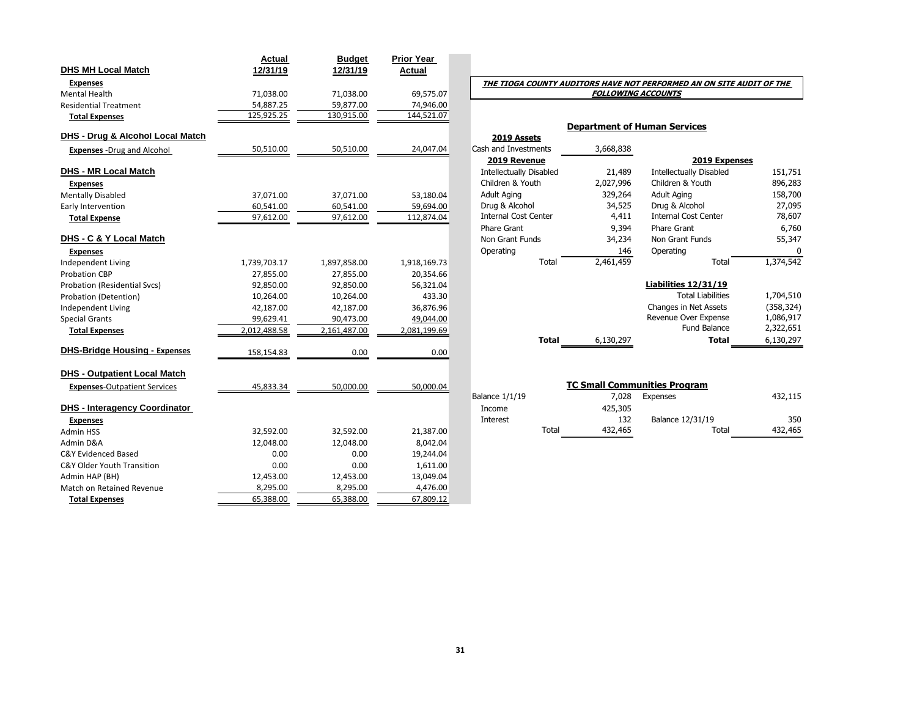|                                       | Actual       | <b>Budget</b> | <b>Prior Year</b> |                                |                                     |                                                                      |            |
|---------------------------------------|--------------|---------------|-------------------|--------------------------------|-------------------------------------|----------------------------------------------------------------------|------------|
| <b>DHS MH Local Match</b>             | 12/31/19     | 12/31/19      | Actual            |                                |                                     |                                                                      |            |
| <b>Expenses</b>                       |              |               |                   |                                |                                     | THE TIOGA COUNTY AUDITORS HAVE NOT PERFORMED AN ON SITE AUDIT OF THE |            |
| <b>Mental Health</b>                  | 71,038.00    | 71,038.00     | 69,575.07         |                                |                                     | <b>FOLLOWING ACCOUNTS</b>                                            |            |
| <b>Residential Treatment</b>          | 54,887.25    | 59.877.00     | 74,946.00         |                                |                                     |                                                                      |            |
| <b>Total Expenses</b>                 | 125,925.25   | 130,915.00    | 144,521.07        |                                |                                     |                                                                      |            |
| DHS - Drug & Alcohol Local Match      |              |               |                   | 2019 Assets                    | <b>Department of Human Services</b> |                                                                      |            |
| <b>Expenses</b> - Drug and Alcohol    | 50,510.00    | 50,510.00     | 24,047.04         | Cash and Investments           | 3,668,838                           |                                                                      |            |
|                                       |              |               |                   | 2019 Revenue                   |                                     | 2019 Expenses                                                        |            |
| <b>DHS - MR Local Match</b>           |              |               |                   | <b>Intellectually Disabled</b> | 21,489                              | <b>Intellectually Disabled</b>                                       | 151,751    |
| <b>Expenses</b>                       |              |               |                   | Children & Youth               | 2,027,996                           | Children & Youth                                                     | 896,283    |
| <b>Mentally Disabled</b>              | 37,071.00    | 37,071.00     | 53,180.04         | <b>Adult Aging</b>             | 329,264                             | <b>Adult Aging</b>                                                   | 158,700    |
| Early Intervention                    | 60,541.00    | 60,541.00     | 59,694.00         | Drug & Alcohol                 | 34,525                              | Drug & Alcohol                                                       | 27,095     |
| <b>Total Expense</b>                  | 97,612.00    | 97,612.00     | 112,874.04        | <b>Internal Cost Center</b>    | 4,411                               | <b>Internal Cost Center</b>                                          | 78,607     |
|                                       |              |               |                   | Phare Grant                    | 9,394                               | Phare Grant                                                          | 6,760      |
| DHS - C & Y Local Match               |              |               |                   | Non Grant Funds                | 34,234                              | Non Grant Funds                                                      | 55,347     |
| <b>Expenses</b>                       |              |               |                   | Operating                      | 146                                 | Operating                                                            | O          |
| <b>Independent Living</b>             | 1,739,703.17 | 1,897,858.00  | 1,918,169.73      | Total                          | 2,461,459                           | Total                                                                | 1,374,542  |
| <b>Probation CBP</b>                  | 27.855.00    | 27,855.00     | 20,354.66         |                                |                                     |                                                                      |            |
| <b>Probation (Residential Svcs)</b>   | 92,850.00    | 92,850.00     | 56,321.04         |                                |                                     | Liabilities 12/31/19                                                 |            |
| Probation (Detention)                 | 10,264.00    | 10,264.00     | 433.30            |                                |                                     | <b>Total Liabilities</b>                                             | 1,704,510  |
| <b>Independent Living</b>             | 42,187.00    | 42,187.00     | 36,876.96         |                                |                                     | Changes in Net Assets                                                | (358, 324) |
| <b>Special Grants</b>                 | 99,629.41    | 90,473.00     | 49,044.00         |                                |                                     | Revenue Over Expense                                                 | 1,086,917  |
| <b>Total Expenses</b>                 | 2,012,488.58 | 2,161,487.00  | 2,081,199.69      |                                |                                     | <b>Fund Balance</b>                                                  | 2,322,651  |
|                                       |              |               |                   | <b>Total</b>                   | 6,130,297                           | <b>Total</b>                                                         | 6,130,297  |
| <b>DHS-Bridge Housing - Expenses</b>  | 158,154.83   | 0.00          | 0.00              |                                |                                     |                                                                      |            |
|                                       |              |               |                   |                                |                                     |                                                                      |            |
| <b>DHS - Outpatient Local Match</b>   |              |               |                   |                                |                                     |                                                                      |            |
| <b>Expenses-Outpatient Services</b>   | 45,833.34    | 50,000.00     | 50,000.04         |                                |                                     | <b>TC Small Communities Program</b>                                  |            |
|                                       |              |               |                   | <b>Balance 1/1/19</b>          | 7,028                               | Expenses                                                             | 432,115    |
| <b>DHS - Interagency Coordinator</b>  |              |               |                   | Income                         | 425,305                             |                                                                      |            |
| <b>Expenses</b>                       |              |               |                   | Interest                       | 132                                 | Balance 12/31/19                                                     | 350        |
| Admin HSS                             | 32,592.00    | 32,592.00     | 21,387.00         | Total                          | 432,465                             | Total                                                                | 432,465    |
| Admin D&A                             | 12.048.00    | 12.048.00     | 8,042.04          |                                |                                     |                                                                      |            |
| <b>C&amp;Y Evidenced Based</b>        | 0.00         | 0.00          | 19,244.04         |                                |                                     |                                                                      |            |
| <b>C&amp;Y Older Youth Transition</b> | 0.00         | 0.00          | 1,611.00          |                                |                                     |                                                                      |            |
| Admin HAP (BH)                        | 12,453.00    | 12,453.00     | 13,049.04         |                                |                                     |                                                                      |            |
| Match on Retained Revenue             | 8,295.00     | 8,295.00      | 4,476.00          |                                |                                     |                                                                      |            |
| <b>Total Expenses</b>                 | 65,388.00    | 65,388.00     | 67,809.12         |                                |                                     |                                                                      |            |

#### **THE TIOGA COUNTY AUDITORS HAVE NOT PERFORMED AN ON SITE AUDIT OF THE FOLLOWING ACCOUNTS**

# **Department of Human Services**

| 201 <i>3 M</i> aacka           |           |                                |           |
|--------------------------------|-----------|--------------------------------|-----------|
| sh and Investments             | 3,668,838 |                                |           |
| 2019 Revenue                   |           | 2019 Expenses                  |           |
| <b>Intellectually Disabled</b> | 21,489    | <b>Intellectually Disabled</b> | 151,751   |
| Children & Youth               | 2,027,996 | Children & Youth               | 896,283   |
| Adult Aging                    | 329,264   | <b>Adult Aging</b>             | 158,700   |
| Drug & Alcohol                 | 34,525    | Drug & Alcohol                 | 27,095    |
| <b>Internal Cost Center</b>    | 4,411     | <b>Internal Cost Center</b>    | 78,607    |
| Phare Grant                    | 9,394     | Phare Grant                    | 6,760     |
| Non Grant Funds                | 34,234    | Non Grant Funds                | 55,347    |
| Operating                      | 146       | Operating                      | 0         |
| Total                          | 2,461,459 | Total                          | 1,374,542 |
|                                |           | Liabilities 12/31/19           |           |
|                                |           | <b>Total Liabilities</b>       | 1,704,510 |
|                                |           | Changes in Net Assets          | (358,324) |
|                                |           | Revenue Over Expense           | 1,086,917 |
|                                |           | <b>Fund Balance</b>            | 2,322,651 |
| Total                          | 6,130,297 | Total                          | 6,130,297 |

# **TC Small Communities Program**

| Balance 1/1/19 |       | 7.028   | Expenses         | 432,115 |
|----------------|-------|---------|------------------|---------|
| Income         |       | 425,305 |                  |         |
| Interest       |       | 132     | Balance 12/31/19 | 350     |
|                | Total | 432,465 | Total            | 432,465 |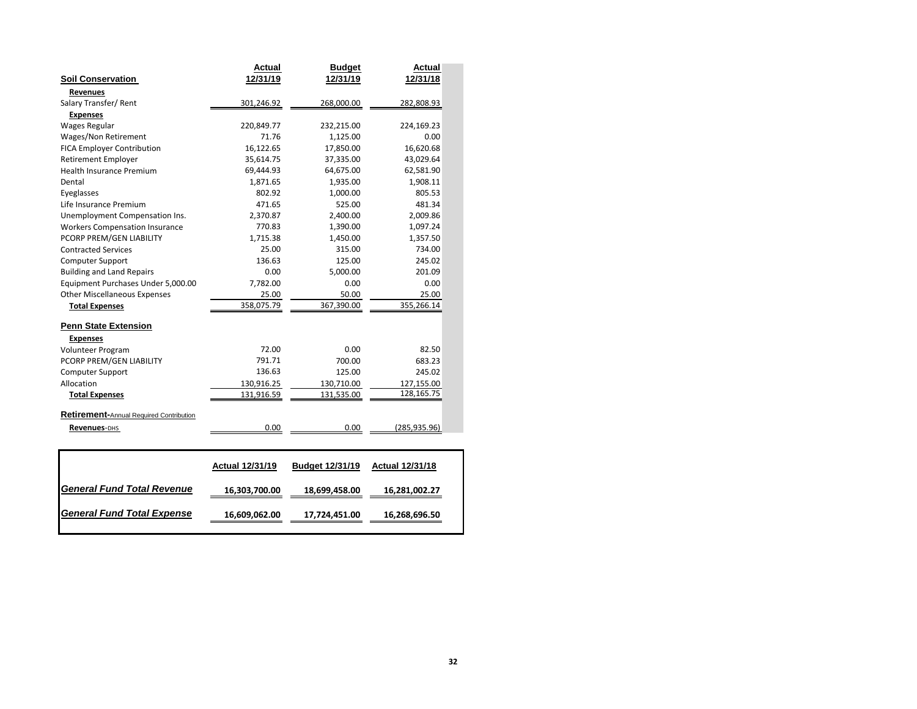|                                         | Actual                 | <b>Budget</b>   | <b>Actual</b>          |
|-----------------------------------------|------------------------|-----------------|------------------------|
| <b>Soil Conservation</b>                | 12/31/19               | 12/31/19        | 12/31/18               |
| <b>Revenues</b>                         |                        |                 |                        |
| Salary Transfer/Rent                    | 301,246.92             | 268,000.00      | 282,808.93             |
| <b>Expenses</b>                         |                        |                 |                        |
| <b>Wages Regular</b>                    | 220,849.77             | 232,215.00      | 224,169.23             |
| Wages/Non Retirement                    | 71.76                  | 1,125.00        | 0.00                   |
| <b>FICA Employer Contribution</b>       | 16,122.65              | 17,850.00       | 16,620.68              |
| Retirement Employer                     | 35,614.75              | 37,335.00       | 43,029.64              |
| <b>Health Insurance Premium</b>         | 69,444.93              | 64,675.00       | 62,581.90              |
| Dental                                  | 1,871.65               | 1,935.00        | 1,908.11               |
| Eyeglasses                              | 802.92                 | 1,000.00        | 805.53                 |
| Life Insurance Premium                  | 471.65                 | 525.00          | 481.34                 |
| Unemployment Compensation Ins.          | 2,370.87               | 2,400.00        | 2,009.86               |
| <b>Workers Compensation Insurance</b>   | 770.83                 | 1,390.00        | 1,097.24               |
| PCORP PREM/GEN LIABILITY                | 1,715.38               | 1,450.00        | 1,357.50               |
| <b>Contracted Services</b>              | 25.00                  | 315.00          | 734.00                 |
| Computer Support                        | 136.63                 | 125.00          | 245.02                 |
| <b>Building and Land Repairs</b>        | 0.00                   | 5,000.00        | 201.09                 |
| Equipment Purchases Under 5,000.00      | 7,782.00               | 0.00            | 0.00                   |
| <b>Other Miscellaneous Expenses</b>     | 25.00                  | 50.00           | 25.00                  |
| <b>Total Expenses</b>                   | 358,075.79             | 367,390.00      | 355,266.14             |
| <b>Penn State Extension</b>             |                        |                 |                        |
| <b>Expenses</b>                         |                        |                 |                        |
| Volunteer Program                       | 72.00                  | 0.00            | 82.50                  |
| PCORP PREM/GEN LIABILITY                | 791.71                 | 700.00          | 683.23                 |
| <b>Computer Support</b>                 | 136.63                 | 125.00          | 245.02                 |
| Allocation                              | 130,916.25             | 130,710.00      | 127,155.00             |
| <b>Total Expenses</b>                   | 131,916.59             | 131,535.00      | 128,165.75             |
| Retirement-Annual Required Contribution |                        |                 |                        |
| Revenues-DHS                            | 0.00                   | 0.00            | (285, 935.96)          |
|                                         |                        |                 |                        |
|                                         | <b>Actual 12/31/19</b> | Budget 12/31/19 | <b>Actual 12/31/18</b> |
| <b>General Fund Total Revenue</b>       | 16,303,700.00          | 18,699,458.00   | 16,281,002.27          |
| <b>General Fund Total Expense</b>       | 16,609,062.00          | 17,724,451.00   | 16,268,696.50          |